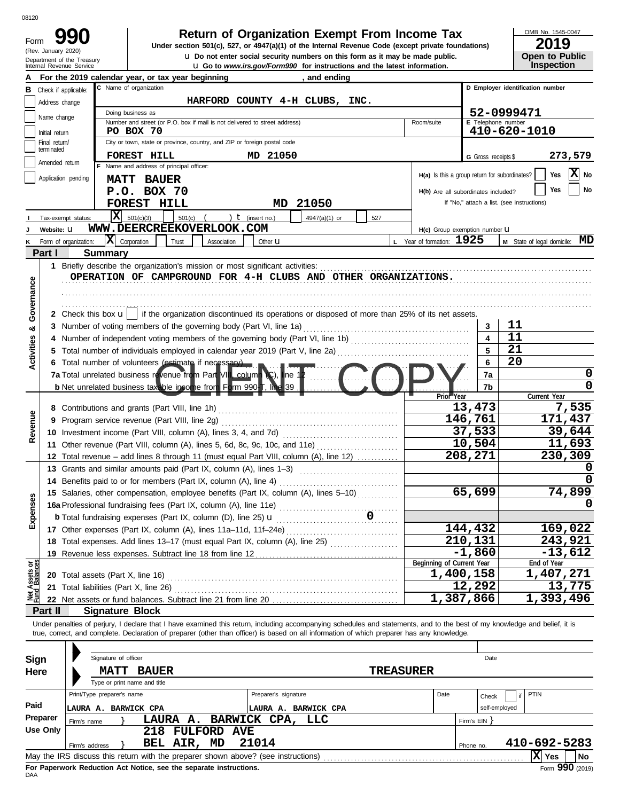| Form |                                                      |
|------|------------------------------------------------------|
|      | (Rev. January 2020)                                  |
|      | Department of the Treasu<br>Internal Revenue Service |

### **Return of Organization Exempt From Income Tax**

Internal Revenue Service up and a security numbers on this form as it may be made published.<br>In Go to *www.irs.gov/Form990* for instructions and the latest information. **u** Do not enter social security numbers on this form as it may be made public. **Under section 501(c), 527, or 4947(a)(1) of the Internal Revenue Code (except private foundations)** OMB No. 1545-0047

| ZUIJ                  |
|-----------------------|
| <b>Open to Public</b> |
| <b>Inspection</b>     |

|                                |                             | a so to <i>www.as.gov/romm//o</i> for modulations and the latest imormation<br>For the 2019 calendar year, or tax year beginning<br>and ending                             |                                  |                                               |                     |                                            |  |  |  |  |  |  |
|--------------------------------|-----------------------------|----------------------------------------------------------------------------------------------------------------------------------------------------------------------------|----------------------------------|-----------------------------------------------|---------------------|--------------------------------------------|--|--|--|--|--|--|
| в                              | Check if applicable:        | C Name of organization                                                                                                                                                     |                                  |                                               |                     | D Employer identification number           |  |  |  |  |  |  |
|                                | Address change              | HARFORD COUNTY 4-H CLUBS, INC.                                                                                                                                             |                                  |                                               |                     |                                            |  |  |  |  |  |  |
|                                |                             | Doing business as                                                                                                                                                          | 52-0999471                       |                                               |                     |                                            |  |  |  |  |  |  |
|                                | Name change                 | Number and street (or P.O. box if mail is not delivered to street address)                                                                                                 | E Telephone number<br>Room/suite |                                               |                     |                                            |  |  |  |  |  |  |
|                                | Initial return              | PO BOX 70                                                                                                                                                                  |                                  |                                               |                     | 410-620-1010                               |  |  |  |  |  |  |
|                                | Final return/<br>terminated | City or town, state or province, country, and ZIP or foreign postal code                                                                                                   |                                  |                                               |                     |                                            |  |  |  |  |  |  |
|                                | Amended return              | FOREST HILL<br>MD 21050                                                                                                                                                    |                                  |                                               | G Gross receipts \$ | 273,579                                    |  |  |  |  |  |  |
|                                |                             | F Name and address of principal officer:                                                                                                                                   |                                  | H(a) Is this a group return for subordinates? |                     | ΙX<br>Yes<br>No                            |  |  |  |  |  |  |
|                                | Application pending         | <b>MATT BAUER</b>                                                                                                                                                          |                                  |                                               |                     |                                            |  |  |  |  |  |  |
|                                |                             | P.O. BOX 70                                                                                                                                                                |                                  | H(b) Are all subordinates included?           |                     | No<br>Yes                                  |  |  |  |  |  |  |
|                                |                             | FOREST HILL<br>21050<br>MD                                                                                                                                                 |                                  |                                               |                     | If "No," attach a list. (see instructions) |  |  |  |  |  |  |
|                                |                             | x <br>501(c)(3)<br>) $t$ (insert no.)<br>501(c)<br>4947(a)(1) or<br>Tax-exempt status:                                                                                     | 527                              |                                               |                     |                                            |  |  |  |  |  |  |
|                                | Website: U                  | WWW.DEERCREEKOVERLOOK.COM                                                                                                                                                  |                                  | H(c) Group exemption number U                 |                     |                                            |  |  |  |  |  |  |
|                                |                             | $ \mathbf{X} $ Corporation<br>Form of organization:<br>Trust<br>Association<br>Other <b>u</b>                                                                              |                                  | L Year of formation: 1925                     |                     | MD<br>M State of legal domicile:           |  |  |  |  |  |  |
|                                | Part I                      | <b>Summary</b>                                                                                                                                                             |                                  |                                               |                     |                                            |  |  |  |  |  |  |
|                                |                             | 1 Briefly describe the organization's mission or most significant activities:                                                                                              |                                  |                                               |                     |                                            |  |  |  |  |  |  |
|                                |                             | OPERATION OF CAMPGROUND FOR 4-H CLUBS AND OTHER ORGANIZATIONS.                                                                                                             |                                  |                                               |                     |                                            |  |  |  |  |  |  |
|                                |                             |                                                                                                                                                                            |                                  |                                               |                     |                                            |  |  |  |  |  |  |
| Governance                     |                             |                                                                                                                                                                            |                                  |                                               |                     |                                            |  |  |  |  |  |  |
|                                |                             | 2 Check this box $\mathbf{u}$   if the organization discontinued its operations or disposed of more than 25% of its net assets.                                            |                                  |                                               |                     |                                            |  |  |  |  |  |  |
| ఱ                              |                             | 3 Number of voting members of the governing body (Part VI, line 1a)                                                                                                        |                                  |                                               | 3                   | 11                                         |  |  |  |  |  |  |
|                                |                             |                                                                                                                                                                            |                                  |                                               | 4                   | 11                                         |  |  |  |  |  |  |
|                                |                             |                                                                                                                                                                            |                                  |                                               | 5                   | 21                                         |  |  |  |  |  |  |
| Activities                     |                             | 6 Total number of volunteers (estimate if necessary)                                                                                                                       |                                  |                                               | 6                   | 20                                         |  |  |  |  |  |  |
|                                |                             | 7a Total unrelated business revenue from Part VIII_column (C), line 1                                                                                                      |                                  |                                               | 7a                  | 0                                          |  |  |  |  |  |  |
|                                |                             | b Net unrelated business taxable income from Form 990-T, line<br>139                                                                                                       |                                  |                                               | 7b                  | 0                                          |  |  |  |  |  |  |
|                                |                             |                                                                                                                                                                            |                                  | Prior Year                                    |                     | Current Year                               |  |  |  |  |  |  |
|                                |                             | 8 Contributions and grants (Part VIII, line 1h)                                                                                                                            |                                  |                                               | 13,473              | 7,535                                      |  |  |  |  |  |  |
| Revenue                        | 9                           | Program service revenue (Part VIII, line 2g)                                                                                                                               |                                  |                                               | 146,761             | 171,437                                    |  |  |  |  |  |  |
|                                |                             | 10 Investment income (Part VIII, column (A), lines 3, 4, and 7d)                                                                                                           |                                  | 37,533                                        |                     | 39,644                                     |  |  |  |  |  |  |
|                                |                             | 11 Other revenue (Part VIII, column (A), lines 5, 6d, 8c, 9c, 10c, and 11e)                                                                                                |                                  |                                               | 10,504              | 11,693                                     |  |  |  |  |  |  |
|                                |                             | 12 Total revenue - add lines 8 through 11 (must equal Part VIII, column (A), line 12)                                                                                      |                                  |                                               | 208,271             | 230,309                                    |  |  |  |  |  |  |
|                                |                             | 13 Grants and similar amounts paid (Part IX, column (A), lines 1-3)                                                                                                        |                                  |                                               |                     |                                            |  |  |  |  |  |  |
|                                |                             | 14 Benefits paid to or for members (Part IX, column (A), line 4)                                                                                                           |                                  |                                               |                     |                                            |  |  |  |  |  |  |
|                                |                             | 15 Salaries, other compensation, employee benefits (Part IX, column (A), lines 5-10)                                                                                       |                                  |                                               | 65,699              | 74,899                                     |  |  |  |  |  |  |
| penses                         |                             | 16a Professional fundraising fees (Part IX, column (A), line 11e)                                                                                                          |                                  |                                               |                     |                                            |  |  |  |  |  |  |
|                                |                             | <b>b</b> Total fundraising expenses (Part IX, column (D), line 25) <b>u</b>                                                                                                | 0                                |                                               |                     |                                            |  |  |  |  |  |  |
| ш                              |                             | 17 Other expenses (Part IX, column (A), lines 11a-11d, 11f-24e)                                                                                                            |                                  |                                               | 144,432             | 169,022                                    |  |  |  |  |  |  |
|                                |                             | 18 Total expenses. Add lines 13-17 (must equal Part IX, column (A), line 25) [                                                                                             |                                  |                                               | 210,131             | 243,921                                    |  |  |  |  |  |  |
|                                |                             | 19 Revenue less expenses. Subtract line 18 from line 12                                                                                                                    |                                  |                                               | $-1,860$            | $-13,612$                                  |  |  |  |  |  |  |
|                                |                             |                                                                                                                                                                            |                                  | Beginning of Current Year                     |                     | End of Year                                |  |  |  |  |  |  |
| Net Assets or<br>Fund Balances |                             | 20 Total assets (Part X, line 16) <b>CONVERTED ASSETS</b>                                                                                                                  |                                  | 1,400,158                                     |                     | 1,407,271                                  |  |  |  |  |  |  |
|                                |                             | 21 Total liabilities (Part X, line 26)                                                                                                                                     |                                  |                                               | 12,292              | 13,775                                     |  |  |  |  |  |  |
|                                |                             |                                                                                                                                                                            |                                  | 1,387,866                                     |                     | 1,393,496                                  |  |  |  |  |  |  |
|                                | Part II                     | <b>Signature Block</b>                                                                                                                                                     |                                  |                                               |                     |                                            |  |  |  |  |  |  |
|                                |                             | Under penalties of perjury, I declare that I have examined this return, including accompanying schedules and statements, and to the best of my knowledge and belief, it is |                                  |                                               |                     |                                            |  |  |  |  |  |  |
|                                |                             | true, correct, and complete. Declaration of preparer (other than officer) is based on all information of which preparer has any knowledge.                                 |                                  |                                               |                     |                                            |  |  |  |  |  |  |
|                                |                             |                                                                                                                                                                            |                                  |                                               |                     |                                            |  |  |  |  |  |  |
| Sign                           |                             | Signature of officer                                                                                                                                                       |                                  |                                               | Date                |                                            |  |  |  |  |  |  |
| Here                           |                             | <b>MATT BAUER</b>                                                                                                                                                          | <b>TREASURER</b>                 |                                               |                     |                                            |  |  |  |  |  |  |
|                                |                             | Type or print name and title                                                                                                                                               |                                  |                                               |                     |                                            |  |  |  |  |  |  |
|                                |                             | Print/Type preparer's name<br>Preparer's signature                                                                                                                         |                                  | Date                                          | Check               | PTIN                                       |  |  |  |  |  |  |
| Paid                           |                             | LAURA A. BARWICK CPA<br>LAURA A. BARWICK CPA                                                                                                                               |                                  |                                               | self-employed       |                                            |  |  |  |  |  |  |
|                                | Preparer                    | BARWICK CPA, LLC<br>LAURA A.<br>Firm's name                                                                                                                                |                                  |                                               | Firm's EIN }        |                                            |  |  |  |  |  |  |
|                                | <b>Use Only</b>             | 218 FULFORD AVE                                                                                                                                                            |                                  |                                               |                     |                                            |  |  |  |  |  |  |
|                                |                             | 21014<br>BEL AIR, MD<br>Firm's address                                                                                                                                     |                                  |                                               | Phone no.           | 410-692-5283                               |  |  |  |  |  |  |
|                                |                             | May the IRS discuss this return with the preparer shown above? (see instructions)                                                                                          |                                  |                                               |                     | $ \mathbf{X} $ Yes<br>No                   |  |  |  |  |  |  |

| Sign<br>Here     | Signature of officer<br><b>MATT</b><br><b>BAUER</b><br>Type or print name and title            | <b>TREASURER</b>                             |                      | Date                                              |
|------------------|------------------------------------------------------------------------------------------------|----------------------------------------------|----------------------|---------------------------------------------------|
| Paid<br>Preparer | Print/Type preparer's name<br>LAURA A. BARWICK CPA<br>LAURA A. BARWICK CPA, LLC<br>Firm's name | Preparer's signature<br>LAURA A. BARWICK CPA | Date<br>Firm's $EIN$ | $\vert$ if $\vert$ PTIN<br>Check<br>self-employed |
| Use Only         | <b>FULFORD AVE</b><br>218<br>21014<br>BEL AIR, MD<br>Firm's address                            |                                              | Phone no.            | 410-692-5283                                      |
|                  | May the IRS discuss this return with the preparer shown above? (see instructions)              |                                              |                      | X Yes<br>  No<br>$\cdots$                         |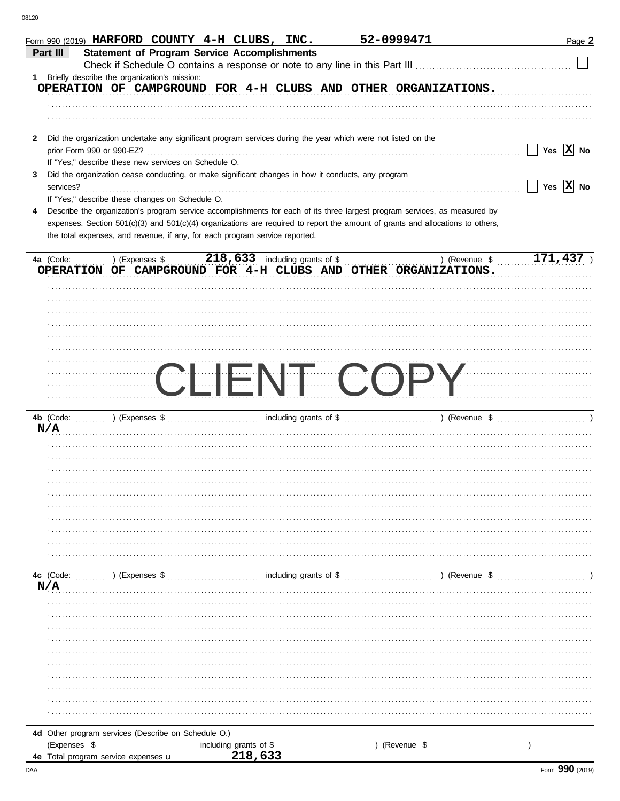| Form 990 (2019) HARFORD COUNTY 4-H CLUBS, INC.                                                                 |                                                                                                                                | 52-0999471               | Page 2                                                                                                                                                                                                                             |
|----------------------------------------------------------------------------------------------------------------|--------------------------------------------------------------------------------------------------------------------------------|--------------------------|------------------------------------------------------------------------------------------------------------------------------------------------------------------------------------------------------------------------------------|
| Part III                                                                                                       | <b>Statement of Program Service Accomplishments</b>                                                                            |                          |                                                                                                                                                                                                                                    |
|                                                                                                                |                                                                                                                                |                          |                                                                                                                                                                                                                                    |
| 1 Briefly describe the organization's mission:                                                                 |                                                                                                                                |                          |                                                                                                                                                                                                                                    |
|                                                                                                                | OPERATION OF CAMPGROUND FOR 4-H CLUBS AND OTHER ORGANIZATIONS.                                                                 |                          |                                                                                                                                                                                                                                    |
|                                                                                                                |                                                                                                                                |                          |                                                                                                                                                                                                                                    |
|                                                                                                                |                                                                                                                                |                          |                                                                                                                                                                                                                                    |
|                                                                                                                |                                                                                                                                |                          |                                                                                                                                                                                                                                    |
| 2 Did the organization undertake any significant program services during the year which were not listed on the |                                                                                                                                |                          | Yes $\boxed{\mathbf{X}}$ No                                                                                                                                                                                                        |
| If "Yes," describe these new services on Schedule O.                                                           |                                                                                                                                |                          |                                                                                                                                                                                                                                    |
| 3                                                                                                              | Did the organization cease conducting, or make significant changes in how it conducts, any program                             |                          |                                                                                                                                                                                                                                    |
| services?                                                                                                      |                                                                                                                                |                          | $\Box$ Yes $\boxed{\text{X}}$ No                                                                                                                                                                                                   |
| If "Yes," describe these changes on Schedule O.                                                                |                                                                                                                                |                          |                                                                                                                                                                                                                                    |
| 4                                                                                                              | Describe the organization's program service accomplishments for each of its three largest program services, as measured by     |                          |                                                                                                                                                                                                                                    |
|                                                                                                                | expenses. Section 501(c)(3) and 501(c)(4) organizations are required to report the amount of grants and allocations to others, |                          |                                                                                                                                                                                                                                    |
| the total expenses, and revenue, if any, for each program service reported.                                    |                                                                                                                                |                          |                                                                                                                                                                                                                                    |
|                                                                                                                |                                                                                                                                |                          |                                                                                                                                                                                                                                    |
|                                                                                                                |                                                                                                                                | ) (Revenue $\frac{1}{2}$ | 171,437                                                                                                                                                                                                                            |
|                                                                                                                | OPERATION OF CAMPGROUND FOR 4-H CLUBS AND OTHER ORGANIZATIONS.                                                                 |                          |                                                                                                                                                                                                                                    |
|                                                                                                                |                                                                                                                                |                          |                                                                                                                                                                                                                                    |
|                                                                                                                |                                                                                                                                |                          |                                                                                                                                                                                                                                    |
|                                                                                                                |                                                                                                                                |                          |                                                                                                                                                                                                                                    |
|                                                                                                                |                                                                                                                                |                          |                                                                                                                                                                                                                                    |
|                                                                                                                |                                                                                                                                |                          |                                                                                                                                                                                                                                    |
|                                                                                                                |                                                                                                                                |                          |                                                                                                                                                                                                                                    |
|                                                                                                                |                                                                                                                                |                          |                                                                                                                                                                                                                                    |
|                                                                                                                | $\left(\frac{1}{2},\frac{1}{2}\right)$                                                                                         |                          | $\mathcal{L}$ . The continuum continuum continuum continuum continuum continuum continuum continuum continuum continuum continuum continuum continuum continuum continuum continuum continuum continuum continuum continuum contin |
|                                                                                                                |                                                                                                                                |                          |                                                                                                                                                                                                                                    |
|                                                                                                                |                                                                                                                                |                          |                                                                                                                                                                                                                                    |
|                                                                                                                |                                                                                                                                |                          |                                                                                                                                                                                                                                    |
| N/A                                                                                                            |                                                                                                                                |                          | ) (Revenue $\$$ )                                                                                                                                                                                                                  |
|                                                                                                                |                                                                                                                                |                          |                                                                                                                                                                                                                                    |
|                                                                                                                |                                                                                                                                |                          |                                                                                                                                                                                                                                    |
|                                                                                                                |                                                                                                                                |                          |                                                                                                                                                                                                                                    |
|                                                                                                                |                                                                                                                                |                          |                                                                                                                                                                                                                                    |
|                                                                                                                |                                                                                                                                |                          |                                                                                                                                                                                                                                    |
|                                                                                                                |                                                                                                                                |                          |                                                                                                                                                                                                                                    |
|                                                                                                                |                                                                                                                                |                          |                                                                                                                                                                                                                                    |
|                                                                                                                |                                                                                                                                |                          |                                                                                                                                                                                                                                    |
|                                                                                                                |                                                                                                                                |                          |                                                                                                                                                                                                                                    |
|                                                                                                                |                                                                                                                                |                          |                                                                                                                                                                                                                                    |
|                                                                                                                |                                                                                                                                |                          |                                                                                                                                                                                                                                    |
| 4c (Code:<br>) (Expenses \$                                                                                    | including grants of \$                                                                                                         | ) (Revenue \$            |                                                                                                                                                                                                                                    |
| N/A                                                                                                            |                                                                                                                                |                          |                                                                                                                                                                                                                                    |
|                                                                                                                |                                                                                                                                |                          |                                                                                                                                                                                                                                    |
|                                                                                                                |                                                                                                                                |                          |                                                                                                                                                                                                                                    |
|                                                                                                                |                                                                                                                                |                          |                                                                                                                                                                                                                                    |
|                                                                                                                |                                                                                                                                |                          |                                                                                                                                                                                                                                    |
|                                                                                                                |                                                                                                                                |                          |                                                                                                                                                                                                                                    |
|                                                                                                                |                                                                                                                                |                          |                                                                                                                                                                                                                                    |
|                                                                                                                |                                                                                                                                |                          |                                                                                                                                                                                                                                    |
|                                                                                                                |                                                                                                                                |                          |                                                                                                                                                                                                                                    |
|                                                                                                                |                                                                                                                                |                          |                                                                                                                                                                                                                                    |
|                                                                                                                |                                                                                                                                |                          |                                                                                                                                                                                                                                    |
|                                                                                                                |                                                                                                                                |                          |                                                                                                                                                                                                                                    |
| 4d Other program services (Describe on Schedule O.)                                                            |                                                                                                                                |                          |                                                                                                                                                                                                                                    |
| (Expenses \$                                                                                                   | including grants of \$                                                                                                         | (Revenue \$              |                                                                                                                                                                                                                                    |
| 4e Total program service expenses u                                                                            | 218,633                                                                                                                        |                          |                                                                                                                                                                                                                                    |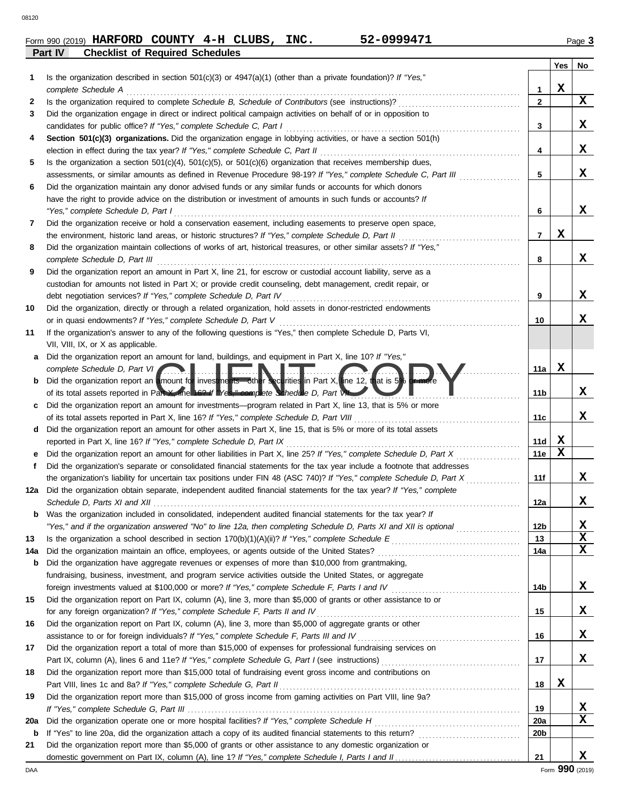|     | shoomot of hoquilou conouur                                                                                                                                                                                                                       |                 |        |             |
|-----|---------------------------------------------------------------------------------------------------------------------------------------------------------------------------------------------------------------------------------------------------|-----------------|--------|-------------|
| 1   | Is the organization described in section $501(c)(3)$ or $4947(a)(1)$ (other than a private foundation)? If "Yes,"                                                                                                                                 |                 | Yes    | No          |
|     | complete Schedule A                                                                                                                                                                                                                               | 1               | X      | X           |
| 2   | Is the organization required to complete Schedule B, Schedule of Contributors (see instructions)?<br>Did the organization engage in direct or indirect political campaign activities on behalf of or in opposition to                             | $\mathbf{2}$    |        |             |
| 3   | candidates for public office? If "Yes," complete Schedule C, Part I                                                                                                                                                                               | 3               |        | X           |
| 4   | Section 501(c)(3) organizations. Did the organization engage in lobbying activities, or have a section 501(h)                                                                                                                                     |                 |        |             |
|     | election in effect during the tax year? If "Yes," complete Schedule C, Part II                                                                                                                                                                    | 4               |        | X           |
| 5   | Is the organization a section $501(c)(4)$ , $501(c)(5)$ , or $501(c)(6)$ organization that receives membership dues,                                                                                                                              |                 |        |             |
|     | assessments, or similar amounts as defined in Revenue Procedure 98-19? If "Yes," complete Schedule C, Part III                                                                                                                                    | 5               |        | x           |
| 6   | Did the organization maintain any donor advised funds or any similar funds or accounts for which donors                                                                                                                                           |                 |        |             |
|     | have the right to provide advice on the distribution or investment of amounts in such funds or accounts? If                                                                                                                                       |                 |        |             |
|     | "Yes," complete Schedule D, Part I                                                                                                                                                                                                                | 6               |        | x           |
| 7   | Did the organization receive or hold a conservation easement, including easements to preserve open space,                                                                                                                                         |                 |        |             |
|     | the environment, historic land areas, or historic structures? If "Yes," complete Schedule D, Part II                                                                                                                                              | 7               | X      |             |
| 8   | Did the organization maintain collections of works of art, historical treasures, or other similar assets? If "Yes,"                                                                                                                               |                 |        |             |
|     | complete Schedule D, Part III                                                                                                                                                                                                                     | 8               |        | x           |
| 9   | Did the organization report an amount in Part X, line 21, for escrow or custodial account liability, serve as a                                                                                                                                   |                 |        |             |
|     | custodian for amounts not listed in Part X; or provide credit counseling, debt management, credit repair, or                                                                                                                                      |                 |        |             |
|     | debt negotiation services? If "Yes," complete Schedule D, Part IV                                                                                                                                                                                 | 9               |        | x           |
| 10  | Did the organization, directly or through a related organization, hold assets in donor-restricted endowments                                                                                                                                      |                 |        |             |
|     | or in quasi endowments? If "Yes," complete Schedule D, Part V                                                                                                                                                                                     | 10              |        | x           |
| 11  | If the organization's answer to any of the following questions is "Yes," then complete Schedule D, Parts VI,                                                                                                                                      |                 |        |             |
|     | VII, VIII, IX, or X as applicable.                                                                                                                                                                                                                |                 |        |             |
| a   | Did the organization report an amount for land, buildings, and equipment in Part X, line 10? If "Yes,"                                                                                                                                            |                 |        |             |
|     | complete Schedule D, Part VI                                                                                                                                                                                                                      | 11a             | x      |             |
| b   | Did the organization report an amount for investments—other securities in Part X, line 12, that is 5% or more                                                                                                                                     |                 |        |             |
|     | of its total assets reported in Part X, line 169 if Wes," complete Schedule D, Part WL                                                                                                                                                            | 11b             |        | X           |
| c   | Did the organization report an amount for investments—program related in Part X, line 13, that is 5% or more                                                                                                                                      |                 |        |             |
|     | of its total assets reported in Part X, line 16? If "Yes," complete Schedule D, Part VIII                                                                                                                                                         | 11c             |        | x           |
| d   | Did the organization report an amount for other assets in Part X, line 15, that is 5% or more of its total assets                                                                                                                                 |                 |        |             |
|     | reported in Part X, line 16? If "Yes," complete Schedule D, Part IX                                                                                                                                                                               | 11d<br>11e      | X<br>X |             |
| е   | Did the organization report an amount for other liabilities in Part X, line 25? If "Yes," complete Schedule D, Part X                                                                                                                             |                 |        |             |
| f   | Did the organization's separate or consolidated financial statements for the tax year include a footnote that addresses<br>the organization's liability for uncertain tax positions under FIN 48 (ASC 740)? If "Yes," complete Schedule D, Part X | 11f             |        | X           |
| 12a | Did the organization obtain separate, independent audited financial statements for the tax year? If "Yes," complete                                                                                                                               |                 |        |             |
|     |                                                                                                                                                                                                                                                   | 12a             |        | x           |
| b   | Was the organization included in consolidated, independent audited financial statements for the tax year? If                                                                                                                                      |                 |        |             |
|     | "Yes," and if the organization answered "No" to line 12a, then completing Schedule D, Parts XI and XII is optional                                                                                                                                | 12 <sub>b</sub> |        | X           |
| 13  |                                                                                                                                                                                                                                                   | 13              |        | $\mathbf x$ |
| 14a | Did the organization maintain an office, employees, or agents outside of the United States?                                                                                                                                                       | 14a             |        | X           |
| b   | Did the organization have aggregate revenues or expenses of more than \$10,000 from grantmaking,                                                                                                                                                  |                 |        |             |
|     | fundraising, business, investment, and program service activities outside the United States, or aggregate                                                                                                                                         |                 |        |             |
|     |                                                                                                                                                                                                                                                   | 14b             |        | X           |
| 15  | Did the organization report on Part IX, column (A), line 3, more than \$5,000 of grants or other assistance to or                                                                                                                                 |                 |        |             |
|     | for any foreign organization? If "Yes," complete Schedule F, Parts II and IV                                                                                                                                                                      | 15              |        | X           |
| 16  | Did the organization report on Part IX, column (A), line 3, more than \$5,000 of aggregate grants or other                                                                                                                                        |                 |        |             |
|     | assistance to or for foreign individuals? If "Yes," complete Schedule F, Parts III and IV                                                                                                                                                         | 16              |        | X           |
| 17  | Did the organization report a total of more than \$15,000 of expenses for professional fundraising services on                                                                                                                                    |                 |        |             |
|     |                                                                                                                                                                                                                                                   | 17              |        | X           |
| 18  | Did the organization report more than \$15,000 total of fundraising event gross income and contributions on                                                                                                                                       |                 |        |             |
|     | Part VIII, lines 1c and 8a? If "Yes," complete Schedule G, Part II                                                                                                                                                                                | 18              | X      |             |
| 19  | Did the organization report more than \$15,000 of gross income from gaming activities on Part VIII, line 9a?                                                                                                                                      |                 |        |             |
|     |                                                                                                                                                                                                                                                   | 19              |        | X           |
| 20a |                                                                                                                                                                                                                                                   | <b>20a</b>      |        | X           |
| b   |                                                                                                                                                                                                                                                   | 20b             |        |             |
| 21  | Did the organization report more than \$5,000 of grants or other assistance to any domestic organization or                                                                                                                                       |                 |        |             |
|     |                                                                                                                                                                                                                                                   | 21              |        | x           |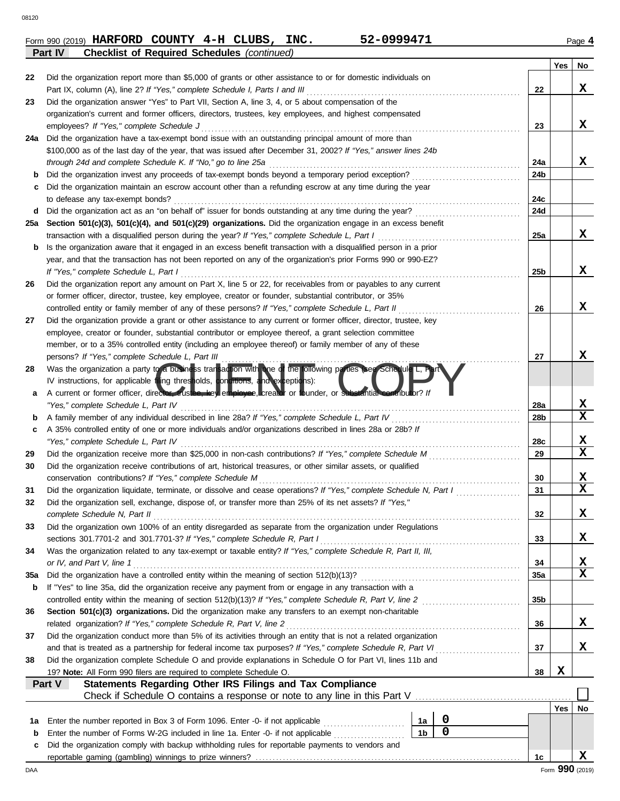| Form 990 (2019) HARFORD COUNTY $4-H$ CLUBS, |  |  | INC. | 52-0999471 | Page 4 |
|---------------------------------------------|--|--|------|------------|--------|
|                                             |  |  |      |            |        |

|     | <b>Checklist of Required Schedules (continued)</b><br>Part IV                                                      |                |             |     |     |                 |
|-----|--------------------------------------------------------------------------------------------------------------------|----------------|-------------|-----|-----|-----------------|
|     |                                                                                                                    |                |             |     | Yes | No              |
| 22  | Did the organization report more than \$5,000 of grants or other assistance to or for domestic individuals on      |                |             |     |     |                 |
|     | Part IX, column (A), line 2? If "Yes," complete Schedule I, Parts I and III                                        |                |             | 22  |     | x               |
| 23  | Did the organization answer "Yes" to Part VII, Section A, line 3, 4, or 5 about compensation of the                |                |             |     |     |                 |
|     | organization's current and former officers, directors, trustees, key employees, and highest compensated            |                |             |     |     |                 |
|     | employees? If "Yes," complete Schedule J                                                                           |                |             | 23  |     | x               |
| 24a | Did the organization have a tax-exempt bond issue with an outstanding principal amount of more than                |                |             |     |     |                 |
|     | \$100,000 as of the last day of the year, that was issued after December 31, 2002? If "Yes," answer lines 24b      |                |             |     |     |                 |
|     | through 24d and complete Schedule K. If "No," go to line 25a                                                       |                |             | 24a |     | x               |
|     | Did the organization invest any proceeds of tax-exempt bonds beyond a temporary period exception?                  |                |             | 24b |     |                 |
| с   | Did the organization maintain an escrow account other than a refunding escrow at any time during the year          |                |             |     |     |                 |
|     | to defease any tax-exempt bonds?                                                                                   |                |             | 24c |     |                 |
| d   | Did the organization act as an "on behalf of" issuer for bonds outstanding at any time during the year?            |                |             | 24d |     |                 |
| 25a | Section 501(c)(3), 501(c)(4), and 501(c)(29) organizations. Did the organization engage in an excess benefit       |                |             |     |     |                 |
|     | transaction with a disqualified person during the year? If "Yes," complete Schedule L, Part I                      |                |             | 25a |     | X               |
| b   | Is the organization aware that it engaged in an excess benefit transaction with a disqualified person in a prior   |                |             |     |     |                 |
|     | year, and that the transaction has not been reported on any of the organization's prior Forms 990 or 990-EZ?       |                |             |     |     |                 |
|     | If "Yes," complete Schedule L, Part I                                                                              |                |             | 25b |     | X               |
| 26  | Did the organization report any amount on Part X, line 5 or 22, for receivables from or payables to any current    |                |             |     |     |                 |
|     | or former officer, director, trustee, key employee, creator or founder, substantial contributor, or 35%            |                |             |     |     |                 |
|     | controlled entity or family member of any of these persons? If "Yes," complete Schedule L, Part II                 |                |             | 26  |     | X               |
| 27  | Did the organization provide a grant or other assistance to any current or former officer, director, trustee, key  |                |             |     |     |                 |
|     | employee, creator or founder, substantial contributor or employee thereof, a grant selection committee             |                |             |     |     |                 |
|     | member, or to a 35% controlled entity (including an employee thereof) or family member of any of these             |                |             |     |     |                 |
|     | persons? If "Yes," complete Schedule L, Part III                                                                   |                |             | 27  |     | х               |
| 28  | Was the organization a party to a business transaction with one of the following parties see Schedule L,           |                |             |     |     |                 |
|     | IV instructions, for applicable filing thresholds, conditions, and exceptions):                                    |                |             |     |     |                 |
| а   | A current or former officer, director, trustee, key employee, creator or founder, or substantial contributor? I    |                |             |     |     |                 |
|     | "Yes," complete Schedule L, Part IV                                                                                |                |             | 28a |     | x               |
| b   | A family member of any individual described in line 28a? If "Yes," complete Schedule L, Part IV                    |                |             | 28b |     | $\mathbf x$     |
| c   | A 35% controlled entity of one or more individuals and/or organizations described in lines 28a or 28b? If          |                |             |     |     |                 |
|     | "Yes," complete Schedule L, Part IV                                                                                |                |             | 28c |     | x               |
| 29  | Did the organization receive more than \$25,000 in non-cash contributions? If "Yes," complete Schedule M           |                |             | 29  |     | $\mathbf x$     |
| 30  | Did the organization receive contributions of art, historical treasures, or other similar assets, or qualified     |                |             |     |     |                 |
|     | conservation contributions? If "Yes," complete Schedule M                                                          |                |             | 30  |     | x               |
| 31  | Did the organization liquidate, terminate, or dissolve and cease operations? If "Yes," complete Schedule N, Part I |                |             | 31  |     | $\mathbf x$     |
|     | Did the organization sell, exchange, dispose of, or transfer more than 25% of its net assets? If "Yes,"            |                |             |     |     |                 |
|     | complete Schedule N, Part II                                                                                       |                |             | 32  |     | X               |
| 33  | Did the organization own 100% of an entity disregarded as separate from the organization under Regulations         |                |             |     |     |                 |
|     | sections 301.7701-2 and 301.7701-3? If "Yes," complete Schedule R, Part I                                          |                |             | 33  |     | x               |
| 34  | Was the organization related to any tax-exempt or taxable entity? If "Yes," complete Schedule R, Part II, III,     |                |             |     |     |                 |
|     | or IV, and Part V, line 1                                                                                          |                |             | 34  |     | X               |
| 35a |                                                                                                                    |                |             | 35a |     | X               |
| b   | If "Yes" to line 35a, did the organization receive any payment from or engage in any transaction with a            |                |             |     |     |                 |
|     | controlled entity within the meaning of section 512(b)(13)? If "Yes," complete Schedule R, Part V, line 2          |                |             | 35b |     |                 |
| 36  | Section 501(c)(3) organizations. Did the organization make any transfers to an exempt non-charitable               |                |             |     |     |                 |
|     | related organization? If "Yes," complete Schedule R, Part V, line 2                                                |                |             | 36  |     | X               |
| 37  | Did the organization conduct more than 5% of its activities through an entity that is not a related organization   |                |             |     |     |                 |
|     | and that is treated as a partnership for federal income tax purposes? If "Yes," complete Schedule R, Part VI       |                |             | 37  |     | X               |
| 38  | Did the organization complete Schedule O and provide explanations in Schedule O for Part VI, lines 11b and         |                |             |     |     |                 |
|     | 19? Note: All Form 990 filers are required to complete Schedule O.                                                 |                |             | 38  | X   |                 |
|     | Statements Regarding Other IRS Filings and Tax Compliance<br>Part V                                                |                |             |     |     |                 |
|     |                                                                                                                    |                |             |     |     |                 |
|     |                                                                                                                    |                |             |     | Yes | No              |
| 1a  | Enter the number reported in Box 3 of Form 1096. Enter -0- if not applicable                                       | 1a             | $\mathbf 0$ |     |     |                 |
| b   | Enter the number of Forms W-2G included in line 1a. Enter -0- if not applicable                                    | 1 <sub>b</sub> | $\mathbf 0$ |     |     |                 |
| c   | Did the organization comply with backup withholding rules for reportable payments to vendors and                   |                |             |     |     |                 |
|     |                                                                                                                    |                |             | 1c  |     | x               |
| DAA |                                                                                                                    |                |             |     |     | Form 990 (2019) |

**HARFORD COUNTY 4-H CLUBS, INC. 52-0999471**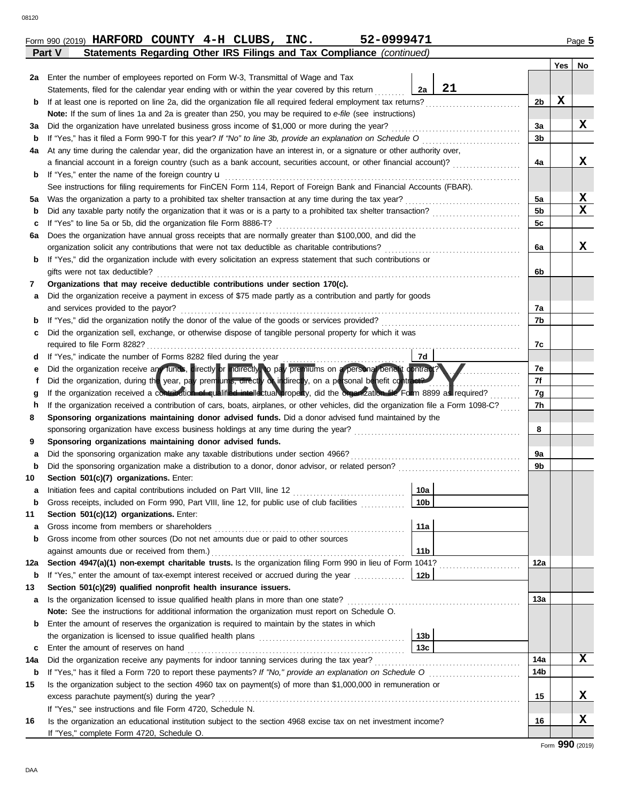|--|--|

|     | 52-0999471<br>Form 990 (2019) HARFORD COUNTY $4-H$ CLUBS, INC.                                                                                                                                                                         |                 |                |     | Page 5      |
|-----|----------------------------------------------------------------------------------------------------------------------------------------------------------------------------------------------------------------------------------------|-----------------|----------------|-----|-------------|
|     | Statements Regarding Other IRS Filings and Tax Compliance (continued)<br>Part V                                                                                                                                                        |                 |                |     |             |
|     |                                                                                                                                                                                                                                        |                 |                | Yes | No          |
| 2a  | Enter the number of employees reported on Form W-3, Transmittal of Wage and Tax                                                                                                                                                        |                 |                |     |             |
|     | Statements, filed for the calendar year ending with or within the year covered by this return                                                                                                                                          | 21<br>2a        |                |     |             |
| b   | If at least one is reported on line 2a, did the organization file all required federal employment tax returns?                                                                                                                         |                 | 2b             | X   |             |
|     | Note: If the sum of lines 1a and 2a is greater than 250, you may be required to e-file (see instructions)                                                                                                                              |                 |                |     |             |
| За  | Did the organization have unrelated business gross income of \$1,000 or more during the year?                                                                                                                                          |                 | 3a             |     | X           |
| b   | If "Yes," has it filed a Form 990-T for this year? If "No" to line 3b, provide an explanation on Schedule O<br>At any time during the calendar year, did the organization have an interest in, or a signature or other authority over, |                 | 3b             |     |             |
| 4a  | a financial account in a foreign country (such as a bank account, securities account, or other financial account)?                                                                                                                     |                 | 4a             |     | х           |
| b   | If "Yes," enter the name of the foreign country u                                                                                                                                                                                      |                 |                |     |             |
|     | See instructions for filing requirements for FinCEN Form 114, Report of Foreign Bank and Financial Accounts (FBAR).                                                                                                                    |                 |                |     |             |
| 5a  | Was the organization a party to a prohibited tax shelter transaction at any time during the tax year?                                                                                                                                  |                 | 5a             |     | X           |
| b   | Did any taxable party notify the organization that it was or is a party to a prohibited tax shelter transaction?                                                                                                                       |                 | 5 <sub>b</sub> |     | $\mathbf x$ |
| c   | If "Yes" to line 5a or 5b, did the organization file Form 8886-T?                                                                                                                                                                      |                 | 5c             |     |             |
| 6а  | Does the organization have annual gross receipts that are normally greater than \$100,000, and did the                                                                                                                                 |                 |                |     |             |
|     | organization solicit any contributions that were not tax deductible as charitable contributions?                                                                                                                                       |                 | 6a             |     | X           |
| b   | If "Yes," did the organization include with every solicitation an express statement that such contributions or                                                                                                                         |                 |                |     |             |
|     | gifts were not tax deductible?                                                                                                                                                                                                         |                 | 6b             |     |             |
| 7   | Organizations that may receive deductible contributions under section 170(c).                                                                                                                                                          |                 |                |     |             |
| а   | Did the organization receive a payment in excess of \$75 made partly as a contribution and partly for goods                                                                                                                            |                 |                |     |             |
|     | and services provided to the payor?                                                                                                                                                                                                    |                 | 7a             |     |             |
| b   | If "Yes," did the organization notify the donor of the value of the goods or services provided?                                                                                                                                        |                 | 7b             |     |             |
| c   | Did the organization sell, exchange, or otherwise dispose of tangible personal property for which it was                                                                                                                               |                 |                |     |             |
|     | required to file Form 8282?                                                                                                                                                                                                            |                 | 7c             |     |             |
| d   | If "Yes," indicate the number of Forms 8282 filed during the year                                                                                                                                                                      | 7d              |                |     |             |
| е   | Did the organization receive an tunds, cirectly or indirectly to pay pre niums on a personal penetit contract?                                                                                                                         |                 | 7е             |     |             |
| f   | Did the organization, during the year, pay premiums, directly or indirectly, on a personal benefit contract?                                                                                                                           |                 | 7f             |     |             |
| g   | If the organization received a contribution of qualified intellectual property, did the organization file Form 8899 as required?                                                                                                       |                 | 7g             |     |             |
| h   | If the organization received a contribution of cars, boats, airplanes, or other vehicles, did the organization file a Form 1098-C?                                                                                                     |                 | 7h             |     |             |
| 8   | Sponsoring organizations maintaining donor advised funds. Did a donor advised fund maintained by the                                                                                                                                   |                 | 8              |     |             |
| 9   | sponsoring organization have excess business holdings at any time during the year?<br>Sponsoring organizations maintaining donor advised funds.                                                                                        |                 |                |     |             |
| а   | Did the sponsoring organization make any taxable distributions under section 4966?                                                                                                                                                     |                 | 9a             |     |             |
| b   |                                                                                                                                                                                                                                        |                 | 9b             |     |             |
| 10  | Section 501(c)(7) organizations. Enter:                                                                                                                                                                                                |                 |                |     |             |
|     |                                                                                                                                                                                                                                        | 10a             |                |     |             |
| b   | Gross receipts, included on Form 990, Part VIII, line 12, for public use of club facilities                                                                                                                                            | 10 <sub>b</sub> |                |     |             |
| 11  | Section 501(c)(12) organizations. Enter:                                                                                                                                                                                               |                 |                |     |             |
| а   | Gross income from members or shareholders                                                                                                                                                                                              | 11a             |                |     |             |
| b   | Gross income from other sources (Do not net amounts due or paid to other sources                                                                                                                                                       |                 |                |     |             |
|     | against amounts due or received from them.)                                                                                                                                                                                            | 11 <sub>b</sub> |                |     |             |
| 12a | Section 4947(a)(1) non-exempt charitable trusts. Is the organization filing Form 990 in lieu of Form 1041?                                                                                                                             |                 | 12a            |     |             |
| b   | If "Yes," enter the amount of tax-exempt interest received or accrued during the year                                                                                                                                                  | 12b             |                |     |             |
| 13  | Section 501(c)(29) qualified nonprofit health insurance issuers.                                                                                                                                                                       |                 |                |     |             |
| a   | Is the organization licensed to issue qualified health plans in more than one state?                                                                                                                                                   |                 | 13а            |     |             |
|     | Note: See the instructions for additional information the organization must report on Schedule O.                                                                                                                                      |                 |                |     |             |
| b   | Enter the amount of reserves the organization is required to maintain by the states in which                                                                                                                                           |                 |                |     |             |
|     |                                                                                                                                                                                                                                        | 13 <sub>b</sub> |                |     |             |
| c   | Enter the amount of reserves on hand                                                                                                                                                                                                   | 13 <sub>c</sub> |                |     |             |
| 14a | Did the organization receive any payments for indoor tanning services during the tax year?                                                                                                                                             |                 | 14a            |     | X           |
| b   |                                                                                                                                                                                                                                        |                 | 14b            |     |             |
| 15  | Is the organization subject to the section 4960 tax on payment(s) of more than \$1,000,000 in remuneration or                                                                                                                          |                 |                |     | x           |
|     | excess parachute payment(s) during the year?                                                                                                                                                                                           |                 | 15             |     |             |
| 16  | If "Yes," see instructions and file Form 4720, Schedule N.<br>Is the organization an educational institution subject to the section 4968 excise tax on net investment income?                                                          |                 | 16             |     | X           |
|     | If "Yes," complete Form 4720, Schedule O.                                                                                                                                                                                              |                 |                |     |             |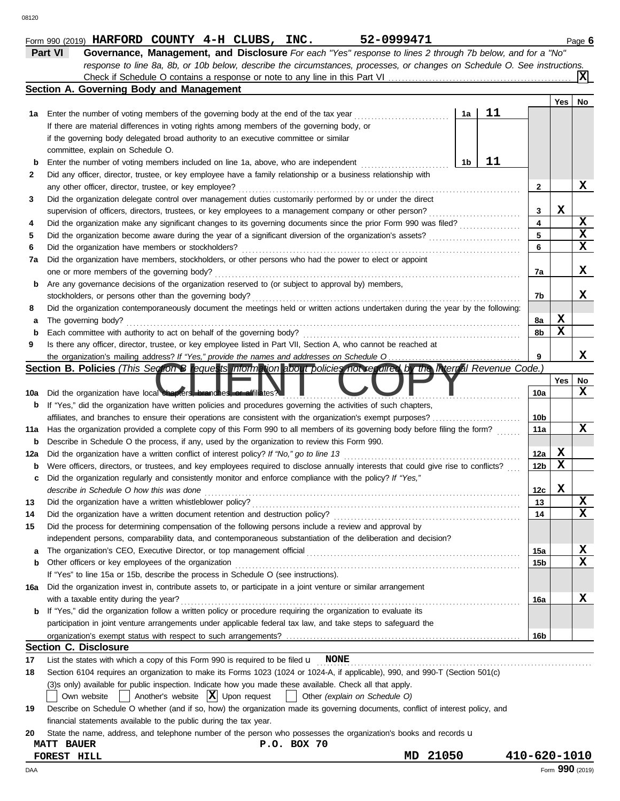|     | Section A. Governing Body and Management                                                                                            |    |    |                         |                 |                         |
|-----|-------------------------------------------------------------------------------------------------------------------------------------|----|----|-------------------------|-----------------|-------------------------|
|     |                                                                                                                                     |    |    |                         | Yes             | No                      |
|     | 1a Enter the number of voting members of the governing body at the end of the tax year                                              | 1a | 11 |                         |                 |                         |
|     | If there are material differences in voting rights among members of the governing body, or                                          |    |    |                         |                 |                         |
|     | if the governing body delegated broad authority to an executive committee or similar                                                |    |    |                         |                 |                         |
|     | committee, explain on Schedule O.                                                                                                   |    |    |                         |                 |                         |
| b   | Enter the number of voting members included on line 1a, above, who are independent                                                  | 1b | 11 |                         |                 |                         |
| 2   | Did any officer, director, trustee, or key employee have a family relationship or a business relationship with                      |    |    |                         |                 |                         |
|     | any other officer, director, trustee, or key employee?                                                                              |    |    | $\mathbf{2}$            |                 | x                       |
| 3   | Did the organization delegate control over management duties customarily performed by or under the direct                           |    |    |                         |                 |                         |
|     | supervision of officers, directors, trustees, or key employees to a management company or other person?                             |    |    | 3                       | X               |                         |
| 4   |                                                                                                                                     |    |    | $\overline{\mathbf{4}}$ |                 | X                       |
| 5   |                                                                                                                                     |    |    | 5                       |                 | $\overline{\mathbf{x}}$ |
| 6   | Did the organization have members or stockholders?                                                                                  |    |    | 6                       |                 | $\mathbf x$             |
| 7a  | Did the organization have members, stockholders, or other persons who had the power to elect or appoint                             |    |    |                         |                 |                         |
|     | one or more members of the governing body?                                                                                          |    |    | 7a                      |                 | x                       |
|     | Are any governance decisions of the organization reserved to (or subject to approval by) members,                                   |    |    |                         |                 |                         |
| b   |                                                                                                                                     |    |    |                         |                 | x                       |
|     | stockholders, or persons other than the governing body?                                                                             |    |    | 7b                      |                 |                         |
| 8   | Did the organization contemporaneously document the meetings held or written actions undertaken during the year by the following:   |    |    |                         |                 |                         |
| а   | The governing body?                                                                                                                 |    |    | 8a                      | x               |                         |
|     | Each committee with authority to act on behalf of the governing body?                                                               |    |    | 8b                      | X               |                         |
| 9   | Is there any officer, director, trustee, or key employee listed in Part VII, Section A, who cannot be reached at                    |    |    |                         |                 |                         |
|     |                                                                                                                                     |    |    | 9                       |                 | x                       |
|     | Section B. Policies (This Section B requests information about policies not required by the Internal Revenue Code.)                 |    |    |                         |                 |                         |
|     |                                                                                                                                     |    |    |                         | Yes             | No                      |
| 10a | Did the organization have local chapters, branches, or affiliates?                                                                  |    |    | 10a                     |                 | X                       |
| b   | If "Yes," did the organization have written policies and procedures governing the activities of such chapters,                      |    |    |                         |                 |                         |
|     | affiliates, and branches to ensure their operations are consistent with the organization's exempt purposes?                         |    |    | 10b                     |                 |                         |
| 11a | Has the organization provided a complete copy of this Form 990 to all members of its governing body before filing the form?         |    |    | 11a                     |                 | x                       |
| b   | Describe in Schedule O the process, if any, used by the organization to review this Form 990.                                       |    |    |                         |                 |                         |
| 12a |                                                                                                                                     |    |    | 12a                     | x               |                         |
| b   | Were officers, directors, or trustees, and key employees required to disclose annually interests that could give rise to conflicts? |    |    | 12 <sub>b</sub>         | $\mathbf x$     |                         |
| c   | Did the organization regularly and consistently monitor and enforce compliance with the policy? If "Yes,"                           |    |    |                         |                 |                         |
|     | describe in Schedule O how this was done                                                                                            |    |    | 12c                     | х               |                         |
| 13  | Did the organization have a written whistleblower policy?                                                                           |    |    | 13                      |                 | X                       |
| 14  |                                                                                                                                     |    |    | 14                      |                 | $\overline{\mathbf{x}}$ |
| 15  | Did the process for determining compensation of the following persons include a review and approval by                              |    |    |                         |                 |                         |
|     | independent persons, comparability data, and contemporaneous substantiation of the deliberation and decision?                       |    |    |                         |                 |                         |
| а   | The organization's CEO, Executive Director, or top management official                                                              |    |    | 15a                     |                 | X                       |
| b   | Other officers or key employees of the organization                                                                                 |    |    | 15b                     |                 | $\mathbf x$             |
|     | If "Yes" to line 15a or 15b, describe the process in Schedule O (see instructions).                                                 |    |    |                         |                 |                         |
| 16a | Did the organization invest in, contribute assets to, or participate in a joint venture or similar arrangement                      |    |    |                         |                 |                         |
|     | with a taxable entity during the year?                                                                                              |    |    | 16a                     |                 | X                       |
| b   | If "Yes," did the organization follow a written policy or procedure requiring the organization to evaluate its                      |    |    |                         |                 |                         |
|     | participation in joint venture arrangements under applicable federal tax law, and take steps to safeguard the                       |    |    |                         |                 |                         |
|     |                                                                                                                                     |    |    |                         |                 |                         |
|     |                                                                                                                                     |    |    | 16b                     |                 |                         |
|     | <b>Section C. Disclosure</b>                                                                                                        |    |    |                         |                 |                         |
| 17  | List the states with which a copy of this Form 990 is required to be filed $\mathbf{u}$ NONE                                        |    |    |                         |                 |                         |
| 18  | Section 6104 requires an organization to make its Forms 1023 (1024 or 1024-A, if applicable), 990, and 990-T (Section 501(c)        |    |    |                         |                 |                         |
|     | (3)s only) available for public inspection. Indicate how you made these available. Check all that apply.                            |    |    |                         |                 |                         |
|     | Another's website $ \mathbf{X} $ Upon request<br>Other (explain on Schedule O)<br>Own website                                       |    |    |                         |                 |                         |
| 19  | Describe on Schedule O whether (and if so, how) the organization made its governing documents, conflict of interest policy, and     |    |    |                         |                 |                         |
|     | financial statements available to the public during the tax year.                                                                   |    |    |                         |                 |                         |
| 20  | State the name, address, and telephone number of the person who possesses the organization's books and records u                    |    |    |                         |                 |                         |
|     | P.O. BOX 70<br><b>MATT BAUER</b>                                                                                                    |    |    |                         |                 |                         |
|     | 21050<br>FOREST HILL<br>MD                                                                                                          |    |    | 410-620-1010            |                 |                         |
| DAA |                                                                                                                                     |    |    |                         | Form 990 (2019) |                         |

**X**

**Form 990 (2019) HARFORD COUNTY 4-H CLUBS, INC.** 52-0999471 Page 6

*response to line 8a, 8b, or 10b below, describe the circumstances, processes, or changes on Schedule O. See instructions.*

Check if Schedule O contains a response or note to any line in this Part VI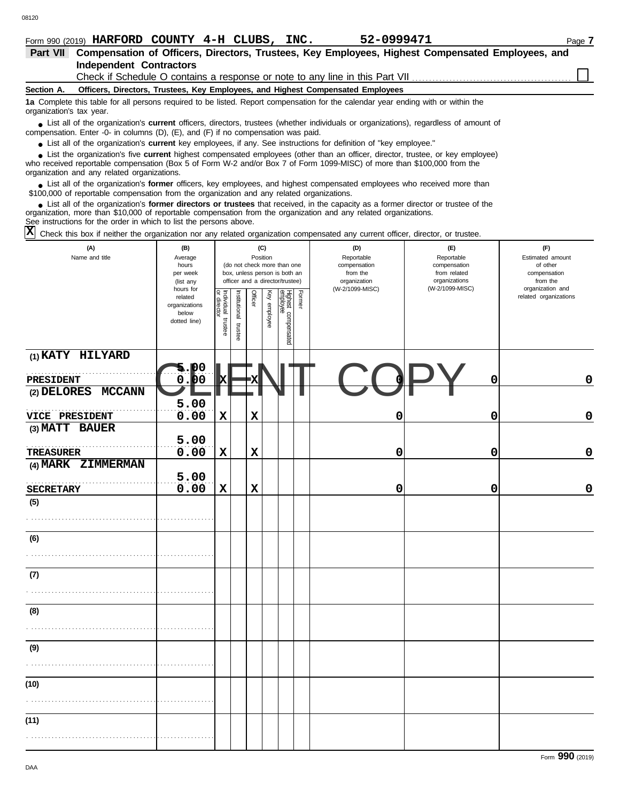| Form 990 (2019) HARFORD COUNTY 4-H CLUBS, INC. |  |  |  |
|------------------------------------------------|--|--|--|

| Form 990 (2019) HARFORD COUNTY 4-H CLUBS, INC.                                                                                                                                                                                                                                                                                |                                                                                                                                                                                                                                                                                                          |                                                                                  |                                                                                       | 52-0999471                                                                                                   |  | Page 7 |  |
|-------------------------------------------------------------------------------------------------------------------------------------------------------------------------------------------------------------------------------------------------------------------------------------------------------------------------------|----------------------------------------------------------------------------------------------------------------------------------------------------------------------------------------------------------------------------------------------------------------------------------------------------------|----------------------------------------------------------------------------------|---------------------------------------------------------------------------------------|--------------------------------------------------------------------------------------------------------------|--|--------|--|
| Part VII                                                                                                                                                                                                                                                                                                                      |                                                                                                                                                                                                                                                                                                          |                                                                                  |                                                                                       | Compensation of Officers, Directors, Trustees, Key Employees, Highest Compensated Employees, and             |  |        |  |
| <b>Independent Contractors</b>                                                                                                                                                                                                                                                                                                |                                                                                                                                                                                                                                                                                                          |                                                                                  |                                                                                       |                                                                                                              |  |        |  |
|                                                                                                                                                                                                                                                                                                                               |                                                                                                                                                                                                                                                                                                          |                                                                                  |                                                                                       | Check if Schedule O contains a response or note to any line in this Part VII                                 |  |        |  |
| Section A.                                                                                                                                                                                                                                                                                                                    |                                                                                                                                                                                                                                                                                                          |                                                                                  |                                                                                       | Officers, Directors, Trustees, Key Employees, and Highest Compensated Employees                              |  |        |  |
| 1a Complete this table for all persons required to be listed. Report compensation for the calendar year ending with or within the<br>organization's tax year.                                                                                                                                                                 |                                                                                                                                                                                                                                                                                                          |                                                                                  |                                                                                       |                                                                                                              |  |        |  |
| • List all of the organization's current officers, directors, trustees (whether individuals or organizations), regardless of amount of<br>compensation. Enter -0- in columns (D), (E), and (F) if no compensation was paid.                                                                                                   |                                                                                                                                                                                                                                                                                                          |                                                                                  |                                                                                       |                                                                                                              |  |        |  |
| • List all of the organization's current key employees, if any. See instructions for definition of "key employee."                                                                                                                                                                                                            |                                                                                                                                                                                                                                                                                                          |                                                                                  |                                                                                       |                                                                                                              |  |        |  |
|                                                                                                                                                                                                                                                                                                                               | List the organization's five current highest compensated employees (other than an officer, director, trustee, or key employee)<br>who received reportable compensation (Box 5 of Form W-2 and/or Box 7 of Form 1099-MISC) of more than \$100,000 from the<br>organization and any related organizations. |                                                                                  |                                                                                       |                                                                                                              |  |        |  |
| • List all of the organization's former officers, key employees, and highest compensated employees who received more than<br>\$100,000 of reportable compensation from the organization and any related organizations.                                                                                                        |                                                                                                                                                                                                                                                                                                          |                                                                                  |                                                                                       |                                                                                                              |  |        |  |
| • List all of the organization's former directors or trustees that received, in the capacity as a former director or trustee of the<br>organization, more than \$10,000 of reportable compensation from the organization and any related organizations.<br>See instructions for the order in which to list the persons above. |                                                                                                                                                                                                                                                                                                          |                                                                                  |                                                                                       |                                                                                                              |  |        |  |
| Check this box if neither the organization nor any related organization compensated any current officer, director, or trustee.                                                                                                                                                                                                |                                                                                                                                                                                                                                                                                                          |                                                                                  |                                                                                       |                                                                                                              |  |        |  |
| (C)<br>(A)<br>(B)<br>Position<br>Name and title<br>Average<br>(do not check more than one<br>hours<br>box, unless person is both an<br>per week<br>officer and a director/trustee)<br>(list any<br>hours for<br>Individual<br>Former<br>Institutional<br>Key<br>Officer<br>related<br>organizations<br>below                  |                                                                                                                                                                                                                                                                                                          | (D)<br>Reportable<br>compensation<br>from the<br>organization<br>(W-2/1099-MISC) | (E)<br>Reportable<br>compensation<br>from related<br>organizations<br>(W-2/1099-MISC) | (F)<br>Estimated amount<br>of other<br>compensation<br>from the<br>organization and<br>related organizations |  |        |  |
| (1) KATY HILYARD                                                                                                                                                                                                                                                                                                              | dotted line)                                                                                                                                                                                                                                                                                             | trustee<br>trustee                                                               | Highest compensated<br>employee<br>employee                                           |                                                                                                              |  |        |  |

CLENT COPY

**0.00 X X 0 0 0**

**0.00 X X 0 0 0**

**0.00 X X 0 0 0**

**0.00 X X 0 0 0**

Form **990** (2019)

| (8)  |  |  |  |  |  |
|------|--|--|--|--|--|
|      |  |  |  |  |  |
| (9)  |  |  |  |  |  |
|      |  |  |  |  |  |
| (10) |  |  |  |  |  |
|      |  |  |  |  |  |
| (11) |  |  |  |  |  |

. . . . . . . . . . . . . . . . . . . . . . . . . . . . . . . . . . . . . . . . . . . . . . . . . . . . . . .

. . . . . . . . . . . . . . . . . . . . . . . . . . . . . . . . . . . . . . . . . . . . . . . . . . . . . . .

. . . . . . . . . . . . . . . . . . . . . . . . . . . . . . . . . . . . . . . . . . . . . . . . . . . . . . .

. . . . . . . . . . . . . . . . . . . . . . . . . . . . . . . . . . . . . . . . . . . . . . . . . . . . . . . **TREASURER**

**VICE PRESIDENT**  $0.00$ 

**1.00** 

. . . . . . . . . . . . . . . . . . . . . . . . . . . . . . . . . . . . . . . . . . . . . . . . . . . . . . .

**5.00**

**5.00**

**5.00**

**(2) DELORES MCCANN**

**(4) MARK ZIMMERMAN**

**(3) MATT BAUER**

**PRESIDENT**

**SECRETARY**

**(5)**

**(6)**

**(7)**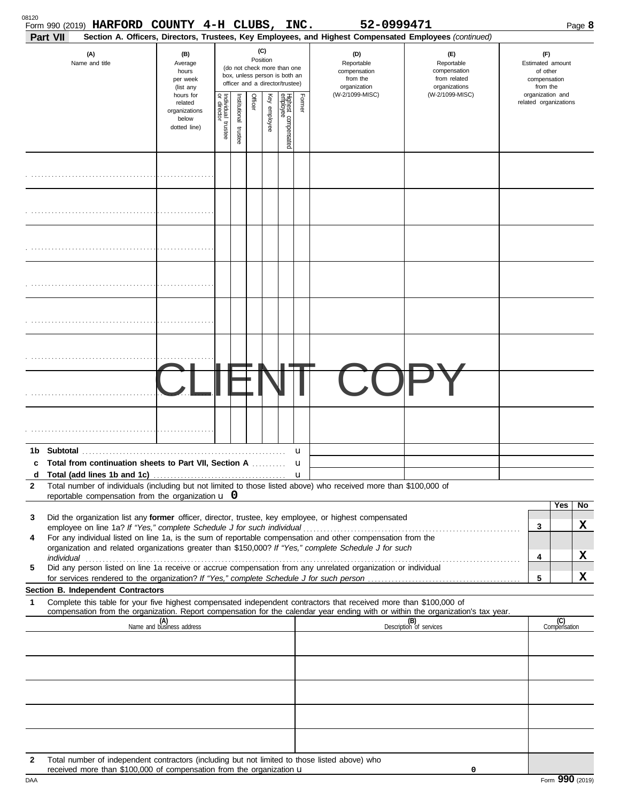| Part VII | Form 990 (2019) HARFORD COUNTY 4-H CLUBS, INC.                                                                                                                        |                                                                                                                                                                                     |                                      |                       |         |              |                                 |                                                               | 52-0999471<br>Section A. Officers, Directors, Trustees, Key Employees, and Highest Compensated Employees (continued)                                                                                                 |                                |                                                                                     |                       |                     | Page 8 |
|----------|-----------------------------------------------------------------------------------------------------------------------------------------------------------------------|-------------------------------------------------------------------------------------------------------------------------------------------------------------------------------------|--------------------------------------|-----------------------|---------|--------------|---------------------------------|---------------------------------------------------------------|----------------------------------------------------------------------------------------------------------------------------------------------------------------------------------------------------------------------|--------------------------------|-------------------------------------------------------------------------------------|-----------------------|---------------------|--------|
|          | (A)<br>Name and title                                                                                                                                                 | (C)<br>(B)<br>Position<br>Average<br>(do not check more than one<br>hours<br>box, unless person is both an<br>per week<br>officer and a director/trustee)<br>(list any<br>hours for |                                      |                       |         |              |                                 | (D)<br>Reportable<br>compensation<br>from the<br>organization | (E)<br>Reportable<br>compensation<br>from related<br>organizations<br>(W-2/1099-MISC)                                                                                                                                |                                | (F)<br>Estimated amount<br>of other<br>compensation<br>from the<br>organization and |                       |                     |        |
|          |                                                                                                                                                                       |                                                                                                                                                                                     | Individual<br>or director<br>trustee | Institutional trustee | Officer | Key employee | Highest compensated<br>employee | Former                                                        | (W-2/1099-MISC)                                                                                                                                                                                                      |                                |                                                                                     | related organizations |                     |        |
|          |                                                                                                                                                                       |                                                                                                                                                                                     |                                      |                       |         |              |                                 |                                                               |                                                                                                                                                                                                                      |                                |                                                                                     |                       |                     |        |
|          |                                                                                                                                                                       |                                                                                                                                                                                     |                                      |                       |         |              |                                 |                                                               |                                                                                                                                                                                                                      |                                |                                                                                     |                       |                     |        |
|          |                                                                                                                                                                       |                                                                                                                                                                                     |                                      |                       |         |              |                                 |                                                               |                                                                                                                                                                                                                      |                                |                                                                                     |                       |                     |        |
|          |                                                                                                                                                                       |                                                                                                                                                                                     |                                      |                       |         |              |                                 |                                                               |                                                                                                                                                                                                                      |                                |                                                                                     |                       |                     |        |
|          |                                                                                                                                                                       |                                                                                                                                                                                     |                                      |                       |         |              |                                 |                                                               |                                                                                                                                                                                                                      |                                |                                                                                     |                       |                     |        |
|          |                                                                                                                                                                       |                                                                                                                                                                                     |                                      |                       |         |              |                                 |                                                               |                                                                                                                                                                                                                      |                                |                                                                                     |                       |                     |        |
|          |                                                                                                                                                                       |                                                                                                                                                                                     |                                      |                       |         |              |                                 |                                                               |                                                                                                                                                                                                                      |                                |                                                                                     |                       |                     |        |
|          |                                                                                                                                                                       |                                                                                                                                                                                     |                                      |                       |         |              |                                 |                                                               |                                                                                                                                                                                                                      |                                |                                                                                     |                       |                     |        |
| 1b.      |                                                                                                                                                                       |                                                                                                                                                                                     |                                      |                       |         |              |                                 | u                                                             |                                                                                                                                                                                                                      |                                |                                                                                     |                       |                     |        |
|          | Total from continuation sheets to Part VII, Section A                                                                                                                 |                                                                                                                                                                                     |                                      |                       |         |              |                                 | u<br>u                                                        |                                                                                                                                                                                                                      |                                |                                                                                     |                       |                     |        |
| 2        | reportable compensation from the organization $\bf{u}$ 0                                                                                                              |                                                                                                                                                                                     |                                      |                       |         |              |                                 |                                                               | Total number of individuals (including but not limited to those listed above) who received more than \$100,000 of                                                                                                    |                                |                                                                                     |                       |                     |        |
| 3        |                                                                                                                                                                       |                                                                                                                                                                                     |                                      |                       |         |              |                                 |                                                               | Did the organization list any former officer, director, trustee, key employee, or highest compensated                                                                                                                |                                |                                                                                     |                       | Yes                 | No.    |
|          |                                                                                                                                                                       |                                                                                                                                                                                     |                                      |                       |         |              |                                 |                                                               |                                                                                                                                                                                                                      |                                |                                                                                     | 3                     |                     | X      |
| 4        |                                                                                                                                                                       |                                                                                                                                                                                     |                                      |                       |         |              |                                 |                                                               | For any individual listed on line 1a, is the sum of reportable compensation and other compensation from the<br>organization and related organizations greater than \$150,000? If "Yes," complete Schedule J for such |                                |                                                                                     |                       |                     |        |
| 5        |                                                                                                                                                                       |                                                                                                                                                                                     |                                      |                       |         |              |                                 |                                                               | Did any person listed on line 1a receive or accrue compensation from any unrelated organization or individual                                                                                                        |                                |                                                                                     | 4                     |                     | x      |
|          |                                                                                                                                                                       |                                                                                                                                                                                     |                                      |                       |         |              |                                 |                                                               |                                                                                                                                                                                                                      |                                |                                                                                     | 5                     |                     | x      |
| 1        | Section B. Independent Contractors                                                                                                                                    |                                                                                                                                                                                     |                                      |                       |         |              |                                 |                                                               | Complete this table for your five highest compensated independent contractors that received more than \$100,000 of                                                                                                   |                                |                                                                                     |                       |                     |        |
|          |                                                                                                                                                                       | (A)<br>Name and business address                                                                                                                                                    |                                      |                       |         |              |                                 |                                                               | compensation from the organization. Report compensation for the calendar year ending with or within the organization's tax year.                                                                                     | (B)<br>Description of services |                                                                                     |                       | (C)<br>Compensation |        |
|          |                                                                                                                                                                       |                                                                                                                                                                                     |                                      |                       |         |              |                                 |                                                               |                                                                                                                                                                                                                      |                                |                                                                                     |                       |                     |        |
|          |                                                                                                                                                                       |                                                                                                                                                                                     |                                      |                       |         |              |                                 |                                                               |                                                                                                                                                                                                                      |                                |                                                                                     |                       |                     |        |
|          |                                                                                                                                                                       |                                                                                                                                                                                     |                                      |                       |         |              |                                 |                                                               |                                                                                                                                                                                                                      |                                |                                                                                     |                       |                     |        |
|          |                                                                                                                                                                       |                                                                                                                                                                                     |                                      |                       |         |              |                                 |                                                               |                                                                                                                                                                                                                      |                                |                                                                                     |                       |                     |        |
| 2        | Total number of independent contractors (including but not limited to those listed above) who<br>received more than \$100,000 of compensation from the organization u |                                                                                                                                                                                     |                                      |                       |         |              |                                 |                                                               |                                                                                                                                                                                                                      | 0                              |                                                                                     |                       |                     |        |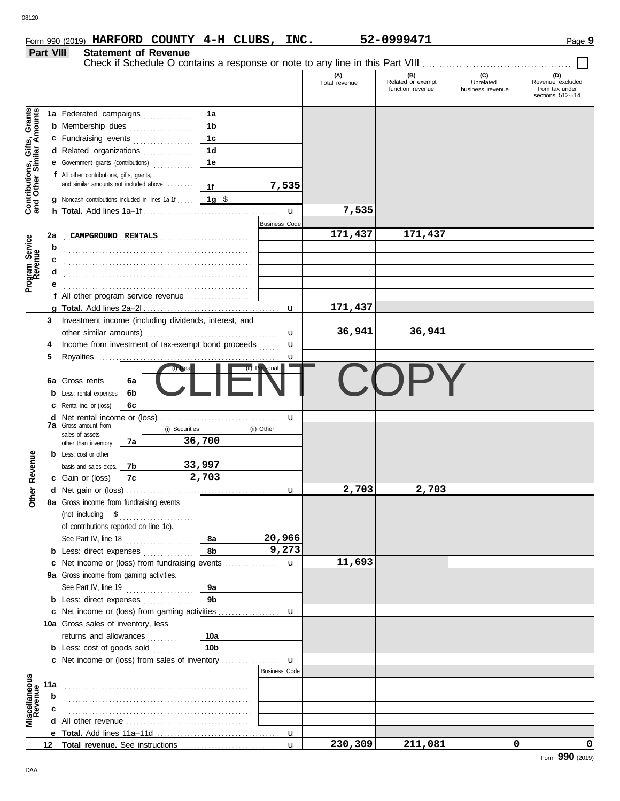**Part VIII Statement of Revenue**

|                                                                  |                  |                                                                                                                                                                                                                                                                                                                                                                                                                                                          |                |                |                      |                      | (A)<br>Total revenue | (B)<br>Related or exempt<br>function revenue | (C)<br>Unrelated<br>business revenue | (D)<br>Revenue excluded<br>from tax under<br>sections 512-514 |
|------------------------------------------------------------------|------------------|----------------------------------------------------------------------------------------------------------------------------------------------------------------------------------------------------------------------------------------------------------------------------------------------------------------------------------------------------------------------------------------------------------------------------------------------------------|----------------|----------------|----------------------|----------------------|----------------------|----------------------------------------------|--------------------------------------|---------------------------------------------------------------|
|                                                                  |                  | 1a Federated campaigns                                                                                                                                                                                                                                                                                                                                                                                                                                   |                |                | 1a                   |                      |                      |                                              |                                      |                                                               |
| <b>Contributions, Gifts, Grants</b><br>and Other Similar Amounts |                  | <b>b</b> Membership dues <i></i>                                                                                                                                                                                                                                                                                                                                                                                                                         |                |                | 1 <sub>b</sub>       |                      |                      |                                              |                                      |                                                               |
|                                                                  |                  | c Fundraising events                                                                                                                                                                                                                                                                                                                                                                                                                                     |                |                | 1 <sub>c</sub>       |                      |                      |                                              |                                      |                                                               |
|                                                                  |                  | d Related organizations                                                                                                                                                                                                                                                                                                                                                                                                                                  |                |                | 1 <sub>d</sub>       |                      |                      |                                              |                                      |                                                               |
|                                                                  |                  | <b>e</b> Government grants (contributions)                                                                                                                                                                                                                                                                                                                                                                                                               |                | .<br>.         | 1e                   |                      |                      |                                              |                                      |                                                               |
|                                                                  |                  | f All other contributions, gifts, grants,                                                                                                                                                                                                                                                                                                                                                                                                                |                |                |                      |                      |                      |                                              |                                      |                                                               |
|                                                                  |                  | and similar amounts not included above                                                                                                                                                                                                                                                                                                                                                                                                                   |                |                | 1f                   | 7,535                |                      |                                              |                                      |                                                               |
|                                                                  |                  | <b>g</b> Noncash contributions included in lines 1a-1f                                                                                                                                                                                                                                                                                                                                                                                                   |                |                | 1g $\sqrt{ }$        |                      |                      |                                              |                                      |                                                               |
|                                                                  |                  |                                                                                                                                                                                                                                                                                                                                                                                                                                                          |                |                |                      | $\mathbf{u}$         | 7,535                |                                              |                                      |                                                               |
|                                                                  |                  |                                                                                                                                                                                                                                                                                                                                                                                                                                                          |                |                |                      | <b>Business Code</b> |                      |                                              |                                      |                                                               |
|                                                                  | 2a               | CAMPGROUND RENTALS                                                                                                                                                                                                                                                                                                                                                                                                                                       |                |                |                      |                      | 171,437              | 171,437                                      |                                      |                                                               |
|                                                                  | b                |                                                                                                                                                                                                                                                                                                                                                                                                                                                          |                |                |                      |                      |                      |                                              |                                      |                                                               |
|                                                                  | c                |                                                                                                                                                                                                                                                                                                                                                                                                                                                          |                |                |                      |                      |                      |                                              |                                      |                                                               |
| Program Service<br>Revenue                                       | d                |                                                                                                                                                                                                                                                                                                                                                                                                                                                          |                |                |                      |                      |                      |                                              |                                      |                                                               |
|                                                                  |                  |                                                                                                                                                                                                                                                                                                                                                                                                                                                          |                |                |                      |                      |                      |                                              |                                      |                                                               |
|                                                                  |                  | f All other program service revenue                                                                                                                                                                                                                                                                                                                                                                                                                      |                |                |                      |                      |                      |                                              |                                      |                                                               |
|                                                                  |                  |                                                                                                                                                                                                                                                                                                                                                                                                                                                          |                |                |                      |                      | 171,437              |                                              |                                      |                                                               |
|                                                                  | 3                | Investment income (including dividends, interest, and                                                                                                                                                                                                                                                                                                                                                                                                    |                |                |                      |                      |                      |                                              |                                      |                                                               |
|                                                                  |                  | other similar amounts)                                                                                                                                                                                                                                                                                                                                                                                                                                   |                |                |                      | u                    | 36,941               | 36,941                                       |                                      |                                                               |
|                                                                  |                  | Income from investment of tax-exempt bond proceeds                                                                                                                                                                                                                                                                                                                                                                                                       |                |                |                      | u                    |                      |                                              |                                      |                                                               |
|                                                                  | 5                | Royalties                                                                                                                                                                                                                                                                                                                                                                                                                                                |                |                |                      | u                    |                      |                                              |                                      |                                                               |
|                                                                  |                  |                                                                                                                                                                                                                                                                                                                                                                                                                                                          |                | $(i)$ Rea      |                      |                      |                      |                                              |                                      |                                                               |
|                                                                  |                  | <b>6a</b> Gross rents                                                                                                                                                                                                                                                                                                                                                                                                                                    | 6а             |                |                      |                      |                      |                                              |                                      |                                                               |
|                                                                  |                  | <b>b</b> Less: rental expenses                                                                                                                                                                                                                                                                                                                                                                                                                           | 6 <sub>b</sub> |                |                      |                      |                      |                                              |                                      |                                                               |
|                                                                  |                  | <b>c</b> Rental inc. or (loss)                                                                                                                                                                                                                                                                                                                                                                                                                           | 6c             |                |                      |                      |                      |                                              |                                      |                                                               |
|                                                                  |                  |                                                                                                                                                                                                                                                                                                                                                                                                                                                          |                |                |                      | u                    |                      |                                              |                                      |                                                               |
|                                                                  |                  | <b>7a</b> Gross amount from<br>sales of assets                                                                                                                                                                                                                                                                                                                                                                                                           |                | (i) Securities |                      | (ii) Other           |                      |                                              |                                      |                                                               |
|                                                                  |                  | other than inventory                                                                                                                                                                                                                                                                                                                                                                                                                                     | 7a             |                | 36,700               |                      |                      |                                              |                                      |                                                               |
|                                                                  |                  | <b>b</b> Less: cost or other                                                                                                                                                                                                                                                                                                                                                                                                                             |                |                |                      |                      |                      |                                              |                                      |                                                               |
|                                                                  |                  | basis and sales exps.                                                                                                                                                                                                                                                                                                                                                                                                                                    | 7b             |                | 33,997               |                      |                      |                                              |                                      |                                                               |
| <b>Other Revenue</b>                                             |                  | c Gain or (loss)                                                                                                                                                                                                                                                                                                                                                                                                                                         | 7c             |                | 2,703                |                      |                      |                                              |                                      |                                                               |
|                                                                  |                  |                                                                                                                                                                                                                                                                                                                                                                                                                                                          |                |                |                      | $\mathbf u$          | 2,703                | 2,703                                        |                                      |                                                               |
|                                                                  |                  | 8a Gross income from fundraising events                                                                                                                                                                                                                                                                                                                                                                                                                  |                |                |                      |                      |                      |                                              |                                      |                                                               |
|                                                                  |                  | $\begin{minipage}[c]{0.9\linewidth} (not including \quad $${\$}\quad \  \  \, \texttt{3}\quad \  \  \, \texttt{4}\quad \  \  \, \texttt{5}\quad \  \  \, \texttt{5}\quad \  \  \, \texttt{6}\quad \  \  \, \texttt{7}\quad \  \  \, \texttt{8}\quad \  \  \, \texttt{8}\quad \  \  \, \texttt{9}\quad \  \  \, \texttt{1}\quad \  \  \, \texttt{8}\quad \  \  \, \texttt{9}\quad \  \  \, \texttt{1}\quad \  \  \, \texttt{1}\quad \  \  \, \texttt{1}\$ |                |                |                      |                      |                      |                                              |                                      |                                                               |
|                                                                  |                  | of contributions reported on line 1c).                                                                                                                                                                                                                                                                                                                                                                                                                   |                |                |                      |                      |                      |                                              |                                      |                                                               |
|                                                                  |                  | See Part IV, line 18                                                                                                                                                                                                                                                                                                                                                                                                                                     |                |                | 8а                   | 20,966               |                      |                                              |                                      |                                                               |
|                                                                  |                  | <b>b</b> Less: direct expenses <i>minimum</i>                                                                                                                                                                                                                                                                                                                                                                                                            |                |                | 8b                   | 9,273                |                      |                                              |                                      |                                                               |
|                                                                  |                  | c Net income or (loss) from fundraising events                                                                                                                                                                                                                                                                                                                                                                                                           |                |                |                      | $\mathbf{u}$         | 11,693               |                                              |                                      |                                                               |
|                                                                  |                  | 9a Gross income from gaming activities.                                                                                                                                                                                                                                                                                                                                                                                                                  |                |                |                      |                      |                      |                                              |                                      |                                                               |
|                                                                  |                  | See Part IV, line 19                                                                                                                                                                                                                                                                                                                                                                                                                                     |                |                | 9а<br>9 <sub>b</sub> |                      |                      |                                              |                                      |                                                               |
|                                                                  |                  | <b>b</b> Less: direct expenses                                                                                                                                                                                                                                                                                                                                                                                                                           |                |                |                      |                      |                      |                                              |                                      |                                                               |
|                                                                  |                  | 10a Gross sales of inventory, less                                                                                                                                                                                                                                                                                                                                                                                                                       |                |                |                      |                      |                      |                                              |                                      |                                                               |
|                                                                  |                  | returns and allowances                                                                                                                                                                                                                                                                                                                                                                                                                                   |                |                | 10a                  |                      |                      |                                              |                                      |                                                               |
|                                                                  |                  | <b>b</b> Less: $cost$ of goods sold $\ldots$                                                                                                                                                                                                                                                                                                                                                                                                             |                | .              | 10 <sub>b</sub>      |                      |                      |                                              |                                      |                                                               |
|                                                                  |                  |                                                                                                                                                                                                                                                                                                                                                                                                                                                          |                |                |                      | $\mathbf{u}$         |                      |                                              |                                      |                                                               |
|                                                                  |                  |                                                                                                                                                                                                                                                                                                                                                                                                                                                          |                |                |                      | <b>Business Code</b> |                      |                                              |                                      |                                                               |
| Miscellaneous<br>Revenue                                         | 11a              |                                                                                                                                                                                                                                                                                                                                                                                                                                                          |                |                |                      |                      |                      |                                              |                                      |                                                               |
|                                                                  | b                |                                                                                                                                                                                                                                                                                                                                                                                                                                                          |                |                |                      |                      |                      |                                              |                                      |                                                               |
|                                                                  | с                |                                                                                                                                                                                                                                                                                                                                                                                                                                                          |                |                |                      |                      |                      |                                              |                                      |                                                               |
|                                                                  |                  |                                                                                                                                                                                                                                                                                                                                                                                                                                                          |                |                |                      |                      |                      |                                              |                                      |                                                               |
|                                                                  |                  |                                                                                                                                                                                                                                                                                                                                                                                                                                                          |                |                |                      |                      |                      |                                              |                                      |                                                               |
|                                                                  | 12 <sup>12</sup> |                                                                                                                                                                                                                                                                                                                                                                                                                                                          |                |                |                      | $\mathbf{u}$         | 230,309              | 211,081                                      | $\mathbf{0}$                         | 0                                                             |
|                                                                  |                  |                                                                                                                                                                                                                                                                                                                                                                                                                                                          |                |                |                      |                      |                      |                                              |                                      |                                                               |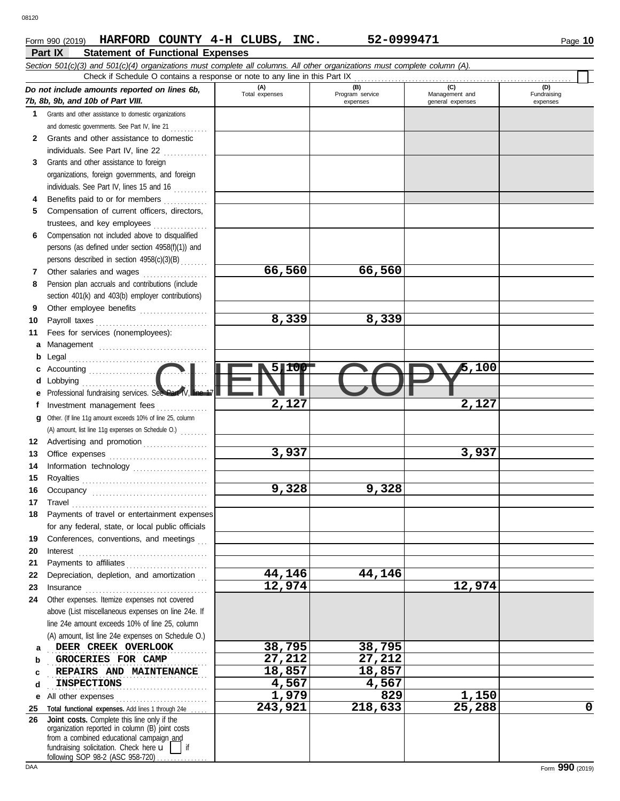#### **Part IX Statement of Functional Expenses Form 990 (2019) HARFORD COUNTY 4-H CLUBS, INC.** 52-0999471 Page 10

|          | Section 501(c)(3) and 501(c)(4) organizations must complete all columns. All other organizations must complete column (A).<br>Check if Schedule O contains a response or note to any line in this Part IX                                                                                                                                                                                                                                                                                                                                                                           |                |                             |                                    |                         |
|----------|-------------------------------------------------------------------------------------------------------------------------------------------------------------------------------------------------------------------------------------------------------------------------------------------------------------------------------------------------------------------------------------------------------------------------------------------------------------------------------------------------------------------------------------------------------------------------------------|----------------|-----------------------------|------------------------------------|-------------------------|
|          | Do not include amounts reported on lines 6b,                                                                                                                                                                                                                                                                                                                                                                                                                                                                                                                                        | (A)            | (B)                         | (C)                                | (D)                     |
|          | 7b, 8b, 9b, and 10b of Part VIII.                                                                                                                                                                                                                                                                                                                                                                                                                                                                                                                                                   | Total expenses | Program service<br>expenses | Management and<br>general expenses | Fundraising<br>expenses |
|          | 1 Grants and other assistance to domestic organizations                                                                                                                                                                                                                                                                                                                                                                                                                                                                                                                             |                |                             |                                    |                         |
|          | and domestic governments. See Part IV, line 21                                                                                                                                                                                                                                                                                                                                                                                                                                                                                                                                      |                |                             |                                    |                         |
| 2        | Grants and other assistance to domestic                                                                                                                                                                                                                                                                                                                                                                                                                                                                                                                                             |                |                             |                                    |                         |
|          | individuals. See Part IV, line 22                                                                                                                                                                                                                                                                                                                                                                                                                                                                                                                                                   |                |                             |                                    |                         |
| 3        | Grants and other assistance to foreign                                                                                                                                                                                                                                                                                                                                                                                                                                                                                                                                              |                |                             |                                    |                         |
|          | organizations, foreign governments, and foreign                                                                                                                                                                                                                                                                                                                                                                                                                                                                                                                                     |                |                             |                                    |                         |
|          | individuals. See Part IV, lines 15 and 16                                                                                                                                                                                                                                                                                                                                                                                                                                                                                                                                           |                |                             |                                    |                         |
| 4        | Benefits paid to or for members                                                                                                                                                                                                                                                                                                                                                                                                                                                                                                                                                     |                |                             |                                    |                         |
| 5        | Compensation of current officers, directors,                                                                                                                                                                                                                                                                                                                                                                                                                                                                                                                                        |                |                             |                                    |                         |
|          | trustees, and key employees                                                                                                                                                                                                                                                                                                                                                                                                                                                                                                                                                         |                |                             |                                    |                         |
| 6        | Compensation not included above to disqualified                                                                                                                                                                                                                                                                                                                                                                                                                                                                                                                                     |                |                             |                                    |                         |
|          | persons (as defined under section 4958(f)(1)) and                                                                                                                                                                                                                                                                                                                                                                                                                                                                                                                                   |                |                             |                                    |                         |
|          | persons described in section 4958(c)(3)(B)                                                                                                                                                                                                                                                                                                                                                                                                                                                                                                                                          |                |                             |                                    |                         |
| 7        | Other salaries and wages<br>.                                                                                                                                                                                                                                                                                                                                                                                                                                                                                                                                                       | 66,560         | 66,560                      |                                    |                         |
| 8        | Pension plan accruals and contributions (include                                                                                                                                                                                                                                                                                                                                                                                                                                                                                                                                    |                |                             |                                    |                         |
|          | section 401(k) and 403(b) employer contributions)                                                                                                                                                                                                                                                                                                                                                                                                                                                                                                                                   |                |                             |                                    |                         |
| 9        | Other employee benefits                                                                                                                                                                                                                                                                                                                                                                                                                                                                                                                                                             |                |                             |                                    |                         |
| 10       | Payroll taxes                                                                                                                                                                                                                                                                                                                                                                                                                                                                                                                                                                       | 8,339          | 8,339                       |                                    |                         |
| 11       | Fees for services (nonemployees):                                                                                                                                                                                                                                                                                                                                                                                                                                                                                                                                                   |                |                             |                                    |                         |
| а        |                                                                                                                                                                                                                                                                                                                                                                                                                                                                                                                                                                                     |                |                             |                                    |                         |
| b        | Legal                                                                                                                                                                                                                                                                                                                                                                                                                                                                                                                                                                               |                |                             |                                    |                         |
| с        |                                                                                                                                                                                                                                                                                                                                                                                                                                                                                                                                                                                     | ltop<br>5 J    |                             | 5,100                              |                         |
| d        | Lobbying                                                                                                                                                                                                                                                                                                                                                                                                                                                                                                                                                                            |                |                             |                                    |                         |
|          | Professional fundraising services. See Part IV,                                                                                                                                                                                                                                                                                                                                                                                                                                                                                                                                     |                |                             |                                    |                         |
| f        | Investment management fees                                                                                                                                                                                                                                                                                                                                                                                                                                                                                                                                                          | 2,127          |                             | 2,127                              |                         |
| g        | Other. (If line 11g amount exceeds 10% of line 25, column                                                                                                                                                                                                                                                                                                                                                                                                                                                                                                                           |                |                             |                                    |                         |
|          | (A) amount, list line 11g expenses on Schedule O.)                                                                                                                                                                                                                                                                                                                                                                                                                                                                                                                                  |                |                             |                                    |                         |
| 12       | Advertising and promotion                                                                                                                                                                                                                                                                                                                                                                                                                                                                                                                                                           |                |                             |                                    |                         |
| 13       |                                                                                                                                                                                                                                                                                                                                                                                                                                                                                                                                                                                     | 3,937          |                             | 3,937                              |                         |
| 14       |                                                                                                                                                                                                                                                                                                                                                                                                                                                                                                                                                                                     |                |                             |                                    |                         |
| 15       |                                                                                                                                                                                                                                                                                                                                                                                                                                                                                                                                                                                     |                |                             |                                    |                         |
| 16       |                                                                                                                                                                                                                                                                                                                                                                                                                                                                                                                                                                                     | 9,328          | 9,328                       |                                    |                         |
| 17       |                                                                                                                                                                                                                                                                                                                                                                                                                                                                                                                                                                                     |                |                             |                                    |                         |
|          | Payments of travel or entertainment expenses                                                                                                                                                                                                                                                                                                                                                                                                                                                                                                                                        |                |                             |                                    |                         |
|          | for any federal, state, or local public officials                                                                                                                                                                                                                                                                                                                                                                                                                                                                                                                                   |                |                             |                                    |                         |
| 19       | Conferences, conventions, and meetings                                                                                                                                                                                                                                                                                                                                                                                                                                                                                                                                              |                |                             |                                    |                         |
| 20       | Interest                                                                                                                                                                                                                                                                                                                                                                                                                                                                                                                                                                            |                |                             |                                    |                         |
| 21<br>22 | Payments to affiliates<br>Depreciation, depletion, and amortization                                                                                                                                                                                                                                                                                                                                                                                                                                                                                                                 | 44,146         | 44,146                      |                                    |                         |
| 23       |                                                                                                                                                                                                                                                                                                                                                                                                                                                                                                                                                                                     | 12,974         |                             | 12,974                             |                         |
| 24       | $In surface \begin{tabular}{@{}l@{}} \hline \multicolumn{3}{c}{\textbf{Insurance}} \\ \hline \multicolumn{3}{c}{\textbf{Insurance}} \\ \hline \multicolumn{3}{c}{\textbf{Insurance}} \\ \hline \multicolumn{3}{c}{\textbf{Insurance}} \\ \hline \multicolumn{3}{c}{\textbf{Insurance}} \\ \hline \multicolumn{3}{c}{\textbf{Insurance}} \\ \hline \multicolumn{3}{c}{\textbf{Insurance}} \\ \hline \multicolumn{3}{c}{\textbf{Insurance}} \\ \hline \multicolumn{3}{c}{\textbf{Insurance}} \\ \hline \multicolumn{3}{c}{\textbf{In$<br>Other expenses. Itemize expenses not covered |                |                             |                                    |                         |
|          | above (List miscellaneous expenses on line 24e. If                                                                                                                                                                                                                                                                                                                                                                                                                                                                                                                                  |                |                             |                                    |                         |
|          | line 24e amount exceeds 10% of line 25, column                                                                                                                                                                                                                                                                                                                                                                                                                                                                                                                                      |                |                             |                                    |                         |
|          | (A) amount, list line 24e expenses on Schedule O.)                                                                                                                                                                                                                                                                                                                                                                                                                                                                                                                                  |                |                             |                                    |                         |
| a        | DEER CREEK OVERLOOK                                                                                                                                                                                                                                                                                                                                                                                                                                                                                                                                                                 | 38,795         | 38,795                      |                                    |                         |
| b        | GROCERIES FOR CAMP                                                                                                                                                                                                                                                                                                                                                                                                                                                                                                                                                                  | 27,212         | 27,212                      |                                    |                         |
| c        | REPAIRS AND MAINTENANCE                                                                                                                                                                                                                                                                                                                                                                                                                                                                                                                                                             | 18,857         | 18,857                      |                                    |                         |
| d        | <b>INSPECTIONS</b>                                                                                                                                                                                                                                                                                                                                                                                                                                                                                                                                                                  | 4,567          | 4,567                       |                                    |                         |
| е        | All other expenses                                                                                                                                                                                                                                                                                                                                                                                                                                                                                                                                                                  | 1,979          | 829                         | 1,150                              |                         |
| 25       | Total functional expenses. Add lines 1 through 24e                                                                                                                                                                                                                                                                                                                                                                                                                                                                                                                                  | 243,921        | 218,633                     | 25,288                             | $\mathbf 0$             |
| 26       | Joint costs. Complete this line only if the                                                                                                                                                                                                                                                                                                                                                                                                                                                                                                                                         |                |                             |                                    |                         |
|          | organization reported in column (B) joint costs                                                                                                                                                                                                                                                                                                                                                                                                                                                                                                                                     |                |                             |                                    |                         |
|          | from a combined educational campaign and<br>fundraising solicitation. Check here $\mathbf{u}$<br>if                                                                                                                                                                                                                                                                                                                                                                                                                                                                                 |                |                             |                                    |                         |
|          | following SOP 98-2 (ASC 958-720)                                                                                                                                                                                                                                                                                                                                                                                                                                                                                                                                                    |                |                             |                                    |                         |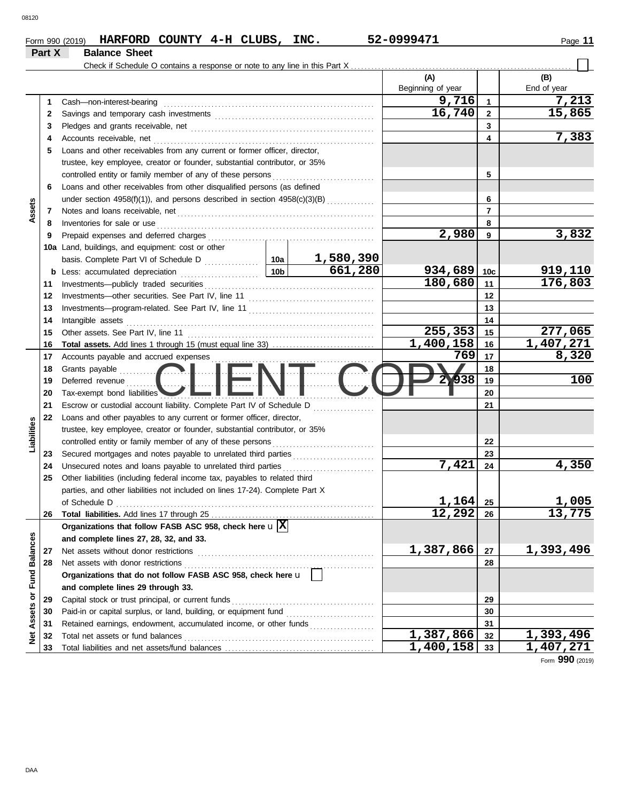| Form 990 (2019) | HARFORD COUNTY 4-H CLUBS, |  | INC. | 52-0999471 | Page |
|-----------------|---------------------------|--|------|------------|------|
| Part X          | <b>Balance Sheet</b>      |  |      |            |      |

|                 |    |                                                                              |                 |                     | (A)               |                 | (B)         |
|-----------------|----|------------------------------------------------------------------------------|-----------------|---------------------|-------------------|-----------------|-------------|
|                 |    |                                                                              |                 |                     | Beginning of year |                 | End of year |
|                 | 1  | Cash-non-interest-bearing                                                    |                 |                     | 9,716             | $\mathbf{1}$    | 7,213       |
|                 | 2  |                                                                              |                 |                     | 16,740            | $\mathbf{2}$    | 15,865      |
|                 | 3  |                                                                              |                 |                     |                   | 3               |             |
|                 | 4  | Accounts receivable, net                                                     |                 |                     |                   | 4               | 7,383       |
|                 | 5  | Loans and other receivables from any current or former officer, director,    |                 |                     |                   |                 |             |
|                 |    | trustee, key employee, creator or founder, substantial contributor, or 35%   |                 |                     |                   |                 |             |
|                 |    | controlled entity or family member of any of these persons                   |                 |                     |                   | 5               |             |
|                 | 6  | Loans and other receivables from other disqualified persons (as defined      |                 |                     |                   |                 |             |
|                 |    | under section 4958(f)(1)), and persons described in section 4958(c)(3)(B)    |                 |                     |                   | 6               |             |
| Assets          | 7  |                                                                              |                 |                     |                   | $\overline{7}$  |             |
|                 | 8  | Inventories for sale or use                                                  |                 |                     |                   | 8               |             |
|                 | 9  | Prepaid expenses and deferred charges                                        |                 |                     | 2,980             | 9               | 3,832       |
|                 |    | 10a Land, buildings, and equipment: cost or other                            |                 |                     |                   |                 |             |
|                 |    |                                                                              |                 | 1,580,390           |                   |                 |             |
|                 |    | <b>b</b> Less: accumulated depreciation                                      | 10 <sub>b</sub> | 661,280             | 934,689           | 10 <sub>c</sub> | 919,110     |
|                 | 11 | Investments-publicly traded securities                                       |                 |                     | 180,680           | 11              | 176,803     |
|                 | 12 | Investments-other securities. See Part IV, line 11                           |                 |                     |                   | 12              |             |
|                 | 13 |                                                                              |                 |                     |                   | 13              |             |
|                 | 14 | Intangible assets                                                            |                 |                     |                   | 14              |             |
|                 | 15 | Other assets. See Part IV, line 11                                           |                 |                     | 255,353           | 15              | 277,065     |
|                 | 16 | Total assets. Add lines 1 through 15 (must equal line 33)                    |                 |                     | 1,400,158         | 16              | 1,407,271   |
|                 | 17 | Accounts payable and accrued expenses                                        |                 |                     | 769               | 17              | 8,320       |
|                 | 18 | Grants payable <b>All Accords</b>                                            |                 |                     |                   | 18              |             |
|                 | 19 | Deferred revenue                                                             |                 | $\mathbf{2}$<br>938 | 19                | 100             |             |
|                 | 20 | Tax-exempt bond liabilities                                                  |                 | 20                  |                   |                 |             |
|                 | 21 | Escrow or custodial account liability. Complete Part IV of Schedule D        |                 |                     |                   | 21              |             |
|                 | 22 | Loans and other payables to any current or former officer, director,         |                 |                     |                   |                 |             |
| Liabilities     |    | trustee, key employee, creator or founder, substantial contributor, or 35%   |                 |                     |                   |                 |             |
|                 |    | controlled entity or family member of any of these persons                   |                 |                     |                   | 22              |             |
|                 | 23 |                                                                              |                 |                     |                   | 23              |             |
|                 | 24 | Unsecured notes and loans payable to unrelated third parties                 |                 |                     | 7,421             | 24              | 4,350       |
|                 | 25 | Other liabilities (including federal income tax, payables to related third   |                 |                     |                   |                 |             |
|                 |    | parties, and other liabilities not included on lines 17-24). Complete Part X |                 |                     |                   |                 |             |
|                 |    | of Schedule D                                                                |                 |                     | 1,164             | 25              | 1,005       |
|                 |    | 26 Total liabilities. Add lines 17 through 25                                |                 |                     | 12,292            | 26              | 13,775      |
|                 |    | Organizations that follow FASB ASC 958, check here $\mathbf{u} \mathbf{X} $  |                 |                     |                   |                 |             |
| <b>Balances</b> |    | and complete lines 27, 28, 32, and 33.                                       |                 |                     |                   |                 |             |
|                 | 27 | Net assets without donor restrictions                                        |                 |                     | 1,387,866         | 27              | 1,393,496   |
|                 | 28 | Net assets with donor restrictions                                           |                 |                     |                   | 28              |             |
| Fund            |    | Organizations that do not follow FASB ASC 958, check here u                  |                 |                     |                   |                 |             |
|                 |    | and complete lines 29 through 33.                                            |                 |                     |                   |                 |             |
| Assets or       | 29 | Capital stock or trust principal, or current funds                           |                 |                     |                   | 29              |             |
|                 | 30 |                                                                              |                 |                     |                   | 30              |             |
|                 | 31 | Retained earnings, endowment, accumulated income, or other funds             |                 |                     |                   | 31              |             |
| ě               | 32 | Total net assets or fund balances                                            |                 |                     | 1,387,866         | 32              | 1,393,496   |
|                 | 33 |                                                                              |                 |                     | 1,400,158         | 33              | 1,407,271   |

Form **990** (2019)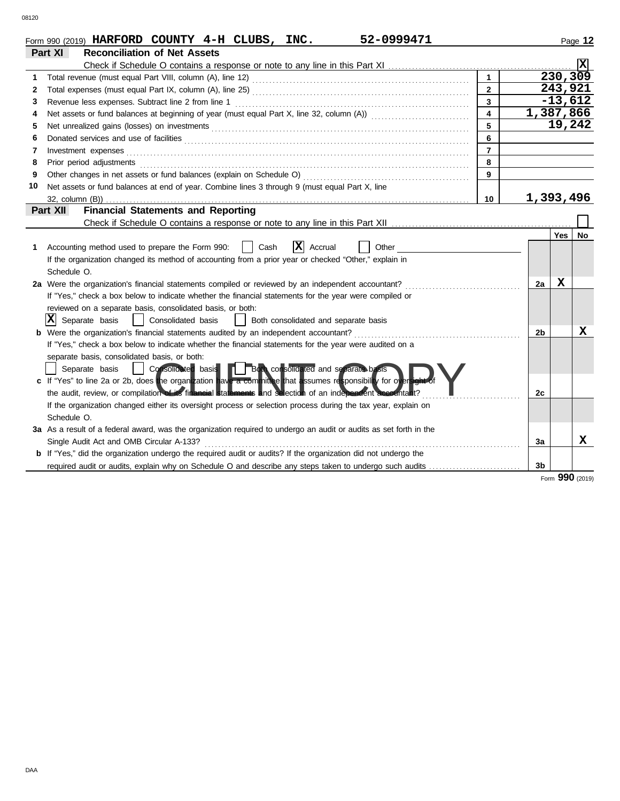|    | 52-0999471<br>Form 990 (2019) HARFORD COUNTY $4-H$ CLUBS, INC.                                                        |                         |           |           | Page 12         |
|----|-----------------------------------------------------------------------------------------------------------------------|-------------------------|-----------|-----------|-----------------|
|    | <b>Reconciliation of Net Assets</b><br>Part XI                                                                        |                         |           |           |                 |
|    |                                                                                                                       |                         |           |           | Iх              |
| 1  |                                                                                                                       |                         |           | 230, 309  |                 |
| 2  |                                                                                                                       | $\mathbf{2}$            |           | 243,921   |                 |
| 3  | Revenue less expenses. Subtract line 2 from line 1                                                                    | $\mathbf{3}$            |           | $-13,612$ |                 |
| 4  | Net assets or fund balances at beginning of year (must equal Part X, line 32, column (A)) [[[[[[[[[[[[[[[[[[[         | $\overline{\mathbf{4}}$ | 1,387,866 |           |                 |
| 5  |                                                                                                                       | 5                       |           | 19,242    |                 |
| 6  |                                                                                                                       | 6                       |           |           |                 |
| 7  | Investment expenses                                                                                                   | $\overline{7}$          |           |           |                 |
| 8  | Prior period adjustments                                                                                              | 8                       |           |           |                 |
| 9  | Other changes in net assets or fund balances (explain on Schedule O)                                                  | 9                       |           |           |                 |
| 10 | Net assets or fund balances at end of year. Combine lines 3 through 9 (must equal Part X, line                        |                         |           |           |                 |
|    |                                                                                                                       | 10                      | 1,393,496 |           |                 |
|    | <b>Financial Statements and Reporting</b><br>Part XII                                                                 |                         |           |           |                 |
|    |                                                                                                                       |                         |           |           |                 |
|    |                                                                                                                       |                         |           | Yes I     | <b>No</b>       |
| 1  | $ \mathbf{X} $ Accrual<br>Accounting method used to prepare the Form 990:<br>Cash<br>Other                            |                         |           |           |                 |
|    | If the organization changed its method of accounting from a prior year or checked "Other," explain in                 |                         |           |           |                 |
|    | Schedule O.                                                                                                           |                         |           |           |                 |
|    | 2a Were the organization's financial statements compiled or reviewed by an independent accountant?                    |                         | 2a        | x         |                 |
|    | If "Yes," check a box below to indicate whether the financial statements for the year were compiled or                |                         |           |           |                 |
|    | reviewed on a separate basis, consolidated basis, or both:                                                            |                         |           |           |                 |
|    | $ \mathbf{X} $ Separate basis<br>  Consolidated basis<br>Both consolidated and separate basis                         |                         |           |           |                 |
|    | <b>b</b> Were the organization's financial statements audited by an independent accountant?                           |                         | 2b        |           | X               |
|    | If "Yes," check a box below to indicate whether the financial statements for the year were audited on a               |                         |           |           |                 |
|    | separate basis, consolidated basis, or both:                                                                          |                         |           |           |                 |
|    | Consolidated basis <b>De Both consolidated</b> and separate basis<br>Separate basis                                   |                         |           |           |                 |
|    | c If "Yes" to line 2a or 2b, does the organization have a committee that assumes responsibility for oversight of      |                         |           |           |                 |
|    | the audit, review, or compilation of its financial statements and selection of an independent accountant?             |                         | 2c        |           |                 |
|    | If the organization changed either its oversight process or selection process during the tax year, explain on         |                         |           |           |                 |
|    | Schedule O.                                                                                                           |                         |           |           |                 |
|    | 3a As a result of a federal award, was the organization required to undergo an audit or audits as set forth in the    |                         |           |           |                 |
|    | Single Audit Act and OMB Circular A-133?                                                                              |                         | 3a        |           | X               |
|    | <b>b</b> If "Yes," did the organization undergo the required audit or audits? If the organization did not undergo the |                         |           |           |                 |
|    | required audit or audits, explain why on Schedule O and describe any steps taken to undergo such audits               |                         | 3b        |           |                 |
|    |                                                                                                                       |                         |           |           | Form 990 (2019) |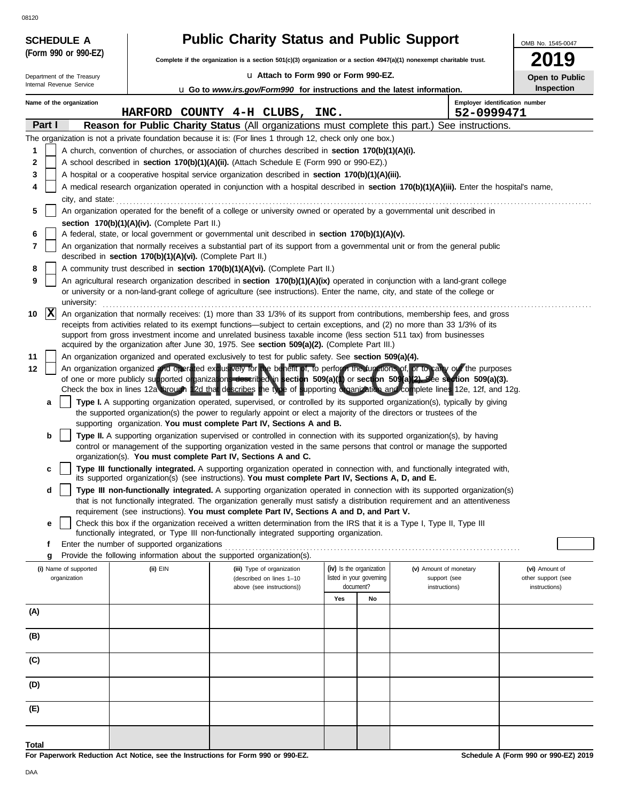An organization organization organization operated exclusively for the benefit of, to perform the functions of, or to carry out the purposes of one or more publicly supported organizations described in section 509(a)(1) or **Employer identification number Name of the organization** Internal Revenue Service Department of the Treasury OMB No. 1545-0047 u **Attach to Form 990 or Form 990-EZ. Complete if the organization is a section 501(c)(3) organization or a section 4947(a)(1) nonexempt charitable trust. (Form 990 or 990-EZ) Part I Reason for Public Charity Status** (All organizations must complete this part.) See instructions. **SCHEDULE A Public Charity Status and Public Support 2019 (i)** Name of supported **Open to Public Inspection** The organization is not a private foundation because it is: (For lines 1 through 12, check only one box.) **1 2 3 4 5 6 7** A church, convention of churches, or association of churches described in **section 170(b)(1)(A)(i).** A school described in **section 170(b)(1)(A)(ii).** (Attach Schedule E (Form 990 or 990-EZ).) A hospital or a cooperative hospital service organization described in **section 170(b)(1)(A)(iii).** A medical research organization operated in conjunction with a hospital described in **section 170(b)(1)(A)(iii).** Enter the hospital's name, city, and state: . . . . . . . . . . . . . . . . . . . . . . . . . . . . . . . . . . . . . . . . . . . . . . . . . . . . . . . . . . . . . . . . . . . . . . . . . . . . . . . . . . . . . . . . . . . . . . . . . . . . . . . . . . . . . . . . . . . . . . . . . . . . . . . . . . . . . . . . . . . . An organization operated for the benefit of a college or university owned or operated by a governmental unit described in **section 170(b)(1)(A)(iv).** (Complete Part II.) A federal, state, or local government or governmental unit described in **section 170(b)(1)(A)(v).** An organization that normally receives a substantial part of its support from a governmental unit or from the general public described in **section 170(b)(1)(A)(vi).** (Complete Part II.) **8** A community trust described in **section 170(b)(1)(A)(vi).** (Complete Part II.) **10** |X| An organization that normally receives: (1) more than 33 1/3% of its support from contributions, membership fees, and gross receipts from activities related to its exempt functions—subject to certain exceptions, and (2) no more than 33 1/3% of its support from gross investment income and unrelated business taxable income (less section 511 tax) from businesses acquired by the organization after June 30, 1975. See **section 509(a)(2).** (Complete Part III.) **11 12** An organization organized and operated exclusively to test for public safety. See **section 509(a)(4).** of one or more publicly supported organizations described in **section 509(a)(1)** or **section 509(a)(2).** See **section 509(a)(3).**  of one or more publicly supported organizations described in section 509(a)(1) or section 509(a)(2). See section 509(a)(3).<br>Check the box in lines 12a through 12d that describes the type of supporting organization and comp **a b c** that is not functionally integrated. The organization generally must satisfy a distribution requirement and an attentiveness **d e f** Enter the number of supported organizations . . . . . . . . . . . . . . . . . . . . . . . . . . . . . . . . . . . . . . . . . . . . . . . . . . . . . . . . . . . . . . . . . . . . . . . . . . . . . . . . . . . . . . . **g** Provide the following information about the supported organization(s). organization **(ii)** EIN **(iii)** Type of organization (described on lines 1–10 document? listed in your governing **(iv)** Is the organization **Yes No (v)** Amount of monetary support (see **Total** u **Go to** *www.irs.gov/Form990* **for instructions and the latest information.** above (see instructions)) **(E) (D) (C) (B) (A)** Check this box if the organization received a written determination from the IRS that it is a Type I, Type II, Type III functionally integrated, or Type III non-functionally integrated supporting organization. **Type III non-functionally integrated.** A supporting organization operated in connection with its supported organization(s) requirement (see instructions). **You must complete Part IV, Sections A and D, and Part V.** its supported organization(s) (see instructions). **You must complete Part IV, Sections A, D, and E. Type III functionally integrated.** A supporting organization operated in connection with, and functionally integrated with, organization(s). **You must complete Part IV, Sections A and C. Type II.** A supporting organization supervised or controlled in connection with its supported organization(s), by having control or management of the supporting organization vested in the same persons that control or manage the supported the supported organization(s) the power to regularly appoint or elect a majority of the directors or trustees of the **Type I.** A supporting organization operated, supervised, or controlled by its supported organization(s), typically by giving supporting organization. **You must complete Part IV, Sections A and B.** instructions) instructions) other support (see **(vi)** Amount of **9**  $\vert$  An agricultural research organization described in **section 170(b)(1)(A)(ix)** operated in conjunction with a land-grant college or university or a non-land-grant college of agriculture (see instructions). Enter the name, city, and state of the college or university: . . . . . . . . . . . . . . . . . . . . . . . . . . . . . . . . . . . . . . . . . . . . . . . . . . . . . . . . . . . . . . . . . . . . . . . . . . . . . . . . . . . . . . . . . . . . . . . . . . . . . . . . . . . . . . . . . . . . . . . . . . . . . . . . . . . . . . . . . . . . . . . . **HARFORD COUNTY 4-H CLUBS, INC. 52-0999471 X**

**For Paperwork Reduction Act Notice, see the Instructions for Form 990 or 990-EZ.**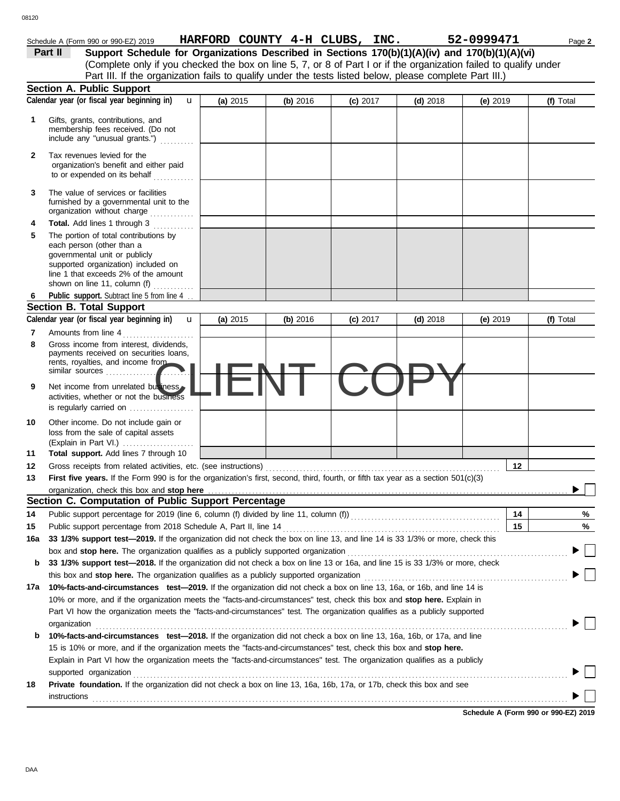|     | Support Schedule for Organizations Described in Sections 170(b)(1)(A)(iv) and 170(b)(1)(A)(vi)<br>Part II<br>(Complete only if you checked the box on line 5, 7, or 8 of Part I or if the organization failed to qualify under                   |          |          |            |            |            |           |
|-----|--------------------------------------------------------------------------------------------------------------------------------------------------------------------------------------------------------------------------------------------------|----------|----------|------------|------------|------------|-----------|
|     | Part III. If the organization fails to qualify under the tests listed below, please complete Part III.)                                                                                                                                          |          |          |            |            |            |           |
|     | <b>Section A. Public Support</b>                                                                                                                                                                                                                 |          |          |            |            |            |           |
|     | Calendar year (or fiscal year beginning in)<br>$\mathbf{u}$                                                                                                                                                                                      | (a) 2015 | (b) 2016 | (c) 2017   | $(d)$ 2018 | (e) $2019$ | (f) Total |
| 1   | Gifts, grants, contributions, and<br>membership fees received. (Do not<br>include any "unusual grants.")                                                                                                                                         |          |          |            |            |            |           |
| 2   | Tax revenues levied for the<br>organization's benefit and either paid<br>to or expended on its behalf                                                                                                                                            |          |          |            |            |            |           |
| 3   | The value of services or facilities<br>furnished by a governmental unit to the<br>organization without charge<br>.                                                                                                                               |          |          |            |            |            |           |
| 4   | <b>Total.</b> Add lines 1 through 3                                                                                                                                                                                                              |          |          |            |            |            |           |
| 5   | The portion of total contributions by<br>each person (other than a<br>governmental unit or publicly<br>supported organization) included on<br>line 1 that exceeds 2% of the amount<br>shown on line 11, column (f)                               |          |          |            |            |            |           |
|     | Public support. Subtract line 5 from line 4                                                                                                                                                                                                      |          |          |            |            |            |           |
|     | <b>Section B. Total Support</b>                                                                                                                                                                                                                  |          |          |            |            |            |           |
|     | Calendar year (or fiscal year beginning in)<br>$\mathbf{u}$                                                                                                                                                                                      | (a) 2015 | (b) 2016 | $(c)$ 2017 | $(d)$ 2018 | $(e)$ 2019 | (f) Total |
| 7   | Amounts from line 4                                                                                                                                                                                                                              |          |          |            |            |            |           |
| 8   | Gross income from interest, dividends,<br>payments received on securities loans,<br>rents, royalties, and income from<br>similar sources                                                                                                         |          |          |            |            |            |           |
| 9   | Net income from unrelated business<br>activities, whether or not the business<br>is regularly carried on                                                                                                                                         |          |          |            |            |            |           |
| 10  | Other income. Do not include gain or<br>loss from the sale of capital assets<br>(Explain in Part VI.)                                                                                                                                            |          |          |            |            |            |           |
| 11  | Total support. Add lines 7 through 10                                                                                                                                                                                                            |          |          |            |            |            |           |
| 12  | Gross receipts from related activities, etc. (see instructions)                                                                                                                                                                                  |          |          |            |            | 12         |           |
| 13  | First five years. If the Form 990 is for the organization's first, second, third, fourth, or fifth tax year as a section 501(c)(3)                                                                                                               |          |          |            |            |            |           |
|     | organization, check this box and stop here                                                                                                                                                                                                       |          |          |            |            |            |           |
|     | Section C. Computation of Public Support Percentage                                                                                                                                                                                              |          |          |            |            |            |           |
| 14  | Public support percentage for 2019 (line 6, column (f) divided by line 11, column (f)) [[[[[[[[[[[[[[[[[[[[[[                                                                                                                                    |          |          |            |            | 14         | %         |
| 15  | Public support percentage from 2018 Schedule A, Part II, line 14                                                                                                                                                                                 |          |          |            |            | 15         | %         |
| 16a | 33 1/3% support test-2019. If the organization did not check the box on line 13, and line 14 is 33 1/3% or more, check this                                                                                                                      |          |          |            |            |            |           |
|     | box and stop here. The organization qualifies as a publicly supported organization [11] content content content content of the content of the state of the state of the state of the state of the state of the state of the st                   |          |          |            |            |            |           |
| b   | 33 1/3% support test-2018. If the organization did not check a box on line 13 or 16a, and line 15 is 33 1/3% or more, check                                                                                                                      |          |          |            |            |            |           |
|     |                                                                                                                                                                                                                                                  |          |          |            |            |            |           |
| 17а | 10%-facts-and-circumstances test-2019. If the organization did not check a box on line 13, 16a, or 16b, and line 14 is                                                                                                                           |          |          |            |            |            |           |
|     | 10% or more, and if the organization meets the "facts-and-circumstances" test, check this box and stop here. Explain in                                                                                                                          |          |          |            |            |            |           |
|     | Part VI how the organization meets the "facts-and-circumstances" test. The organization qualifies as a publicly supported<br>organization<br><u>expanization</u>                                                                                 |          |          |            |            |            |           |
| b   | 10%-facts-and-circumstances test-2018. If the organization did not check a box on line 13, 16a, 16b, or 17a, and line                                                                                                                            |          |          |            |            |            |           |
|     | 15 is 10% or more, and if the organization meets the "facts-and-circumstances" test, check this box and stop here.<br>Explain in Part VI how the organization meets the "facts-and-circumstances" test. The organization qualifies as a publicly |          |          |            |            |            |           |
| 18  | supported organization<br>Private foundation. If the organization did not check a box on line 13, 16a, 16b, 17a, or 17b, check this box and see                                                                                                  |          |          |            |            |            |           |
|     | instructions                                                                                                                                                                                                                                     |          |          |            |            |            |           |

**Schedule A (Form 990 or 990-EZ) 2019**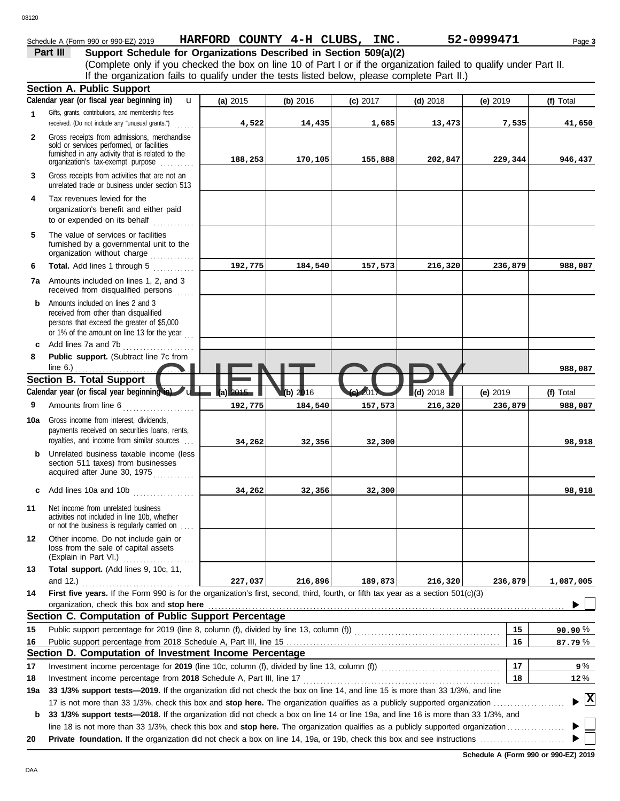#### 08120

**6**

| 3120           |                                                                                                                                                                                                                                                                                                                                         |                                |          |            |            |            |           |
|----------------|-----------------------------------------------------------------------------------------------------------------------------------------------------------------------------------------------------------------------------------------------------------------------------------------------------------------------------------------|--------------------------------|----------|------------|------------|------------|-----------|
|                | Schedule A (Form 990 or 990-EZ) 2019                                                                                                                                                                                                                                                                                                    | HARFORD COUNTY 4-H CLUBS, INC. |          |            |            | 52-0999471 | Page 3    |
|                | Support Schedule for Organizations Described in Section 509(a)(2)<br>Part III<br>(Complete only if you checked the box on line 10 of Part I or if the organization failed to qualify under Part II.<br>If the organization fails to qualify under the tests listed below, please complete Part II.)<br><b>Section A. Public Support</b> |                                |          |            |            |            |           |
|                | Calendar year (or fiscal year beginning in)<br>u                                                                                                                                                                                                                                                                                        | (a) $2015$                     | (b) 2016 | $(c)$ 2017 | $(d)$ 2018 | (e) $2019$ | (f) Total |
| 1              | Gifts, grants, contributions, and membership fees<br>received. (Do not include any "unusual grants.")                                                                                                                                                                                                                                   | 4,522                          | 14,435   | 1,685      | 13,473     | 7,535      | 41,650    |
| $\overline{2}$ | Gross receipts from admissions, merchandise<br>sold or services performed, or facilities<br>furnished in any activity that is related to the<br>organization's fax-exempt purpose                                                                                                                                                       | 188,253                        | 170,105  | 155,888    | 202,847    | 229,344    | 946,437   |
| 3              | Gross receipts from activities that are not an<br>unrelated trade or business under section 513                                                                                                                                                                                                                                         |                                |          |            |            |            |           |
| 4              | Tax revenues levied for the<br>organization's benefit and either paid<br>to or expended on its behalf                                                                                                                                                                                                                                   |                                |          |            |            |            |           |
| 5              | The value of services or facilities<br>furnished by a governmental unit to the<br>organization without charge                                                                                                                                                                                                                           |                                |          |            |            |            |           |

|      | .                                     |
|------|---------------------------------------|
| 7a l | Amounts included on lines 1, 2, and 3 |
|      | received from disqualified persons    |

**Total.** Add lines 1 through 5

- **b** Amounts included on lines 2 and 3 received from other than disqualified persons that exceed the greater of \$5,000 or 1% of the amount on line 13 for the year  $\ldots$
- **8 Public support.** (Subtract line 7c from **c** Add lines 7a and 7b . . . . . . . . . . . . . . . . . . . . .
- Section B. Total Support<br>Calendar year (or fiscal year beginning to a state of the state of the state of the state of the state of the<br>B. Amounts from line 6 Amounts from line 6 . . . . . . . . . . . . **9 (f)** Total line 6.) . . . . . . . . . . . . . . . . . . . . . . . . . . . . . . . . . . . **Calendar year (or fiscal year beginning in) (a)** 2015 **(b)** 2016 **(c)** 2017 **(d)** 2018 **(e)** 2019 u **988,087 192,775 184,540 157,573 216,320 236,879 988,087**

**192,775 184,540 157,573 216,320 236,879 988,087**

**34,262 32,356 32,300 98,918**

**34,262 32,356 32,300 98,918**

- royalties, and income from similar sources . . . payments received on securities loans, rents, **10a** Gross income from interest, dividends,
	- **b** Unrelated business taxable income (less section 511 taxes) from businesses acquired after June 30, 1975
	- **c** Add lines 10a and 10b . . . . . . . . . . . . . . . . . .
	- **11** Net income from unrelated business activities not included in line 10b, whether or not the business is regularly carried on . . . .
	- (Explain in Part VI.) . . . . . . . . . . . . . . . . . . . . . loss from the sale of capital assets **12** Other income. Do not include gain or **13 Total support.** (Add lines 9, 10c, 11, and 12.)

|    | and 12.                                                                                                                                   | 227.037 | 216,896 | 189,873 | 216,320 | 236,879 | L,087,005 |
|----|-------------------------------------------------------------------------------------------------------------------------------------------|---------|---------|---------|---------|---------|-----------|
| 14 | <b>First five years.</b> If the Form 990 is for the organization's first, second, third, fourth, or fifth tax year as a section 501(c)(3) |         |         |         |         |         |           |
|    | organization, check this box and stop here                                                                                                |         |         |         |         |         |           |

| Section C. Computation of Public Support Percentage                                        |
|--------------------------------------------------------------------------------------------|
| 15 Public support percentage for 2019 (line 8, column (f), divided by line 13, column (f)) |
|                                                                                            |

#### **Section D. Computation of Investment Income Percentage**

Investment income percentage for **2019** (line 10c, column (f), divided by line 13, column (f))  $\ldots$ **17**

**18** Investment income percentage from **2018** Schedule A, Part III, line 17 . . . . . . . . . . . . . . . . . . . . . . . . . . . . . . . . . . . . . . . . . . . . . . . . . . . . . . . . . .

17 is not more than 33 1/3%, check this box and **stop here.** The organization qualifies as a publicly supported organization . . . . . . . . . . . . . . . . . . . . . **19a 33 1/3% support tests—2019.** If the organization did not check the box on line 14, and line 15 is more than 33 1/3%, and line

**b 33 1/3% support tests—2018.** If the organization did not check a box on line 14 or line 19a, and line 16 is more than 33 1/3%, and line 18 is not more than 33 1/3%, check this box and **stop here.** The organization qualifies as a publicly supported organization . . . . . . . . . . . . . . . . .

**20 Private foundation.** If the organization did not check a box on line 14, 19a, or 19b, check this box and see instructions . . . . . . . . . . . . . . . . . . . . . . . . .

**Schedule A (Form 990 or 990-EZ) 2019**

**16 15**

**17 18** % **87.79** % **90.90**

> % **9** % **12**

**X**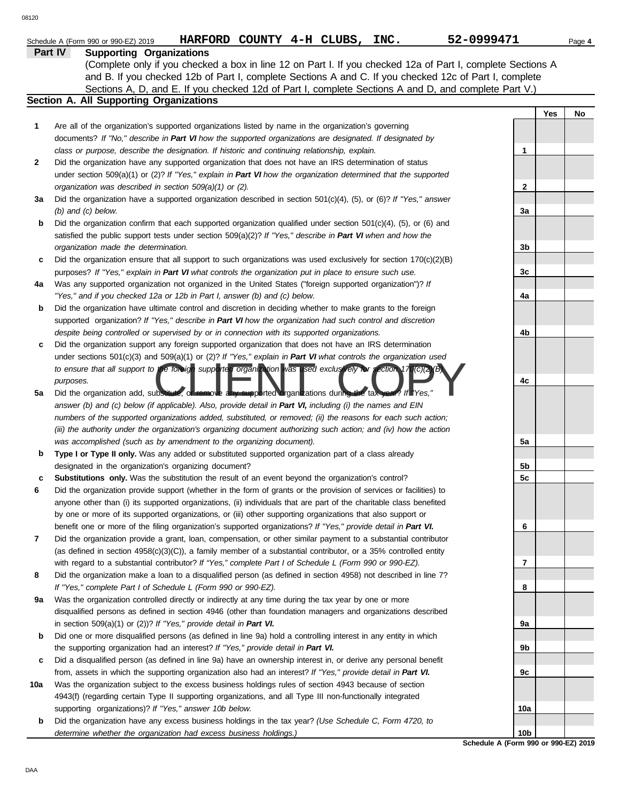|     | HARFORD COUNTY 4-H CLUBS, INC.<br>Schedule A (Form 990 or 990-EZ) 2019                                                                                                                                                                                              | 52-0999471                                              |     | Page 4 |
|-----|---------------------------------------------------------------------------------------------------------------------------------------------------------------------------------------------------------------------------------------------------------------------|---------------------------------------------------------|-----|--------|
|     | <b>Supporting Organizations</b><br>Part IV<br>(Complete only if you checked a box in line 12 on Part I. If you checked 12a of Part I, complete Sections A<br>and B. If you checked 12b of Part I, complete Sections A and C. If you checked 12c of Part I, complete |                                                         |     |        |
|     | Sections A, D, and E. If you checked 12d of Part I, complete Sections A and D, and complete Part V.)                                                                                                                                                                |                                                         |     |        |
|     | Section A. All Supporting Organizations                                                                                                                                                                                                                             |                                                         | Yes | No     |
| 1   | Are all of the organization's supported organizations listed by name in the organization's governing                                                                                                                                                                |                                                         |     |        |
|     | documents? If "No," describe in Part VI how the supported organizations are designated. If designated by                                                                                                                                                            |                                                         |     |        |
|     | class or purpose, describe the designation. If historic and continuing relationship, explain.                                                                                                                                                                       | $\mathbf 1$                                             |     |        |
| 2   | Did the organization have any supported organization that does not have an IRS determination of status<br>under section 509(a)(1) or (2)? If "Yes," explain in Part VI how the organization determined that the supported                                           |                                                         |     |        |
|     | organization was described in section 509(a)(1) or (2).                                                                                                                                                                                                             | $\mathbf{2}$                                            |     |        |
| За  | Did the organization have a supported organization described in section $501(c)(4)$ , (5), or (6)? If "Yes," answer                                                                                                                                                 |                                                         |     |        |
|     | $(b)$ and $(c)$ below.                                                                                                                                                                                                                                              | За                                                      |     |        |
| b   | Did the organization confirm that each supported organization qualified under section $501(c)(4)$ , $(5)$ , or $(6)$ and                                                                                                                                            |                                                         |     |        |
|     | satisfied the public support tests under section 509(a)(2)? If "Yes," describe in Part VI when and how the                                                                                                                                                          |                                                         |     |        |
|     | organization made the determination.                                                                                                                                                                                                                                | 3b                                                      |     |        |
| c   | Did the organization ensure that all support to such organizations was used exclusively for section $170(c)(2)(B)$                                                                                                                                                  |                                                         |     |        |
|     | purposes? If "Yes," explain in Part VI what controls the organization put in place to ensure such use.                                                                                                                                                              | 3c                                                      |     |        |
| 4a  | Was any supported organization not organized in the United States ("foreign supported organization")? If                                                                                                                                                            |                                                         |     |        |
|     | "Yes," and if you checked 12a or 12b in Part I, answer (b) and (c) below.                                                                                                                                                                                           | 4a                                                      |     |        |
| b   | Did the organization have ultimate control and discretion in deciding whether to make grants to the foreign<br>supported organization? If "Yes," describe in Part VI how the organization had such control and discretion                                           |                                                         |     |        |
|     | despite being controlled or supervised by or in connection with its supported organizations.                                                                                                                                                                        | 4b                                                      |     |        |
| c   | Did the organization support any foreign supported organization that does not have an IRS determination                                                                                                                                                             |                                                         |     |        |
|     | under sections $501(c)(3)$ and $509(a)(1)$ or $(2)?$ If "Yes," explain in Part VI what controls the organization used                                                                                                                                               |                                                         |     |        |
|     | to ensure that all support to the foreign supported organization was used exclusively for section 17 (C)(2) B)                                                                                                                                                      |                                                         |     |        |
|     | purposes.                                                                                                                                                                                                                                                           | 4c                                                      |     |        |
| 5a  | Did the organization add, substitute, or remove any supported organizations during the tax year? If Yes,"                                                                                                                                                           |                                                         |     |        |
|     | answer (b) and (c) below (if applicable). Also, provide detail in Part VI, including (i) the names and EIN                                                                                                                                                          |                                                         |     |        |
|     | numbers of the supported organizations added, substituted, or removed; (ii) the reasons for each such action;                                                                                                                                                       |                                                         |     |        |
|     | (iii) the authority under the organization's organizing document authorizing such action; and (iv) how the action                                                                                                                                                   |                                                         |     |        |
|     | was accomplished (such as by amendment to the organizing document).                                                                                                                                                                                                 | 5a                                                      |     |        |
| b   | Type I or Type II only. Was any added or substituted supported organization part of a class already<br>designated in the organization's organizing document?                                                                                                        | 5b                                                      |     |        |
| c   | Substitutions only. Was the substitution the result of an event beyond the organization's control?                                                                                                                                                                  | 5c                                                      |     |        |
| 6   | Did the organization provide support (whether in the form of grants or the provision of services or facilities) to                                                                                                                                                  |                                                         |     |        |
|     | anyone other than (i) its supported organizations, (ii) individuals that are part of the charitable class benefited                                                                                                                                                 |                                                         |     |        |
|     | by one or more of its supported organizations, or (iii) other supporting organizations that also support or                                                                                                                                                         |                                                         |     |        |
|     | benefit one or more of the filing organization's supported organizations? If "Yes," provide detail in Part VI.                                                                                                                                                      | 6                                                       |     |        |
| 7   | Did the organization provide a grant, loan, compensation, or other similar payment to a substantial contributor                                                                                                                                                     |                                                         |     |        |
|     | (as defined in section $4958(c)(3)(C)$ ), a family member of a substantial contributor, or a 35% controlled entity                                                                                                                                                  |                                                         |     |        |
|     | with regard to a substantial contributor? If "Yes," complete Part I of Schedule L (Form 990 or 990-EZ).                                                                                                                                                             | 7                                                       |     |        |
| 8   | Did the organization make a loan to a disqualified person (as defined in section 4958) not described in line 7?                                                                                                                                                     |                                                         |     |        |
| 9а  | If "Yes," complete Part I of Schedule L (Form 990 or 990-EZ).<br>Was the organization controlled directly or indirectly at any time during the tax year by one or more                                                                                              | 8                                                       |     |        |
|     | disqualified persons as defined in section 4946 (other than foundation managers and organizations described                                                                                                                                                         |                                                         |     |        |
|     | in section $509(a)(1)$ or (2))? If "Yes," provide detail in Part VI.                                                                                                                                                                                                | 9a                                                      |     |        |
| b   | Did one or more disqualified persons (as defined in line 9a) hold a controlling interest in any entity in which                                                                                                                                                     |                                                         |     |        |
|     | the supporting organization had an interest? If "Yes," provide detail in Part VI.                                                                                                                                                                                   | 9b                                                      |     |        |
| c   | Did a disqualified person (as defined in line 9a) have an ownership interest in, or derive any personal benefit                                                                                                                                                     |                                                         |     |        |
|     | from, assets in which the supporting organization also had an interest? If "Yes," provide detail in Part VI.                                                                                                                                                        | 9с                                                      |     |        |
| 10a | Was the organization subject to the excess business holdings rules of section 4943 because of section                                                                                                                                                               |                                                         |     |        |
|     | 4943(f) (regarding certain Type II supporting organizations, and all Type III non-functionally integrated                                                                                                                                                           |                                                         |     |        |
|     | supporting organizations)? If "Yes," answer 10b below.                                                                                                                                                                                                              | 10a                                                     |     |        |
| b   | Did the organization have any excess business holdings in the tax year? (Use Schedule C, Form 4720, to                                                                                                                                                              |                                                         |     |        |
|     | determine whether the organization had excess business holdings.)                                                                                                                                                                                                   | 10 <sub>b</sub><br>Schodule A (Form 000 or 000-F7) 2010 |     |        |

**Schedule A (Form 990 or 990-EZ) 2019**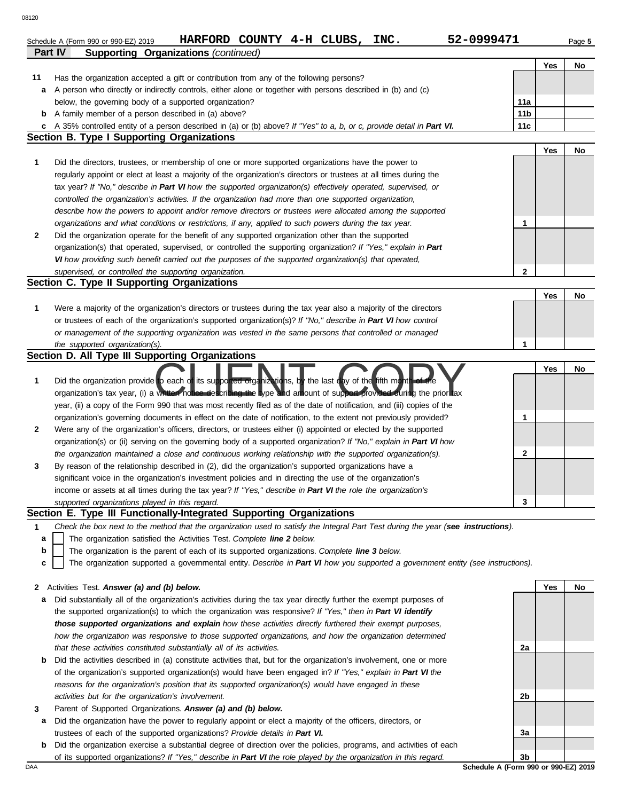|              | HARFORD COUNTY 4-H CLUBS, INC.<br>52-0999471<br>Schedule A (Form 990 or 990-EZ) 2019                                                                                                                                                      |                 |     | Page 5 |
|--------------|-------------------------------------------------------------------------------------------------------------------------------------------------------------------------------------------------------------------------------------------|-----------------|-----|--------|
|              | Part IV<br><b>Supporting Organizations (continued)</b>                                                                                                                                                                                    |                 |     |        |
|              |                                                                                                                                                                                                                                           |                 | Yes | No     |
| 11           | Has the organization accepted a gift or contribution from any of the following persons?<br>A person who directly or indirectly controls, either alone or together with persons described in (b) and (c)                                   |                 |     |        |
| а            | below, the governing body of a supported organization?                                                                                                                                                                                    | 11a             |     |        |
| b            | A family member of a person described in (a) above?                                                                                                                                                                                       | 11 <sub>b</sub> |     |        |
| c            | A 35% controlled entity of a person described in (a) or (b) above? If "Yes" to a, b, or c, provide detail in Part VI.                                                                                                                     | 11c             |     |        |
|              | <b>Section B. Type I Supporting Organizations</b>                                                                                                                                                                                         |                 |     |        |
|              |                                                                                                                                                                                                                                           |                 | Yes | No     |
| 1            | Did the directors, trustees, or membership of one or more supported organizations have the power to                                                                                                                                       |                 |     |        |
|              | regularly appoint or elect at least a majority of the organization's directors or trustees at all times during the                                                                                                                        |                 |     |        |
|              | tax year? If "No," describe in Part VI how the supported organization(s) effectively operated, supervised, or                                                                                                                             |                 |     |        |
|              | controlled the organization's activities. If the organization had more than one supported organization,                                                                                                                                   |                 |     |        |
|              | describe how the powers to appoint and/or remove directors or trustees were allocated among the supported                                                                                                                                 |                 |     |        |
|              | organizations and what conditions or restrictions, if any, applied to such powers during the tax year.                                                                                                                                    | 1               |     |        |
| $\mathbf{2}$ | Did the organization operate for the benefit of any supported organization other than the supported                                                                                                                                       |                 |     |        |
|              | organization(s) that operated, supervised, or controlled the supporting organization? If "Yes," explain in Part                                                                                                                           |                 |     |        |
|              | VI how providing such benefit carried out the purposes of the supported organization(s) that operated,                                                                                                                                    |                 |     |        |
|              | supervised, or controlled the supporting organization.                                                                                                                                                                                    | 2               |     |        |
|              | Section C. Type II Supporting Organizations                                                                                                                                                                                               |                 |     |        |
|              |                                                                                                                                                                                                                                           |                 | Yes | No     |
| 1            | Were a majority of the organization's directors or trustees during the tax year also a majority of the directors                                                                                                                          |                 |     |        |
|              | or trustees of each of the organization's supported organization(s)? If "No," describe in Part VI how control                                                                                                                             |                 |     |        |
|              | or management of the supporting organization was vested in the same persons that controlled or managed                                                                                                                                    |                 |     |        |
|              | the supported organization(s).                                                                                                                                                                                                            | 1               |     |        |
|              | Section D. All Type III Supporting Organizations                                                                                                                                                                                          |                 |     |        |
| 1            | Did the organization provide to each of its supported organizations, by the last day of the fifth month of the<br>organization's tax year, (i) a written notice describing the type and arriount of support provided during the prior tax |                 | Yes | No     |
|              | year, (ii) a copy of the Form 990 that was most recently filed as of the date of notification, and (iii) copies of the                                                                                                                    |                 |     |        |
|              | organization's governing documents in effect on the date of notification, to the extent not previously provided?                                                                                                                          | 1               |     |        |
| 2            | Were any of the organization's officers, directors, or trustees either (i) appointed or elected by the supported                                                                                                                          |                 |     |        |
|              | organization(s) or (ii) serving on the governing body of a supported organization? If "No," explain in Part VI how                                                                                                                        |                 |     |        |
|              | the organization maintained a close and continuous working relationship with the supported organization(s).                                                                                                                               | 2               |     |        |
| 3            | By reason of the relationship described in (2), did the organization's supported organizations have a                                                                                                                                     |                 |     |        |
|              | significant voice in the organization's investment policies and in directing the use of the organization's                                                                                                                                |                 |     |        |
|              | income or assets at all times during the tax year? If "Yes," describe in Part VI the role the organization's                                                                                                                              |                 |     |        |
|              | supported organizations played in this regard.                                                                                                                                                                                            | 3               |     |        |
|              | Section E. Type III Functionally-Integrated Supporting Organizations                                                                                                                                                                      |                 |     |        |
| 1            | Check the box next to the method that the organization used to satisfy the Integral Part Test during the year (see instructions).                                                                                                         |                 |     |        |
| а            | The organization satisfied the Activities Test. Complete line 2 below.                                                                                                                                                                    |                 |     |        |
| b            | The organization is the parent of each of its supported organizations. Complete line 3 below.                                                                                                                                             |                 |     |        |
| c            | The organization supported a governmental entity. Describe in Part VI how you supported a government entity (see instructions).                                                                                                           |                 |     |        |
|              |                                                                                                                                                                                                                                           |                 |     |        |
| 2            | Activities Test. Answer (a) and (b) below.                                                                                                                                                                                                |                 | Yes | No     |

- **a** Did substantially all of the organization's activities during the tax year directly further the exempt purposes of the supported organization(s) to which the organization was responsive? *If "Yes," then in Part VI identify those supported organizations and explain how these activities directly furthered their exempt purposes, how the organization was responsive to those supported organizations, and how the organization determined that these activities constituted substantially all of its activities.*
- **b** Did the activities described in (a) constitute activities that, but for the organization's involvement, one or more of the organization's supported organization(s) would have been engaged in? *If "Yes," explain in Part VI the reasons for the organization's position that its supported organization(s) would have engaged in these activities but for the organization's involvement.*
- **3** Parent of Supported Organizations. *Answer (a) and (b) below.*
	- **a** Did the organization have the power to regularly appoint or elect a majority of the officers, directors, or trustees of each of the supported organizations? *Provide details in Part VI.*
	- **b** Did the organization exercise a substantial degree of direction over the policies, programs, and activities of each of its supported organizations? *If "Yes," describe in Part VI the role played by the organization in this regard.*

**2a 2b 3a 3b**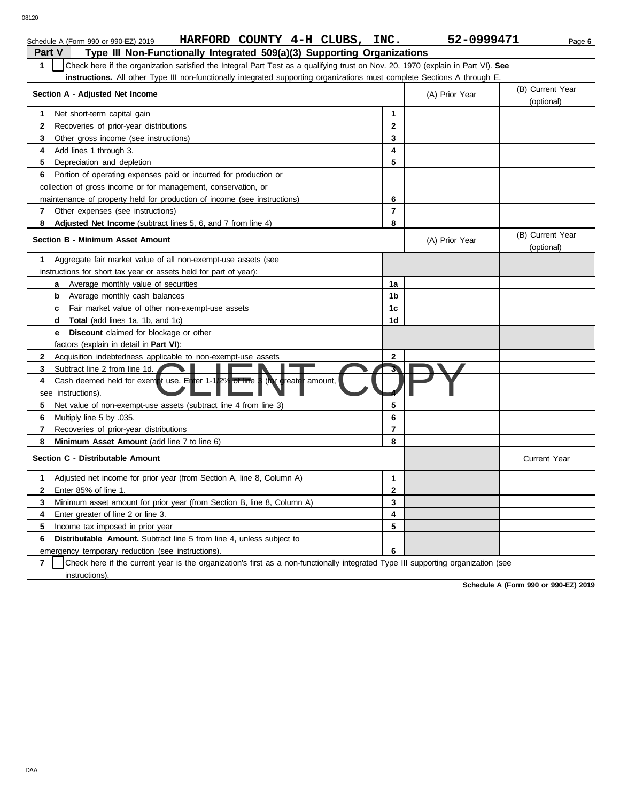| Schedule A (Form 990 or 990-EZ) 2019                                                                                             | HARFORD COUNTY 4-H CLUBS, INC. |  |  |  |  | 52-0999471 | Page 6 |  |  |
|----------------------------------------------------------------------------------------------------------------------------------|--------------------------------|--|--|--|--|------------|--------|--|--|
| Part V<br>Type III Non-Functionally Integrated 509(a)(3) Supporting Organizations                                                |                                |  |  |  |  |            |        |  |  |
| Check here if the organization satisfied the Integral Part Test as a qualifying trust on Nov. 20, 1970 (explain in Part VI). See |                                |  |  |  |  |            |        |  |  |
| instructions. All other Type III non-functionally integrated supporting organizations must complete Sections A through E.        |                                |  |  |  |  |            |        |  |  |

| <b>instructions.</b> All other Type III non-functionally integrated supporting organizations must complete Sections A through E. |                |                |                                |
|----------------------------------------------------------------------------------------------------------------------------------|----------------|----------------|--------------------------------|
| Section A - Adjusted Net Income                                                                                                  |                | (A) Prior Year | (B) Current Year<br>(optional) |
| Net short-term capital gain<br>1                                                                                                 | $\mathbf{1}$   |                |                                |
| $\mathbf{2}$<br>Recoveries of prior-year distributions                                                                           | $\overline{2}$ |                |                                |
| Other gross income (see instructions)<br>3                                                                                       | 3              |                |                                |
| Add lines 1 through 3.<br>4                                                                                                      | 4              |                |                                |
| 5<br>Depreciation and depletion                                                                                                  | 5              |                |                                |
| Portion of operating expenses paid or incurred for production or<br>6                                                            |                |                |                                |
| collection of gross income or for management, conservation, or                                                                   |                |                |                                |
| maintenance of property held for production of income (see instructions)                                                         | 6              |                |                                |
| Other expenses (see instructions)<br>7                                                                                           | $\overline{7}$ |                |                                |
| Adjusted Net Income (subtract lines 5, 6, and 7 from line 4)<br>8                                                                | 8              |                |                                |
| Section B - Minimum Asset Amount                                                                                                 |                | (A) Prior Year | (B) Current Year<br>(optional) |
| Aggregate fair market value of all non-exempt-use assets (see<br>1.                                                              |                |                |                                |
| instructions for short tax year or assets held for part of year):                                                                |                |                |                                |
| <b>a</b> Average monthly value of securities                                                                                     | 1a             |                |                                |
| Average monthly cash balances<br>b                                                                                               | 1b             |                |                                |
| Fair market value of other non-exempt-use assets<br>c                                                                            | 1c             |                |                                |
| <b>Total</b> (add lines 1a, 1b, and 1c)<br>d                                                                                     | 1 <sub>d</sub> |                |                                |
| <b>Discount</b> claimed for blockage or other<br>е                                                                               |                |                |                                |
| factors (explain in detail in <b>Part VI)</b> :                                                                                  |                |                |                                |
| Acquisition indebtedness applicable to non-exempt-use assets<br>$\mathbf{2}$                                                     | $\mathbf{2}$   |                |                                |
| Subtract line 2 from line 1d.<br>3                                                                                               |                |                |                                |
| Cash deemed held for exempt use. Enter 1-1/2% of line 3<br>(for greater amount,<br>4<br>see instructions).                       |                |                |                                |
| 5<br>Net value of non-exempt-use assets (subtract line 4 from line 3)                                                            | 5              |                |                                |
| 6<br>Multiply line 5 by .035.                                                                                                    | 6              |                |                                |
| Recoveries of prior-year distributions<br>7                                                                                      | $\overline{7}$ |                |                                |
| Minimum Asset Amount (add line 7 to line 6)<br>8                                                                                 | 8              |                |                                |
| Section C - Distributable Amount                                                                                                 |                |                | <b>Current Year</b>            |
| 1<br>Adjusted net income for prior year (from Section A, line 8, Column A)                                                       | $\mathbf{1}$   |                |                                |
| Enter 85% of line 1.<br>$\mathbf{2}$                                                                                             | $\mathbf{2}$   |                |                                |
| 3<br>Minimum asset amount for prior year (from Section B, line 8, Column A)                                                      | 3              |                |                                |
| Enter greater of line 2 or line 3.<br>4                                                                                          | 4              |                |                                |
| 5.<br>Income tax imposed in prior year                                                                                           | 5              |                |                                |
| <b>Distributable Amount.</b> Subtract line 5 from line 4, unless subject to<br>6                                                 |                |                |                                |
| emergency temporary reduction (see instructions).                                                                                | 6              |                |                                |
|                                                                                                                                  |                |                |                                |

**7** | Check here if the current year is the organization's first as a non-functionally integrated Type III supporting organization (see instructions).

**Schedule A (Form 990 or 990-EZ) 2019**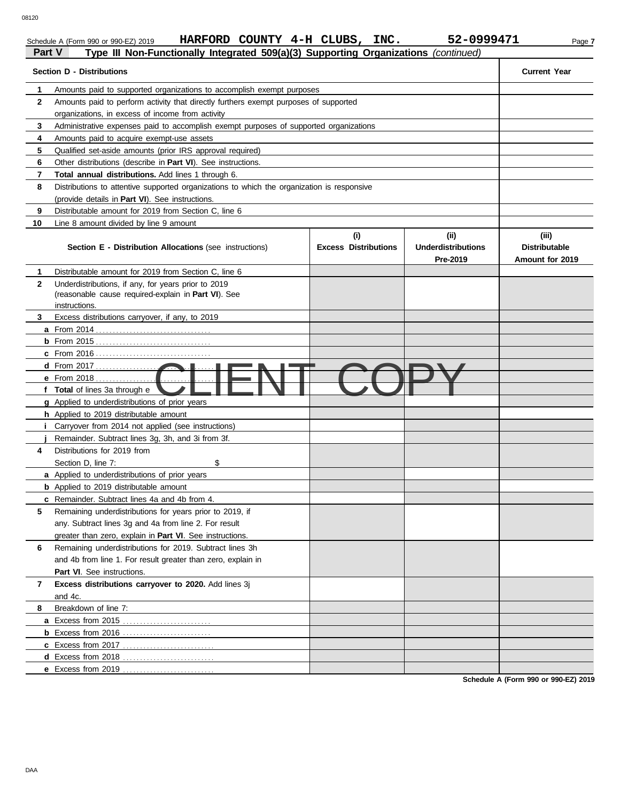Schedule A (Form 990 or 990-EZ) 2019 **HARFORD COUNTY 4-H CLUBS, INC.** 52-0999471 Page 7

| Part V       | Type III Non-Functionally Integrated 509(a)(3) Supporting Organizations (continued)        |                                    |                                               |                                                  |
|--------------|--------------------------------------------------------------------------------------------|------------------------------------|-----------------------------------------------|--------------------------------------------------|
|              | <b>Section D - Distributions</b>                                                           |                                    |                                               | <b>Current Year</b>                              |
| 1            | Amounts paid to supported organizations to accomplish exempt purposes                      |                                    |                                               |                                                  |
| $\mathbf{2}$ | Amounts paid to perform activity that directly furthers exempt purposes of supported       |                                    |                                               |                                                  |
|              | organizations, in excess of income from activity                                           |                                    |                                               |                                                  |
| 3            | Administrative expenses paid to accomplish exempt purposes of supported organizations      |                                    |                                               |                                                  |
| 4            | Amounts paid to acquire exempt-use assets                                                  |                                    |                                               |                                                  |
| 5            | Qualified set-aside amounts (prior IRS approval required)                                  |                                    |                                               |                                                  |
| 6            | Other distributions (describe in <b>Part VI</b> ). See instructions.                       |                                    |                                               |                                                  |
| 7            | <b>Total annual distributions.</b> Add lines 1 through 6.                                  |                                    |                                               |                                                  |
| 8            | Distributions to attentive supported organizations to which the organization is responsive |                                    |                                               |                                                  |
|              | (provide details in Part VI). See instructions.                                            |                                    |                                               |                                                  |
| 9            | Distributable amount for 2019 from Section C, line 6                                       |                                    |                                               |                                                  |
| 10           | Line 8 amount divided by line 9 amount                                                     |                                    |                                               |                                                  |
|              | Section E - Distribution Allocations (see instructions)                                    | (i)<br><b>Excess Distributions</b> | (ii)<br><b>Underdistributions</b><br>Pre-2019 | (iii)<br><b>Distributable</b><br>Amount for 2019 |
| 1            | Distributable amount for 2019 from Section C, line 6                                       |                                    |                                               |                                                  |
| $\mathbf{2}$ | Underdistributions, if any, for years prior to 2019                                        |                                    |                                               |                                                  |
|              | (reasonable cause required-explain in Part VI). See                                        |                                    |                                               |                                                  |
|              | instructions.                                                                              |                                    |                                               |                                                  |
| 3            | Excess distributions carryover, if any, to 2019                                            |                                    |                                               |                                                  |
|              |                                                                                            |                                    |                                               |                                                  |
|              | <b>b</b> From 2015                                                                         |                                    |                                               |                                                  |
|              |                                                                                            |                                    |                                               |                                                  |
|              | d From 2017                                                                                |                                    |                                               |                                                  |
|              | <b>e</b> From 2018                                                                         |                                    |                                               |                                                  |
|              | f Total of lines 3a through e                                                              |                                    |                                               |                                                  |
|              | g Applied to underdistributions of prior years                                             |                                    |                                               |                                                  |
|              | h Applied to 2019 distributable amount                                                     |                                    |                                               |                                                  |
|              | Carryover from 2014 not applied (see instructions)                                         |                                    |                                               |                                                  |
|              | Remainder. Subtract lines 3g, 3h, and 3i from 3f.                                          |                                    |                                               |                                                  |
| 4            | Distributions for 2019 from                                                                |                                    |                                               |                                                  |
|              | \$<br>Section D, line 7:                                                                   |                                    |                                               |                                                  |
|              | <b>a</b> Applied to underdistributions of prior years                                      |                                    |                                               |                                                  |
|              | <b>b</b> Applied to 2019 distributable amount                                              |                                    |                                               |                                                  |
|              | c Remainder. Subtract lines 4a and 4b from 4.                                              |                                    |                                               |                                                  |
| 5            | Remaining underdistributions for years prior to 2019, if                                   |                                    |                                               |                                                  |
|              | any. Subtract lines 3q and 4a from line 2. For result                                      |                                    |                                               |                                                  |
|              | greater than zero, explain in Part VI. See instructions.                                   |                                    |                                               |                                                  |
| 6            | Remaining underdistributions for 2019. Subtract lines 3h                                   |                                    |                                               |                                                  |
|              | and 4b from line 1. For result greater than zero, explain in                               |                                    |                                               |                                                  |
|              | Part VI. See instructions.                                                                 |                                    |                                               |                                                  |
| 7            | Excess distributions carryover to 2020. Add lines 3j                                       |                                    |                                               |                                                  |
|              | and 4c.                                                                                    |                                    |                                               |                                                  |
| 8            | Breakdown of line 7:                                                                       |                                    |                                               |                                                  |
|              | a Excess from 2015                                                                         |                                    |                                               |                                                  |
|              |                                                                                            |                                    |                                               |                                                  |
|              |                                                                                            |                                    |                                               |                                                  |
|              | d Excess from 2018.                                                                        |                                    |                                               |                                                  |
|              | e Excess from 2019                                                                         |                                    |                                               |                                                  |

**Schedule A (Form 990 or 990-EZ) 2019**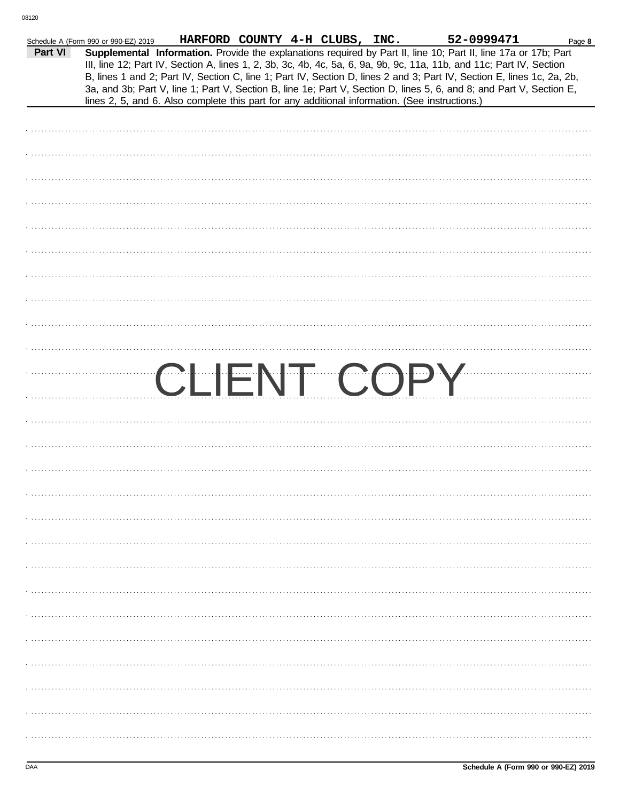|         | Schedule A (Form 990 or 990-EZ) 2019 |                                                                                                | HARFORD COUNTY 4-H CLUBS, INC. |  | 52-0999471                                                                                                                                                                                                                                                                                                                                                                                                                                                                                | Page 8 |
|---------|--------------------------------------|------------------------------------------------------------------------------------------------|--------------------------------|--|-------------------------------------------------------------------------------------------------------------------------------------------------------------------------------------------------------------------------------------------------------------------------------------------------------------------------------------------------------------------------------------------------------------------------------------------------------------------------------------------|--------|
| Part VI |                                      | lines 2, 5, and 6. Also complete this part for any additional information. (See instructions.) |                                |  | Supplemental Information. Provide the explanations required by Part II, line 10; Part II, line 17a or 17b; Part<br>III, line 12; Part IV, Section A, lines 1, 2, 3b, 3c, 4b, 4c, 5a, 6, 9a, 9b, 9c, 11a, 11b, and 11c; Part IV, Section<br>B, lines 1 and 2; Part IV, Section C, line 1; Part IV, Section D, lines 2 and 3; Part IV, Section E, lines 1c, 2a, 2b,<br>3a, and 3b; Part V, line 1; Part V, Section B, line 1e; Part V, Section D, lines 5, 6, and 8; and Part V, Section E, |        |
|         |                                      |                                                                                                |                                |  |                                                                                                                                                                                                                                                                                                                                                                                                                                                                                           |        |
|         |                                      |                                                                                                |                                |  |                                                                                                                                                                                                                                                                                                                                                                                                                                                                                           |        |
|         |                                      |                                                                                                |                                |  |                                                                                                                                                                                                                                                                                                                                                                                                                                                                                           |        |
|         |                                      |                                                                                                |                                |  |                                                                                                                                                                                                                                                                                                                                                                                                                                                                                           |        |
|         |                                      |                                                                                                |                                |  |                                                                                                                                                                                                                                                                                                                                                                                                                                                                                           |        |
|         |                                      |                                                                                                |                                |  |                                                                                                                                                                                                                                                                                                                                                                                                                                                                                           |        |
|         |                                      |                                                                                                |                                |  |                                                                                                                                                                                                                                                                                                                                                                                                                                                                                           |        |
|         |                                      |                                                                                                |                                |  |                                                                                                                                                                                                                                                                                                                                                                                                                                                                                           |        |
|         |                                      |                                                                                                |                                |  |                                                                                                                                                                                                                                                                                                                                                                                                                                                                                           |        |
|         |                                      |                                                                                                |                                |  |                                                                                                                                                                                                                                                                                                                                                                                                                                                                                           |        |
|         |                                      |                                                                                                |                                |  |                                                                                                                                                                                                                                                                                                                                                                                                                                                                                           |        |
|         |                                      |                                                                                                |                                |  | CLIENT COPY                                                                                                                                                                                                                                                                                                                                                                                                                                                                               |        |
|         |                                      |                                                                                                |                                |  |                                                                                                                                                                                                                                                                                                                                                                                                                                                                                           |        |
|         |                                      |                                                                                                |                                |  |                                                                                                                                                                                                                                                                                                                                                                                                                                                                                           |        |
|         |                                      |                                                                                                |                                |  |                                                                                                                                                                                                                                                                                                                                                                                                                                                                                           |        |
|         |                                      |                                                                                                |                                |  |                                                                                                                                                                                                                                                                                                                                                                                                                                                                                           |        |
|         |                                      |                                                                                                |                                |  |                                                                                                                                                                                                                                                                                                                                                                                                                                                                                           |        |
|         |                                      |                                                                                                |                                |  |                                                                                                                                                                                                                                                                                                                                                                                                                                                                                           |        |
|         |                                      |                                                                                                |                                |  |                                                                                                                                                                                                                                                                                                                                                                                                                                                                                           |        |
|         |                                      |                                                                                                |                                |  |                                                                                                                                                                                                                                                                                                                                                                                                                                                                                           |        |
|         |                                      |                                                                                                |                                |  |                                                                                                                                                                                                                                                                                                                                                                                                                                                                                           |        |
|         |                                      |                                                                                                |                                |  |                                                                                                                                                                                                                                                                                                                                                                                                                                                                                           |        |
|         |                                      |                                                                                                |                                |  |                                                                                                                                                                                                                                                                                                                                                                                                                                                                                           |        |
|         |                                      |                                                                                                |                                |  |                                                                                                                                                                                                                                                                                                                                                                                                                                                                                           |        |
|         |                                      |                                                                                                |                                |  |                                                                                                                                                                                                                                                                                                                                                                                                                                                                                           |        |
|         |                                      |                                                                                                |                                |  |                                                                                                                                                                                                                                                                                                                                                                                                                                                                                           |        |
|         |                                      |                                                                                                |                                |  |                                                                                                                                                                                                                                                                                                                                                                                                                                                                                           |        |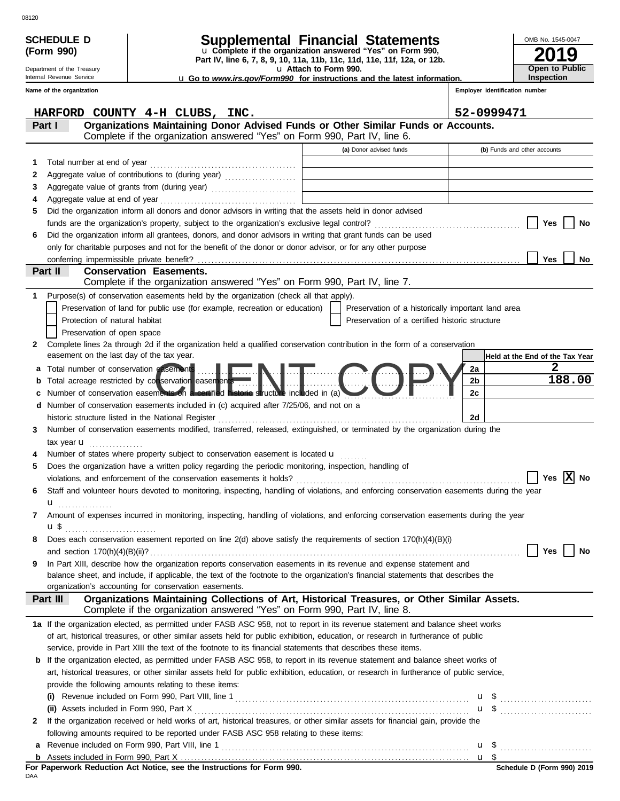|   | <b>SCHEDULE D</b>                                                                                                               |                               |                                                        |                                                                                                                                                                                                                              | Supplemental Financial Statements                                                                                                         |                                | OMB No. 1545-0047                    |
|---|---------------------------------------------------------------------------------------------------------------------------------|-------------------------------|--------------------------------------------------------|------------------------------------------------------------------------------------------------------------------------------------------------------------------------------------------------------------------------------|-------------------------------------------------------------------------------------------------------------------------------------------|--------------------------------|--------------------------------------|
|   | (Form 990)                                                                                                                      |                               |                                                        |                                                                                                                                                                                                                              | u Complete if the organization answered "Yes" on Form 990,                                                                                |                                | 19                                   |
|   | Part IV, line 6, 7, 8, 9, 10, 11a, 11b, 11c, 11d, 11e, 11f, 12a, or 12b.<br>Department of the Treasury<br>u Attach to Form 990. |                               |                                                        |                                                                                                                                                                                                                              |                                                                                                                                           | <b>Open to Public</b>          |                                      |
|   | Internal Revenue Service                                                                                                        |                               |                                                        |                                                                                                                                                                                                                              | <b>u</b> Go to <i>www.irs.gov/Form990</i> for instructions and the latest information.                                                    |                                | Inspection                           |
|   | Name of the organization                                                                                                        |                               |                                                        |                                                                                                                                                                                                                              |                                                                                                                                           | Employer identification number |                                      |
|   |                                                                                                                                 |                               | HARFORD COUNTY 4-H CLUBS, INC.                         |                                                                                                                                                                                                                              |                                                                                                                                           | 52-0999471                     |                                      |
|   | Part I                                                                                                                          |                               |                                                        |                                                                                                                                                                                                                              | Organizations Maintaining Donor Advised Funds or Other Similar Funds or Accounts.                                                         |                                |                                      |
|   |                                                                                                                                 |                               |                                                        | Complete if the organization answered "Yes" on Form 990, Part IV, line 6.                                                                                                                                                    |                                                                                                                                           |                                |                                      |
|   |                                                                                                                                 |                               |                                                        |                                                                                                                                                                                                                              | (a) Donor advised funds                                                                                                                   |                                | (b) Funds and other accounts         |
| 1 |                                                                                                                                 | Total number at end of year   |                                                        |                                                                                                                                                                                                                              |                                                                                                                                           |                                |                                      |
| 2 |                                                                                                                                 |                               |                                                        |                                                                                                                                                                                                                              |                                                                                                                                           |                                |                                      |
| 3 |                                                                                                                                 |                               |                                                        |                                                                                                                                                                                                                              |                                                                                                                                           |                                |                                      |
|   |                                                                                                                                 |                               |                                                        |                                                                                                                                                                                                                              |                                                                                                                                           |                                |                                      |
|   |                                                                                                                                 |                               |                                                        | Did the organization inform all donors and donor advisors in writing that the assets held in donor advised                                                                                                                   |                                                                                                                                           |                                |                                      |
|   |                                                                                                                                 |                               |                                                        |                                                                                                                                                                                                                              |                                                                                                                                           |                                | Yes<br>No                            |
|   |                                                                                                                                 |                               |                                                        | Did the organization inform all grantees, donors, and donor advisors in writing that grant funds can be used<br>only for charitable purposes and not for the benefit of the donor or donor advisor, or for any other purpose |                                                                                                                                           |                                |                                      |
|   |                                                                                                                                 |                               | conferring impermissible private benefit?              |                                                                                                                                                                                                                              |                                                                                                                                           |                                | <b>Yes</b><br>No                     |
|   | Part II                                                                                                                         |                               | <b>Conservation Easements.</b>                         |                                                                                                                                                                                                                              |                                                                                                                                           |                                |                                      |
|   |                                                                                                                                 |                               |                                                        | Complete if the organization answered "Yes" on Form 990, Part IV, line 7.                                                                                                                                                    |                                                                                                                                           |                                |                                      |
|   |                                                                                                                                 |                               |                                                        | Purpose(s) of conservation easements held by the organization (check all that apply).                                                                                                                                        |                                                                                                                                           |                                |                                      |
|   |                                                                                                                                 |                               |                                                        | Preservation of land for public use (for example, recreation or education)                                                                                                                                                   | Preservation of a historically important land area                                                                                        |                                |                                      |
|   |                                                                                                                                 | Protection of natural habitat |                                                        |                                                                                                                                                                                                                              | Preservation of a certified historic structure                                                                                            |                                |                                      |
|   |                                                                                                                                 | Preservation of open space    |                                                        |                                                                                                                                                                                                                              |                                                                                                                                           |                                |                                      |
| 2 |                                                                                                                                 |                               | easement on the last day of the tax year.              |                                                                                                                                                                                                                              | Complete lines 2a through 2d if the organization held a qualified conservation contribution in the form of a conservation                 |                                |                                      |
|   |                                                                                                                                 |                               | Total number of conservation easements                 |                                                                                                                                                                                                                              |                                                                                                                                           |                                | Held at the End of the Tax Year<br>2 |
| а |                                                                                                                                 |                               |                                                        |                                                                                                                                                                                                                              |                                                                                                                                           | 2a<br>2b                       | 188.00                               |
|   |                                                                                                                                 |                               | Total acreage restricted by conservation easements     | Number of conservation easements on a certified historic structure included in (a)                                                                                                                                           |                                                                                                                                           | 2с                             |                                      |
| d |                                                                                                                                 |                               |                                                        | Number of conservation easements included in (c) acquired after 7/25/06, and not on a                                                                                                                                        |                                                                                                                                           |                                |                                      |
|   |                                                                                                                                 |                               | historic structure listed in the National Register     |                                                                                                                                                                                                                              |                                                                                                                                           | 2d                             |                                      |
| 3 |                                                                                                                                 |                               |                                                        |                                                                                                                                                                                                                              | Number of conservation easements modified, transferred, released, extinguished, or terminated by the organization during the              |                                |                                      |
|   |                                                                                                                                 | tax year $\mathbf u$          |                                                        |                                                                                                                                                                                                                              |                                                                                                                                           |                                |                                      |
|   |                                                                                                                                 |                               |                                                        | Number of states where property subject to conservation easement is located <b>u</b>                                                                                                                                         |                                                                                                                                           |                                |                                      |
|   |                                                                                                                                 |                               |                                                        | Does the organization have a written policy regarding the periodic monitoring, inspection, handling of                                                                                                                       |                                                                                                                                           |                                |                                      |
|   |                                                                                                                                 |                               |                                                        |                                                                                                                                                                                                                              |                                                                                                                                           |                                | <u>IXI</u><br>No<br>Yes              |
|   |                                                                                                                                 |                               |                                                        |                                                                                                                                                                                                                              | Staff and volunteer hours devoted to monitoring, inspecting, handling of violations, and enforcing conservation easements during the year |                                |                                      |
|   | u                                                                                                                               | .                             |                                                        |                                                                                                                                                                                                                              |                                                                                                                                           |                                |                                      |
| 7 |                                                                                                                                 |                               |                                                        |                                                                                                                                                                                                                              | Amount of expenses incurred in monitoring, inspecting, handling of violations, and enforcing conservation easements during the year       |                                |                                      |
| 8 | $\mathbf{u} \, \mathbf{\$}$                                                                                                     |                               |                                                        |                                                                                                                                                                                                                              | Does each conservation easement reported on line 2(d) above satisfy the requirements of section 170(h)(4)(B)(i)                           |                                |                                      |
|   |                                                                                                                                 |                               |                                                        |                                                                                                                                                                                                                              |                                                                                                                                           |                                | Yes<br>No                            |
| 9 |                                                                                                                                 |                               |                                                        |                                                                                                                                                                                                                              | In Part XIII, describe how the organization reports conservation easements in its revenue and expense statement and                       |                                |                                      |
|   |                                                                                                                                 |                               |                                                        |                                                                                                                                                                                                                              | balance sheet, and include, if applicable, the text of the footnote to the organization's financial statements that describes the         |                                |                                      |
|   |                                                                                                                                 |                               | organization's accounting for conservation easements.  |                                                                                                                                                                                                                              |                                                                                                                                           |                                |                                      |
|   | Part III                                                                                                                        |                               |                                                        | Complete if the organization answered "Yes" on Form 990, Part IV, line 8.                                                                                                                                                    | Organizations Maintaining Collections of Art, Historical Treasures, or Other Similar Assets.                                              |                                |                                      |
|   |                                                                                                                                 |                               |                                                        |                                                                                                                                                                                                                              | 1a If the organization elected, as permitted under FASB ASC 958, not to report in its revenue statement and balance sheet works           |                                |                                      |
|   |                                                                                                                                 |                               |                                                        |                                                                                                                                                                                                                              | of art, historical treasures, or other similar assets held for public exhibition, education, or research in furtherance of public         |                                |                                      |
|   |                                                                                                                                 |                               |                                                        | service, provide in Part XIII the text of the footnote to its financial statements that describes these items.                                                                                                               |                                                                                                                                           |                                |                                      |
| b |                                                                                                                                 |                               |                                                        |                                                                                                                                                                                                                              | If the organization elected, as permitted under FASB ASC 958, to report in its revenue statement and balance sheet works of               |                                |                                      |
|   |                                                                                                                                 |                               |                                                        |                                                                                                                                                                                                                              | art, historical treasures, or other similar assets held for public exhibition, education, or research in furtherance of public service,   |                                |                                      |
|   |                                                                                                                                 |                               | provide the following amounts relating to these items: |                                                                                                                                                                                                                              |                                                                                                                                           |                                |                                      |
|   |                                                                                                                                 |                               | (ii) Assets included in Form 990, Part X               |                                                                                                                                                                                                                              |                                                                                                                                           |                                | $\mathbf{u}$ \$                      |
| 2 |                                                                                                                                 |                               |                                                        |                                                                                                                                                                                                                              | If the organization received or held works of art, historical treasures, or other similar assets for financial gain, provide the          |                                | $\mathbf{u}$ \$ $\ldots$             |
|   |                                                                                                                                 |                               |                                                        | following amounts required to be reported under FASB ASC 958 relating to these items:                                                                                                                                        |                                                                                                                                           |                                |                                      |
| а |                                                                                                                                 |                               |                                                        |                                                                                                                                                                                                                              |                                                                                                                                           | $u \$                          |                                      |
|   |                                                                                                                                 |                               |                                                        |                                                                                                                                                                                                                              |                                                                                                                                           | u \$                           |                                      |
|   |                                                                                                                                 |                               |                                                        | For Panerwork Reduction Act Notice, see the Instructions for Form 990                                                                                                                                                        |                                                                                                                                           |                                | Schedule D (Form 990) 2019           |

| For Paperwork Reduction Act Notice, see the Instructions for Form 990. |  |  |  |
|------------------------------------------------------------------------|--|--|--|
| DAA                                                                    |  |  |  |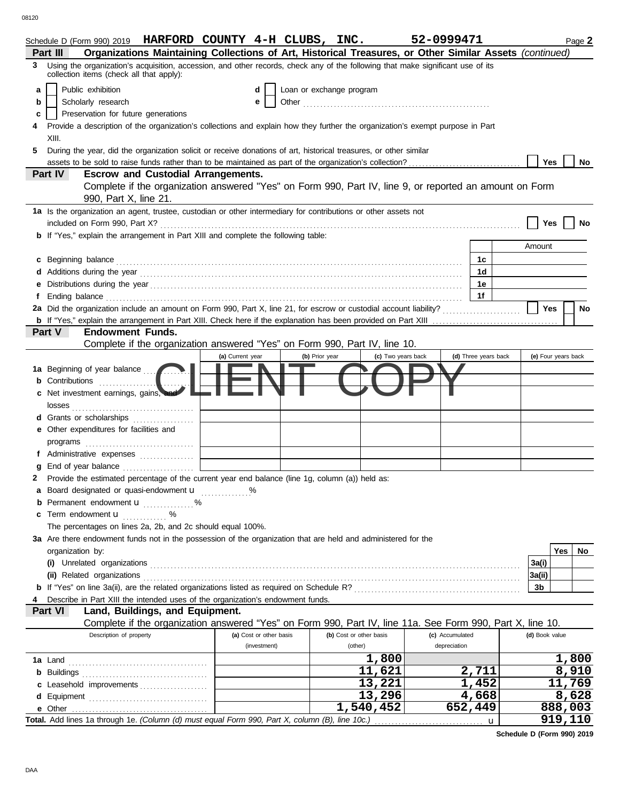08120

| Organizations Maintaining Collections of Art, Historical Treasures, or Other Similar Assets (continued)<br>3 Using the organization's acquisition, accession, and other records, check any of the following that make significant use of its<br>collection items (check all that apply):<br>Public exhibition<br>Loan or exchange program<br>a<br>d<br>Scholarly research<br>b<br>е<br>Preservation for future generations<br>c<br>Provide a description of the organization's collections and explain how they further the organization's exempt purpose in Part<br>4<br>XIII.<br>During the year, did the organization solicit or receive donations of art, historical treasures, or other similar<br>5.<br>Yes<br>assets to be sold to raise funds rather than to be maintained as part of the organization's collection?<br>No<br>Part IV<br><b>Escrow and Custodial Arrangements.</b><br>Complete if the organization answered "Yes" on Form 990, Part IV, line 9, or reported an amount on Form<br>990, Part X, line 21.<br>1a Is the organization an agent, trustee, custodian or other intermediary for contributions or other assets not<br>Yes<br>No<br><b>b</b> If "Yes," explain the arrangement in Part XIII and complete the following table:<br>Amount<br>1c<br>C<br>1d<br>1е<br>е<br>1f<br>Ending balance contains and account of the contact of the contact of the contact of the contact of the contact of the contact of the contact of the contact of the contact of the contact of the contact of the contact of the<br>f<br>2a Did the organization include an amount on Form 990, Part X, line 21, for escrow or custodial account liability?<br>Yes<br>No<br>Part V<br>Endowment Funds.<br>Complete if the organization answered "Yes" on Form 990, Part IV, line 10.<br>(d) Three years back<br>(c) Two years back<br>(e) Four years back<br>(a) Current year<br>(b) Prior year<br>1a Beginning of year balance<br><b>b</b> Contributions<br>Net investment earnings, gains,<br><b>d</b> Grants or scholarships<br>.<br>e Other expenditures for facilities and<br>f Administrative expenses<br>g<br>Provide the estimated percentage of the current year end balance (line 1g, column (a)) held as:<br>2<br>a Board designated or quasi-endowment u %<br>Permanent endowment <b>u</b> %<br>c Term endowment <b>u</b><br>The percentages on lines 2a, 2b, and 2c should equal 100%.<br>3a Are there endowment funds not in the possession of the organization that are held and administered for the<br>Yes<br>No<br>organization by:<br>3a(i)<br>3a(ii)<br>3b<br>Describe in Part XIII the intended uses of the organization's endowment funds.<br>4<br>Part VI<br>Land, Buildings, and Equipment. | Complete if the organization answered "Yes" on Form 990, Part IV, line 11a. See Form 990, Part X, line 10.<br>Description of property<br>(b) Cost or other basis<br>(c) Accumulated<br>(d) Book value<br>(a) Cost or other basis<br>depreciation<br>(investment)<br>(other)<br>1,800<br>1,800<br>11,621<br>8,910<br>2,711<br>11,769<br>13,221<br>1,452<br>c Leasehold improvements<br>8,628<br>13,296<br>4,668<br>888,003<br>1,540,452<br>652,449<br>919,110 | Schedule D (Form 990) 2019 HARFORD COUNTY $4-H$ CLUBS, INC.<br>Part III |  |  | 52-0999471 |   | Page 2 |
|------------------------------------------------------------------------------------------------------------------------------------------------------------------------------------------------------------------------------------------------------------------------------------------------------------------------------------------------------------------------------------------------------------------------------------------------------------------------------------------------------------------------------------------------------------------------------------------------------------------------------------------------------------------------------------------------------------------------------------------------------------------------------------------------------------------------------------------------------------------------------------------------------------------------------------------------------------------------------------------------------------------------------------------------------------------------------------------------------------------------------------------------------------------------------------------------------------------------------------------------------------------------------------------------------------------------------------------------------------------------------------------------------------------------------------------------------------------------------------------------------------------------------------------------------------------------------------------------------------------------------------------------------------------------------------------------------------------------------------------------------------------------------------------------------------------------------------------------------------------------------------------------------------------------------------------------------------------------------------------------------------------------------------------------------------------------------------------------------------------------------------------------------------------------------------------------------------------------------------------------------------------------------------------------------------------------------------------------------------------------------------------------------------------------------------------------------------------------------------------------------------------------------------------------------------------------------------------------------------------------------------------------------------------------------------------------------------------------------|--------------------------------------------------------------------------------------------------------------------------------------------------------------------------------------------------------------------------------------------------------------------------------------------------------------------------------------------------------------------------------------------------------------------------------------------------------------|-------------------------------------------------------------------------|--|--|------------|---|--------|
|                                                                                                                                                                                                                                                                                                                                                                                                                                                                                                                                                                                                                                                                                                                                                                                                                                                                                                                                                                                                                                                                                                                                                                                                                                                                                                                                                                                                                                                                                                                                                                                                                                                                                                                                                                                                                                                                                                                                                                                                                                                                                                                                                                                                                                                                                                                                                                                                                                                                                                                                                                                                                                                                                                                              |                                                                                                                                                                                                                                                                                                                                                                                                                                                              |                                                                         |  |  |            |   |        |
|                                                                                                                                                                                                                                                                                                                                                                                                                                                                                                                                                                                                                                                                                                                                                                                                                                                                                                                                                                                                                                                                                                                                                                                                                                                                                                                                                                                                                                                                                                                                                                                                                                                                                                                                                                                                                                                                                                                                                                                                                                                                                                                                                                                                                                                                                                                                                                                                                                                                                                                                                                                                                                                                                                                              |                                                                                                                                                                                                                                                                                                                                                                                                                                                              |                                                                         |  |  |            |   |        |
|                                                                                                                                                                                                                                                                                                                                                                                                                                                                                                                                                                                                                                                                                                                                                                                                                                                                                                                                                                                                                                                                                                                                                                                                                                                                                                                                                                                                                                                                                                                                                                                                                                                                                                                                                                                                                                                                                                                                                                                                                                                                                                                                                                                                                                                                                                                                                                                                                                                                                                                                                                                                                                                                                                                              |                                                                                                                                                                                                                                                                                                                                                                                                                                                              |                                                                         |  |  |            |   |        |
|                                                                                                                                                                                                                                                                                                                                                                                                                                                                                                                                                                                                                                                                                                                                                                                                                                                                                                                                                                                                                                                                                                                                                                                                                                                                                                                                                                                                                                                                                                                                                                                                                                                                                                                                                                                                                                                                                                                                                                                                                                                                                                                                                                                                                                                                                                                                                                                                                                                                                                                                                                                                                                                                                                                              |                                                                                                                                                                                                                                                                                                                                                                                                                                                              |                                                                         |  |  |            |   |        |
|                                                                                                                                                                                                                                                                                                                                                                                                                                                                                                                                                                                                                                                                                                                                                                                                                                                                                                                                                                                                                                                                                                                                                                                                                                                                                                                                                                                                                                                                                                                                                                                                                                                                                                                                                                                                                                                                                                                                                                                                                                                                                                                                                                                                                                                                                                                                                                                                                                                                                                                                                                                                                                                                                                                              |                                                                                                                                                                                                                                                                                                                                                                                                                                                              |                                                                         |  |  |            |   |        |
|                                                                                                                                                                                                                                                                                                                                                                                                                                                                                                                                                                                                                                                                                                                                                                                                                                                                                                                                                                                                                                                                                                                                                                                                                                                                                                                                                                                                                                                                                                                                                                                                                                                                                                                                                                                                                                                                                                                                                                                                                                                                                                                                                                                                                                                                                                                                                                                                                                                                                                                                                                                                                                                                                                                              |                                                                                                                                                                                                                                                                                                                                                                                                                                                              |                                                                         |  |  |            |   |        |
|                                                                                                                                                                                                                                                                                                                                                                                                                                                                                                                                                                                                                                                                                                                                                                                                                                                                                                                                                                                                                                                                                                                                                                                                                                                                                                                                                                                                                                                                                                                                                                                                                                                                                                                                                                                                                                                                                                                                                                                                                                                                                                                                                                                                                                                                                                                                                                                                                                                                                                                                                                                                                                                                                                                              |                                                                                                                                                                                                                                                                                                                                                                                                                                                              |                                                                         |  |  |            |   |        |
|                                                                                                                                                                                                                                                                                                                                                                                                                                                                                                                                                                                                                                                                                                                                                                                                                                                                                                                                                                                                                                                                                                                                                                                                                                                                                                                                                                                                                                                                                                                                                                                                                                                                                                                                                                                                                                                                                                                                                                                                                                                                                                                                                                                                                                                                                                                                                                                                                                                                                                                                                                                                                                                                                                                              |                                                                                                                                                                                                                                                                                                                                                                                                                                                              |                                                                         |  |  |            |   |        |
|                                                                                                                                                                                                                                                                                                                                                                                                                                                                                                                                                                                                                                                                                                                                                                                                                                                                                                                                                                                                                                                                                                                                                                                                                                                                                                                                                                                                                                                                                                                                                                                                                                                                                                                                                                                                                                                                                                                                                                                                                                                                                                                                                                                                                                                                                                                                                                                                                                                                                                                                                                                                                                                                                                                              |                                                                                                                                                                                                                                                                                                                                                                                                                                                              |                                                                         |  |  |            |   |        |
|                                                                                                                                                                                                                                                                                                                                                                                                                                                                                                                                                                                                                                                                                                                                                                                                                                                                                                                                                                                                                                                                                                                                                                                                                                                                                                                                                                                                                                                                                                                                                                                                                                                                                                                                                                                                                                                                                                                                                                                                                                                                                                                                                                                                                                                                                                                                                                                                                                                                                                                                                                                                                                                                                                                              |                                                                                                                                                                                                                                                                                                                                                                                                                                                              |                                                                         |  |  |            |   |        |
|                                                                                                                                                                                                                                                                                                                                                                                                                                                                                                                                                                                                                                                                                                                                                                                                                                                                                                                                                                                                                                                                                                                                                                                                                                                                                                                                                                                                                                                                                                                                                                                                                                                                                                                                                                                                                                                                                                                                                                                                                                                                                                                                                                                                                                                                                                                                                                                                                                                                                                                                                                                                                                                                                                                              |                                                                                                                                                                                                                                                                                                                                                                                                                                                              |                                                                         |  |  |            |   |        |
|                                                                                                                                                                                                                                                                                                                                                                                                                                                                                                                                                                                                                                                                                                                                                                                                                                                                                                                                                                                                                                                                                                                                                                                                                                                                                                                                                                                                                                                                                                                                                                                                                                                                                                                                                                                                                                                                                                                                                                                                                                                                                                                                                                                                                                                                                                                                                                                                                                                                                                                                                                                                                                                                                                                              |                                                                                                                                                                                                                                                                                                                                                                                                                                                              |                                                                         |  |  |            |   |        |
|                                                                                                                                                                                                                                                                                                                                                                                                                                                                                                                                                                                                                                                                                                                                                                                                                                                                                                                                                                                                                                                                                                                                                                                                                                                                                                                                                                                                                                                                                                                                                                                                                                                                                                                                                                                                                                                                                                                                                                                                                                                                                                                                                                                                                                                                                                                                                                                                                                                                                                                                                                                                                                                                                                                              |                                                                                                                                                                                                                                                                                                                                                                                                                                                              |                                                                         |  |  |            |   |        |
|                                                                                                                                                                                                                                                                                                                                                                                                                                                                                                                                                                                                                                                                                                                                                                                                                                                                                                                                                                                                                                                                                                                                                                                                                                                                                                                                                                                                                                                                                                                                                                                                                                                                                                                                                                                                                                                                                                                                                                                                                                                                                                                                                                                                                                                                                                                                                                                                                                                                                                                                                                                                                                                                                                                              |                                                                                                                                                                                                                                                                                                                                                                                                                                                              |                                                                         |  |  |            |   |        |
|                                                                                                                                                                                                                                                                                                                                                                                                                                                                                                                                                                                                                                                                                                                                                                                                                                                                                                                                                                                                                                                                                                                                                                                                                                                                                                                                                                                                                                                                                                                                                                                                                                                                                                                                                                                                                                                                                                                                                                                                                                                                                                                                                                                                                                                                                                                                                                                                                                                                                                                                                                                                                                                                                                                              |                                                                                                                                                                                                                                                                                                                                                                                                                                                              |                                                                         |  |  |            |   |        |
|                                                                                                                                                                                                                                                                                                                                                                                                                                                                                                                                                                                                                                                                                                                                                                                                                                                                                                                                                                                                                                                                                                                                                                                                                                                                                                                                                                                                                                                                                                                                                                                                                                                                                                                                                                                                                                                                                                                                                                                                                                                                                                                                                                                                                                                                                                                                                                                                                                                                                                                                                                                                                                                                                                                              |                                                                                                                                                                                                                                                                                                                                                                                                                                                              |                                                                         |  |  |            |   |        |
|                                                                                                                                                                                                                                                                                                                                                                                                                                                                                                                                                                                                                                                                                                                                                                                                                                                                                                                                                                                                                                                                                                                                                                                                                                                                                                                                                                                                                                                                                                                                                                                                                                                                                                                                                                                                                                                                                                                                                                                                                                                                                                                                                                                                                                                                                                                                                                                                                                                                                                                                                                                                                                                                                                                              |                                                                                                                                                                                                                                                                                                                                                                                                                                                              |                                                                         |  |  |            |   |        |
|                                                                                                                                                                                                                                                                                                                                                                                                                                                                                                                                                                                                                                                                                                                                                                                                                                                                                                                                                                                                                                                                                                                                                                                                                                                                                                                                                                                                                                                                                                                                                                                                                                                                                                                                                                                                                                                                                                                                                                                                                                                                                                                                                                                                                                                                                                                                                                                                                                                                                                                                                                                                                                                                                                                              |                                                                                                                                                                                                                                                                                                                                                                                                                                                              |                                                                         |  |  |            |   |        |
|                                                                                                                                                                                                                                                                                                                                                                                                                                                                                                                                                                                                                                                                                                                                                                                                                                                                                                                                                                                                                                                                                                                                                                                                                                                                                                                                                                                                                                                                                                                                                                                                                                                                                                                                                                                                                                                                                                                                                                                                                                                                                                                                                                                                                                                                                                                                                                                                                                                                                                                                                                                                                                                                                                                              |                                                                                                                                                                                                                                                                                                                                                                                                                                                              |                                                                         |  |  |            |   |        |
|                                                                                                                                                                                                                                                                                                                                                                                                                                                                                                                                                                                                                                                                                                                                                                                                                                                                                                                                                                                                                                                                                                                                                                                                                                                                                                                                                                                                                                                                                                                                                                                                                                                                                                                                                                                                                                                                                                                                                                                                                                                                                                                                                                                                                                                                                                                                                                                                                                                                                                                                                                                                                                                                                                                              |                                                                                                                                                                                                                                                                                                                                                                                                                                                              |                                                                         |  |  |            |   |        |
|                                                                                                                                                                                                                                                                                                                                                                                                                                                                                                                                                                                                                                                                                                                                                                                                                                                                                                                                                                                                                                                                                                                                                                                                                                                                                                                                                                                                                                                                                                                                                                                                                                                                                                                                                                                                                                                                                                                                                                                                                                                                                                                                                                                                                                                                                                                                                                                                                                                                                                                                                                                                                                                                                                                              |                                                                                                                                                                                                                                                                                                                                                                                                                                                              |                                                                         |  |  |            |   |        |
|                                                                                                                                                                                                                                                                                                                                                                                                                                                                                                                                                                                                                                                                                                                                                                                                                                                                                                                                                                                                                                                                                                                                                                                                                                                                                                                                                                                                                                                                                                                                                                                                                                                                                                                                                                                                                                                                                                                                                                                                                                                                                                                                                                                                                                                                                                                                                                                                                                                                                                                                                                                                                                                                                                                              |                                                                                                                                                                                                                                                                                                                                                                                                                                                              |                                                                         |  |  |            |   |        |
|                                                                                                                                                                                                                                                                                                                                                                                                                                                                                                                                                                                                                                                                                                                                                                                                                                                                                                                                                                                                                                                                                                                                                                                                                                                                                                                                                                                                                                                                                                                                                                                                                                                                                                                                                                                                                                                                                                                                                                                                                                                                                                                                                                                                                                                                                                                                                                                                                                                                                                                                                                                                                                                                                                                              |                                                                                                                                                                                                                                                                                                                                                                                                                                                              |                                                                         |  |  |            |   |        |
|                                                                                                                                                                                                                                                                                                                                                                                                                                                                                                                                                                                                                                                                                                                                                                                                                                                                                                                                                                                                                                                                                                                                                                                                                                                                                                                                                                                                                                                                                                                                                                                                                                                                                                                                                                                                                                                                                                                                                                                                                                                                                                                                                                                                                                                                                                                                                                                                                                                                                                                                                                                                                                                                                                                              |                                                                                                                                                                                                                                                                                                                                                                                                                                                              |                                                                         |  |  |            |   |        |
|                                                                                                                                                                                                                                                                                                                                                                                                                                                                                                                                                                                                                                                                                                                                                                                                                                                                                                                                                                                                                                                                                                                                                                                                                                                                                                                                                                                                                                                                                                                                                                                                                                                                                                                                                                                                                                                                                                                                                                                                                                                                                                                                                                                                                                                                                                                                                                                                                                                                                                                                                                                                                                                                                                                              |                                                                                                                                                                                                                                                                                                                                                                                                                                                              |                                                                         |  |  |            |   |        |
|                                                                                                                                                                                                                                                                                                                                                                                                                                                                                                                                                                                                                                                                                                                                                                                                                                                                                                                                                                                                                                                                                                                                                                                                                                                                                                                                                                                                                                                                                                                                                                                                                                                                                                                                                                                                                                                                                                                                                                                                                                                                                                                                                                                                                                                                                                                                                                                                                                                                                                                                                                                                                                                                                                                              |                                                                                                                                                                                                                                                                                                                                                                                                                                                              |                                                                         |  |  |            |   |        |
|                                                                                                                                                                                                                                                                                                                                                                                                                                                                                                                                                                                                                                                                                                                                                                                                                                                                                                                                                                                                                                                                                                                                                                                                                                                                                                                                                                                                                                                                                                                                                                                                                                                                                                                                                                                                                                                                                                                                                                                                                                                                                                                                                                                                                                                                                                                                                                                                                                                                                                                                                                                                                                                                                                                              |                                                                                                                                                                                                                                                                                                                                                                                                                                                              |                                                                         |  |  |            |   |        |
|                                                                                                                                                                                                                                                                                                                                                                                                                                                                                                                                                                                                                                                                                                                                                                                                                                                                                                                                                                                                                                                                                                                                                                                                                                                                                                                                                                                                                                                                                                                                                                                                                                                                                                                                                                                                                                                                                                                                                                                                                                                                                                                                                                                                                                                                                                                                                                                                                                                                                                                                                                                                                                                                                                                              |                                                                                                                                                                                                                                                                                                                                                                                                                                                              |                                                                         |  |  |            |   |        |
|                                                                                                                                                                                                                                                                                                                                                                                                                                                                                                                                                                                                                                                                                                                                                                                                                                                                                                                                                                                                                                                                                                                                                                                                                                                                                                                                                                                                                                                                                                                                                                                                                                                                                                                                                                                                                                                                                                                                                                                                                                                                                                                                                                                                                                                                                                                                                                                                                                                                                                                                                                                                                                                                                                                              |                                                                                                                                                                                                                                                                                                                                                                                                                                                              |                                                                         |  |  |            |   |        |
|                                                                                                                                                                                                                                                                                                                                                                                                                                                                                                                                                                                                                                                                                                                                                                                                                                                                                                                                                                                                                                                                                                                                                                                                                                                                                                                                                                                                                                                                                                                                                                                                                                                                                                                                                                                                                                                                                                                                                                                                                                                                                                                                                                                                                                                                                                                                                                                                                                                                                                                                                                                                                                                                                                                              |                                                                                                                                                                                                                                                                                                                                                                                                                                                              |                                                                         |  |  |            |   |        |
|                                                                                                                                                                                                                                                                                                                                                                                                                                                                                                                                                                                                                                                                                                                                                                                                                                                                                                                                                                                                                                                                                                                                                                                                                                                                                                                                                                                                                                                                                                                                                                                                                                                                                                                                                                                                                                                                                                                                                                                                                                                                                                                                                                                                                                                                                                                                                                                                                                                                                                                                                                                                                                                                                                                              |                                                                                                                                                                                                                                                                                                                                                                                                                                                              |                                                                         |  |  |            |   |        |
|                                                                                                                                                                                                                                                                                                                                                                                                                                                                                                                                                                                                                                                                                                                                                                                                                                                                                                                                                                                                                                                                                                                                                                                                                                                                                                                                                                                                                                                                                                                                                                                                                                                                                                                                                                                                                                                                                                                                                                                                                                                                                                                                                                                                                                                                                                                                                                                                                                                                                                                                                                                                                                                                                                                              |                                                                                                                                                                                                                                                                                                                                                                                                                                                              |                                                                         |  |  |            |   |        |
|                                                                                                                                                                                                                                                                                                                                                                                                                                                                                                                                                                                                                                                                                                                                                                                                                                                                                                                                                                                                                                                                                                                                                                                                                                                                                                                                                                                                                                                                                                                                                                                                                                                                                                                                                                                                                                                                                                                                                                                                                                                                                                                                                                                                                                                                                                                                                                                                                                                                                                                                                                                                                                                                                                                              |                                                                                                                                                                                                                                                                                                                                                                                                                                                              |                                                                         |  |  |            |   |        |
|                                                                                                                                                                                                                                                                                                                                                                                                                                                                                                                                                                                                                                                                                                                                                                                                                                                                                                                                                                                                                                                                                                                                                                                                                                                                                                                                                                                                                                                                                                                                                                                                                                                                                                                                                                                                                                                                                                                                                                                                                                                                                                                                                                                                                                                                                                                                                                                                                                                                                                                                                                                                                                                                                                                              |                                                                                                                                                                                                                                                                                                                                                                                                                                                              |                                                                         |  |  |            |   |        |
|                                                                                                                                                                                                                                                                                                                                                                                                                                                                                                                                                                                                                                                                                                                                                                                                                                                                                                                                                                                                                                                                                                                                                                                                                                                                                                                                                                                                                                                                                                                                                                                                                                                                                                                                                                                                                                                                                                                                                                                                                                                                                                                                                                                                                                                                                                                                                                                                                                                                                                                                                                                                                                                                                                                              |                                                                                                                                                                                                                                                                                                                                                                                                                                                              |                                                                         |  |  |            |   |        |
|                                                                                                                                                                                                                                                                                                                                                                                                                                                                                                                                                                                                                                                                                                                                                                                                                                                                                                                                                                                                                                                                                                                                                                                                                                                                                                                                                                                                                                                                                                                                                                                                                                                                                                                                                                                                                                                                                                                                                                                                                                                                                                                                                                                                                                                                                                                                                                                                                                                                                                                                                                                                                                                                                                                              |                                                                                                                                                                                                                                                                                                                                                                                                                                                              |                                                                         |  |  |            |   |        |
|                                                                                                                                                                                                                                                                                                                                                                                                                                                                                                                                                                                                                                                                                                                                                                                                                                                                                                                                                                                                                                                                                                                                                                                                                                                                                                                                                                                                                                                                                                                                                                                                                                                                                                                                                                                                                                                                                                                                                                                                                                                                                                                                                                                                                                                                                                                                                                                                                                                                                                                                                                                                                                                                                                                              |                                                                                                                                                                                                                                                                                                                                                                                                                                                              |                                                                         |  |  |            |   |        |
|                                                                                                                                                                                                                                                                                                                                                                                                                                                                                                                                                                                                                                                                                                                                                                                                                                                                                                                                                                                                                                                                                                                                                                                                                                                                                                                                                                                                                                                                                                                                                                                                                                                                                                                                                                                                                                                                                                                                                                                                                                                                                                                                                                                                                                                                                                                                                                                                                                                                                                                                                                                                                                                                                                                              |                                                                                                                                                                                                                                                                                                                                                                                                                                                              |                                                                         |  |  |            |   |        |
|                                                                                                                                                                                                                                                                                                                                                                                                                                                                                                                                                                                                                                                                                                                                                                                                                                                                                                                                                                                                                                                                                                                                                                                                                                                                                                                                                                                                                                                                                                                                                                                                                                                                                                                                                                                                                                                                                                                                                                                                                                                                                                                                                                                                                                                                                                                                                                                                                                                                                                                                                                                                                                                                                                                              |                                                                                                                                                                                                                                                                                                                                                                                                                                                              |                                                                         |  |  |            |   |        |
|                                                                                                                                                                                                                                                                                                                                                                                                                                                                                                                                                                                                                                                                                                                                                                                                                                                                                                                                                                                                                                                                                                                                                                                                                                                                                                                                                                                                                                                                                                                                                                                                                                                                                                                                                                                                                                                                                                                                                                                                                                                                                                                                                                                                                                                                                                                                                                                                                                                                                                                                                                                                                                                                                                                              |                                                                                                                                                                                                                                                                                                                                                                                                                                                              |                                                                         |  |  |            |   |        |
|                                                                                                                                                                                                                                                                                                                                                                                                                                                                                                                                                                                                                                                                                                                                                                                                                                                                                                                                                                                                                                                                                                                                                                                                                                                                                                                                                                                                                                                                                                                                                                                                                                                                                                                                                                                                                                                                                                                                                                                                                                                                                                                                                                                                                                                                                                                                                                                                                                                                                                                                                                                                                                                                                                                              |                                                                                                                                                                                                                                                                                                                                                                                                                                                              |                                                                         |  |  |            |   |        |
|                                                                                                                                                                                                                                                                                                                                                                                                                                                                                                                                                                                                                                                                                                                                                                                                                                                                                                                                                                                                                                                                                                                                                                                                                                                                                                                                                                                                                                                                                                                                                                                                                                                                                                                                                                                                                                                                                                                                                                                                                                                                                                                                                                                                                                                                                                                                                                                                                                                                                                                                                                                                                                                                                                                              |                                                                                                                                                                                                                                                                                                                                                                                                                                                              |                                                                         |  |  |            |   |        |
|                                                                                                                                                                                                                                                                                                                                                                                                                                                                                                                                                                                                                                                                                                                                                                                                                                                                                                                                                                                                                                                                                                                                                                                                                                                                                                                                                                                                                                                                                                                                                                                                                                                                                                                                                                                                                                                                                                                                                                                                                                                                                                                                                                                                                                                                                                                                                                                                                                                                                                                                                                                                                                                                                                                              |                                                                                                                                                                                                                                                                                                                                                                                                                                                              |                                                                         |  |  |            |   |        |
|                                                                                                                                                                                                                                                                                                                                                                                                                                                                                                                                                                                                                                                                                                                                                                                                                                                                                                                                                                                                                                                                                                                                                                                                                                                                                                                                                                                                                                                                                                                                                                                                                                                                                                                                                                                                                                                                                                                                                                                                                                                                                                                                                                                                                                                                                                                                                                                                                                                                                                                                                                                                                                                                                                                              |                                                                                                                                                                                                                                                                                                                                                                                                                                                              |                                                                         |  |  |            |   |        |
|                                                                                                                                                                                                                                                                                                                                                                                                                                                                                                                                                                                                                                                                                                                                                                                                                                                                                                                                                                                                                                                                                                                                                                                                                                                                                                                                                                                                                                                                                                                                                                                                                                                                                                                                                                                                                                                                                                                                                                                                                                                                                                                                                                                                                                                                                                                                                                                                                                                                                                                                                                                                                                                                                                                              |                                                                                                                                                                                                                                                                                                                                                                                                                                                              |                                                                         |  |  |            |   |        |
|                                                                                                                                                                                                                                                                                                                                                                                                                                                                                                                                                                                                                                                                                                                                                                                                                                                                                                                                                                                                                                                                                                                                                                                                                                                                                                                                                                                                                                                                                                                                                                                                                                                                                                                                                                                                                                                                                                                                                                                                                                                                                                                                                                                                                                                                                                                                                                                                                                                                                                                                                                                                                                                                                                                              |                                                                                                                                                                                                                                                                                                                                                                                                                                                              |                                                                         |  |  |            |   |        |
|                                                                                                                                                                                                                                                                                                                                                                                                                                                                                                                                                                                                                                                                                                                                                                                                                                                                                                                                                                                                                                                                                                                                                                                                                                                                                                                                                                                                                                                                                                                                                                                                                                                                                                                                                                                                                                                                                                                                                                                                                                                                                                                                                                                                                                                                                                                                                                                                                                                                                                                                                                                                                                                                                                                              |                                                                                                                                                                                                                                                                                                                                                                                                                                                              |                                                                         |  |  |            |   |        |
|                                                                                                                                                                                                                                                                                                                                                                                                                                                                                                                                                                                                                                                                                                                                                                                                                                                                                                                                                                                                                                                                                                                                                                                                                                                                                                                                                                                                                                                                                                                                                                                                                                                                                                                                                                                                                                                                                                                                                                                                                                                                                                                                                                                                                                                                                                                                                                                                                                                                                                                                                                                                                                                                                                                              |                                                                                                                                                                                                                                                                                                                                                                                                                                                              |                                                                         |  |  |            |   |        |
|                                                                                                                                                                                                                                                                                                                                                                                                                                                                                                                                                                                                                                                                                                                                                                                                                                                                                                                                                                                                                                                                                                                                                                                                                                                                                                                                                                                                                                                                                                                                                                                                                                                                                                                                                                                                                                                                                                                                                                                                                                                                                                                                                                                                                                                                                                                                                                                                                                                                                                                                                                                                                                                                                                                              |                                                                                                                                                                                                                                                                                                                                                                                                                                                              |                                                                         |  |  |            |   |        |
|                                                                                                                                                                                                                                                                                                                                                                                                                                                                                                                                                                                                                                                                                                                                                                                                                                                                                                                                                                                                                                                                                                                                                                                                                                                                                                                                                                                                                                                                                                                                                                                                                                                                                                                                                                                                                                                                                                                                                                                                                                                                                                                                                                                                                                                                                                                                                                                                                                                                                                                                                                                                                                                                                                                              |                                                                                                                                                                                                                                                                                                                                                                                                                                                              |                                                                         |  |  |            |   |        |
|                                                                                                                                                                                                                                                                                                                                                                                                                                                                                                                                                                                                                                                                                                                                                                                                                                                                                                                                                                                                                                                                                                                                                                                                                                                                                                                                                                                                                                                                                                                                                                                                                                                                                                                                                                                                                                                                                                                                                                                                                                                                                                                                                                                                                                                                                                                                                                                                                                                                                                                                                                                                                                                                                                                              |                                                                                                                                                                                                                                                                                                                                                                                                                                                              |                                                                         |  |  |            |   |        |
|                                                                                                                                                                                                                                                                                                                                                                                                                                                                                                                                                                                                                                                                                                                                                                                                                                                                                                                                                                                                                                                                                                                                                                                                                                                                                                                                                                                                                                                                                                                                                                                                                                                                                                                                                                                                                                                                                                                                                                                                                                                                                                                                                                                                                                                                                                                                                                                                                                                                                                                                                                                                                                                                                                                              |                                                                                                                                                                                                                                                                                                                                                                                                                                                              |                                                                         |  |  |            | u |        |
|                                                                                                                                                                                                                                                                                                                                                                                                                                                                                                                                                                                                                                                                                                                                                                                                                                                                                                                                                                                                                                                                                                                                                                                                                                                                                                                                                                                                                                                                                                                                                                                                                                                                                                                                                                                                                                                                                                                                                                                                                                                                                                                                                                                                                                                                                                                                                                                                                                                                                                                                                                                                                                                                                                                              |                                                                                                                                                                                                                                                                                                                                                                                                                                                              |                                                                         |  |  |            |   |        |

**Schedule D (Form 990) 2019**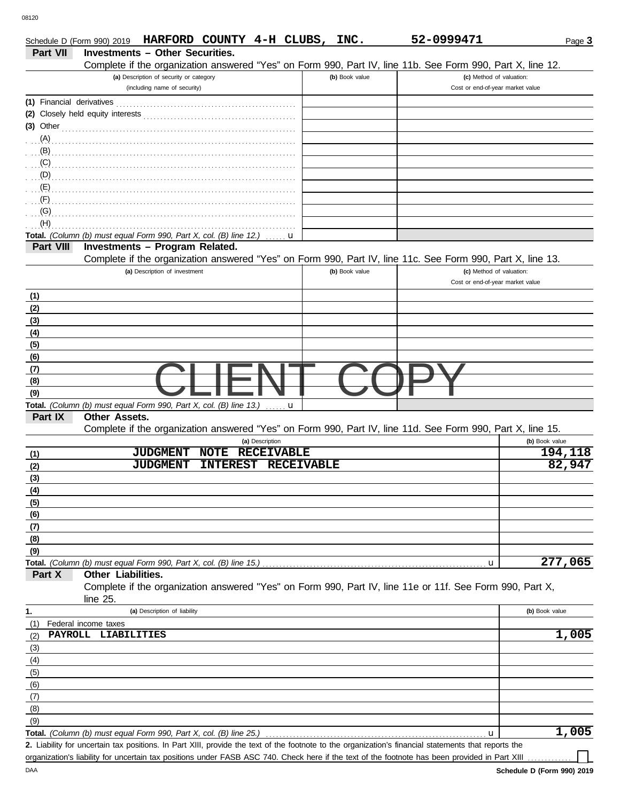DAA

|                           |                      | Schedule D (Form 990) 2019 HARFORD COUNTY 4-H CLUBS, INC.               |                 |                   |                   |                | 52-0999471                                                                                                                                           | Page 3         |
|---------------------------|----------------------|-------------------------------------------------------------------------|-----------------|-------------------|-------------------|----------------|------------------------------------------------------------------------------------------------------------------------------------------------------|----------------|
| Part VII                  |                      | <b>Investments - Other Securities.</b>                                  |                 |                   |                   |                |                                                                                                                                                      |                |
|                           |                      |                                                                         |                 |                   |                   |                | Complete if the organization answered "Yes" on Form 990, Part IV, line 11b. See Form 990, Part X, line 12.                                           |                |
|                           |                      | (a) Description of security or category<br>(including name of security) |                 |                   |                   | (b) Book value | (c) Method of valuation:<br>Cost or end-of-year market value                                                                                         |                |
|                           |                      |                                                                         |                 |                   |                   |                |                                                                                                                                                      |                |
| (1) Financial derivatives |                      |                                                                         |                 |                   |                   |                |                                                                                                                                                      |                |
|                           |                      |                                                                         |                 |                   |                   |                |                                                                                                                                                      |                |
| $(3)$ Other               |                      |                                                                         |                 |                   |                   |                |                                                                                                                                                      |                |
| (A)<br>(B)                |                      |                                                                         |                 |                   |                   |                |                                                                                                                                                      |                |
| (C)                       |                      |                                                                         |                 |                   |                   |                |                                                                                                                                                      |                |
| (D)                       |                      |                                                                         |                 |                   |                   |                |                                                                                                                                                      |                |
| (E)                       |                      |                                                                         |                 |                   |                   |                |                                                                                                                                                      |                |
| (F)                       |                      |                                                                         |                 |                   |                   |                |                                                                                                                                                      |                |
| (G)                       |                      |                                                                         |                 |                   |                   |                |                                                                                                                                                      |                |
| (H)                       |                      |                                                                         |                 |                   |                   |                |                                                                                                                                                      |                |
|                           |                      | Total. (Column (b) must equal Form 990, Part X, col. (B) line 12.)      |                 |                   | u                 |                |                                                                                                                                                      |                |
| Part VIII                 |                      | Investments - Program Related.                                          |                 |                   |                   |                |                                                                                                                                                      |                |
|                           |                      |                                                                         |                 |                   |                   |                | Complete if the organization answered "Yes" on Form 990, Part IV, line 11c. See Form 990, Part X, line 13.                                           |                |
|                           |                      | (a) Description of investment                                           |                 |                   |                   | (b) Book value | (c) Method of valuation:                                                                                                                             |                |
|                           |                      |                                                                         |                 |                   |                   |                | Cost or end-of-year market value                                                                                                                     |                |
| (1)                       |                      |                                                                         |                 |                   |                   |                |                                                                                                                                                      |                |
| (2)                       |                      |                                                                         |                 |                   |                   |                |                                                                                                                                                      |                |
| (3)                       |                      |                                                                         |                 |                   |                   |                |                                                                                                                                                      |                |
| (4)                       |                      |                                                                         |                 |                   |                   |                |                                                                                                                                                      |                |
| (5)                       |                      |                                                                         |                 |                   |                   |                |                                                                                                                                                      |                |
| (6)                       |                      |                                                                         |                 |                   |                   |                |                                                                                                                                                      |                |
| (7)                       |                      |                                                                         |                 |                   |                   |                |                                                                                                                                                      |                |
| (8)                       |                      |                                                                         |                 |                   |                   |                |                                                                                                                                                      |                |
| (9)                       |                      |                                                                         |                 |                   |                   |                |                                                                                                                                                      |                |
|                           |                      | Total. (Column (b) must equal Form 990, Part X, col. (B) line 13.)      |                 |                   | $\mathbf u$       |                |                                                                                                                                                      |                |
| Part IX                   | <b>Other Assets.</b> |                                                                         |                 |                   |                   |                |                                                                                                                                                      |                |
|                           |                      |                                                                         |                 | (a) Description   |                   |                | Complete if the organization answered "Yes" on Form 990, Part IV, line 11d. See Form 990, Part X, line 15.                                           | (b) Book value |
|                           |                      | <b>JUDGMENT</b>                                                         | <b>NOTE</b>     | <b>RECEIVABLE</b> |                   |                |                                                                                                                                                      | 194,118        |
| (1)<br>(2)                |                      | <b>JUDGMENT</b>                                                         | <b>INTEREST</b> |                   | <b>RECEIVABLE</b> |                |                                                                                                                                                      | 82,947         |
| (3)                       |                      |                                                                         |                 |                   |                   |                |                                                                                                                                                      |                |
| (4)                       |                      |                                                                         |                 |                   |                   |                |                                                                                                                                                      |                |
| (5)                       |                      |                                                                         |                 |                   |                   |                |                                                                                                                                                      |                |
| (6)                       |                      |                                                                         |                 |                   |                   |                |                                                                                                                                                      |                |
| (7)                       |                      |                                                                         |                 |                   |                   |                |                                                                                                                                                      |                |
| (8)                       |                      |                                                                         |                 |                   |                   |                |                                                                                                                                                      |                |
| (9)                       |                      |                                                                         |                 |                   |                   |                |                                                                                                                                                      |                |
|                           |                      | Total. (Column (b) must equal Form 990, Part X, col. (B) line 15.)      |                 |                   |                   |                | u                                                                                                                                                    | 277,065        |
| Part X                    | Other Liabilities.   |                                                                         |                 |                   |                   |                |                                                                                                                                                      |                |
|                           | line $25$ .          |                                                                         |                 |                   |                   |                | Complete if the organization answered "Yes" on Form 990, Part IV, line 11e or 11f. See Form 990, Part X,                                             |                |
| 1.                        |                      | (a) Description of liability                                            |                 |                   |                   |                |                                                                                                                                                      | (b) Book value |
| (1)                       | Federal income taxes |                                                                         |                 |                   |                   |                |                                                                                                                                                      |                |
| (2)                       | PAYROLL LIABILITIES  |                                                                         |                 |                   |                   |                |                                                                                                                                                      | 1,005          |
| (3)                       |                      |                                                                         |                 |                   |                   |                |                                                                                                                                                      |                |
| (4)                       |                      |                                                                         |                 |                   |                   |                |                                                                                                                                                      |                |
| (5)                       |                      |                                                                         |                 |                   |                   |                |                                                                                                                                                      |                |
| (6)                       |                      |                                                                         |                 |                   |                   |                |                                                                                                                                                      |                |
| (7)                       |                      |                                                                         |                 |                   |                   |                |                                                                                                                                                      |                |
| (8)                       |                      |                                                                         |                 |                   |                   |                |                                                                                                                                                      |                |
| (9)                       |                      |                                                                         |                 |                   |                   |                |                                                                                                                                                      |                |
|                           |                      | Total. (Column (b) must equal Form 990, Part X, col. (B) line 25.)      |                 |                   |                   |                | u                                                                                                                                                    | 1,005          |
|                           |                      |                                                                         |                 |                   |                   |                | 2. Liability for uncertain tax positions. In Part XIII, provide the text of the footnote to the organization's financial statements that reports the |                |

organization's liability for uncertain tax positions under FASB ASC 740. Check here if the text of the footnote has been provided in Part XIII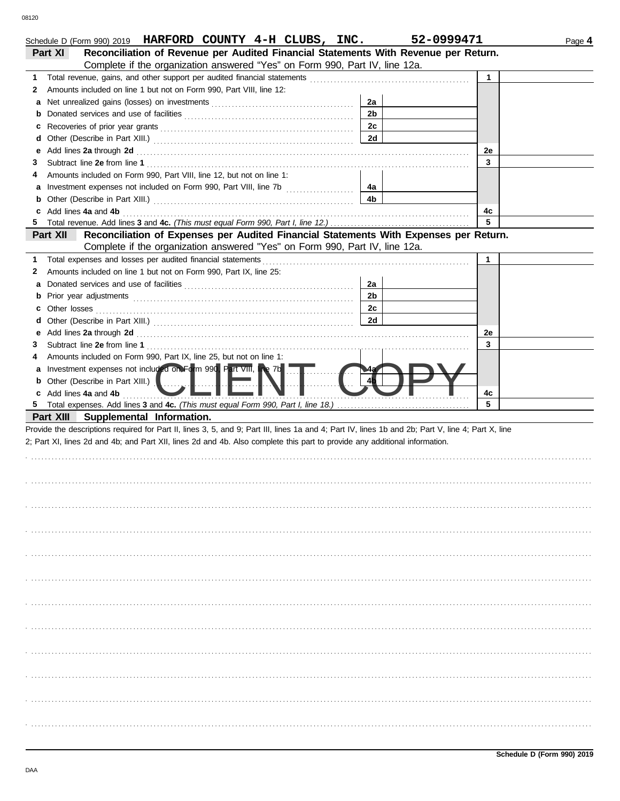| Schedule D (Form 990) 2019 HARFORD COUNTY 4-H CLUBS, INC.                                                                                                                                                                           |                | 52-0999471   | Page 4 |
|-------------------------------------------------------------------------------------------------------------------------------------------------------------------------------------------------------------------------------------|----------------|--------------|--------|
| Reconciliation of Revenue per Audited Financial Statements With Revenue per Return.<br>Part XI                                                                                                                                      |                |              |        |
| Complete if the organization answered "Yes" on Form 990, Part IV, line 12a.                                                                                                                                                         |                |              |        |
| 1.                                                                                                                                                                                                                                  |                | $\mathbf{1}$ |        |
| Amounts included on line 1 but not on Form 990, Part VIII, line 12:<br>2                                                                                                                                                            |                |              |        |
| а                                                                                                                                                                                                                                   | 2a             |              |        |
| b                                                                                                                                                                                                                                   | 2 <sub>b</sub> |              |        |
| c                                                                                                                                                                                                                                   | 2c             |              |        |
| d                                                                                                                                                                                                                                   | 2d             |              |        |
| Add lines 2a through 2d [11] March 2014 [12] March 2014 [12] March 2014 [12] March 2014 [12] March 2014 [12] March 2015 [12] March 2014 [12] March 2014 [12] March 2014 [12] March 2014 [12] March 2014 [12] March 2014 [12] M<br>е |                | 2e           |        |
| З                                                                                                                                                                                                                                   |                | 3            |        |
| Amounts included on Form 990, Part VIII, line 12, but not on line 1:<br>4                                                                                                                                                           |                |              |        |
|                                                                                                                                                                                                                                     | 4а             |              |        |
|                                                                                                                                                                                                                                     | 4b             |              |        |
| c Add lines 4a and 4b                                                                                                                                                                                                               |                | 4c           |        |
| 5.                                                                                                                                                                                                                                  |                | 5            |        |
| Part XII<br>Reconciliation of Expenses per Audited Financial Statements With Expenses per Return.                                                                                                                                   |                |              |        |
| Complete if the organization answered "Yes" on Form 990, Part IV, line 12a.                                                                                                                                                         |                |              |        |
| Total expenses and losses per audited financial statements<br>1.                                                                                                                                                                    |                | $\mathbf{1}$ |        |
| Amounts included on line 1 but not on Form 990, Part IX, line 25:<br>2                                                                                                                                                              |                |              |        |
|                                                                                                                                                                                                                                     | 2a             |              |        |
|                                                                                                                                                                                                                                     | 2 <sub>b</sub> |              |        |
| Other losses<br>c                                                                                                                                                                                                                   | 2c             |              |        |
| d                                                                                                                                                                                                                                   | 2d             |              |        |
| Add lines 2a through 2d [11, 12] Add [12] Add lines 2a through 2d [12] Add lines 2a through 2d [12] Add and Add Lines 20 to 2014<br>е                                                                                               |                | 2e           |        |
| 3                                                                                                                                                                                                                                   |                | 3            |        |
| Amounts included on Form 990, Part IX, line 25, but not on line 1:<br>4                                                                                                                                                             |                |              |        |
| a Investment expenses not included on Form 990, Part VIII, line 7b                                                                                                                                                                  |                |              |        |
| <b>b</b> Other (Describe in Part XIII.)                                                                                                                                                                                             |                |              |        |
| c Add lines 4a and 4b                                                                                                                                                                                                               |                | 4c           |        |
|                                                                                                                                                                                                                                     |                | 5            |        |
| Part XIII Supplemental Information.                                                                                                                                                                                                 |                |              |        |
| Provide the descriptions required for Part II, lines 3, 5, and 9; Part III, lines 1a and 4; Part IV, lines 1b and 2b; Part V, line 4; Part X, line                                                                                  |                |              |        |
| 2; Part XI, lines 2d and 4b; and Part XII, lines 2d and 4b. Also complete this part to provide any additional information.                                                                                                          |                |              |        |
|                                                                                                                                                                                                                                     |                |              |        |
|                                                                                                                                                                                                                                     |                |              |        |
|                                                                                                                                                                                                                                     |                |              |        |
|                                                                                                                                                                                                                                     |                |              |        |
|                                                                                                                                                                                                                                     |                |              |        |
|                                                                                                                                                                                                                                     |                |              |        |
|                                                                                                                                                                                                                                     |                |              |        |
|                                                                                                                                                                                                                                     |                |              |        |
|                                                                                                                                                                                                                                     |                |              |        |
|                                                                                                                                                                                                                                     |                |              |        |
|                                                                                                                                                                                                                                     |                |              |        |
|                                                                                                                                                                                                                                     |                |              |        |
|                                                                                                                                                                                                                                     |                |              |        |
|                                                                                                                                                                                                                                     |                |              |        |
|                                                                                                                                                                                                                                     |                |              |        |
|                                                                                                                                                                                                                                     |                |              |        |
|                                                                                                                                                                                                                                     |                |              |        |
|                                                                                                                                                                                                                                     |                |              |        |
|                                                                                                                                                                                                                                     |                |              |        |
|                                                                                                                                                                                                                                     |                |              |        |
|                                                                                                                                                                                                                                     |                |              |        |
|                                                                                                                                                                                                                                     |                |              |        |
|                                                                                                                                                                                                                                     |                |              |        |
|                                                                                                                                                                                                                                     |                |              |        |
|                                                                                                                                                                                                                                     |                |              |        |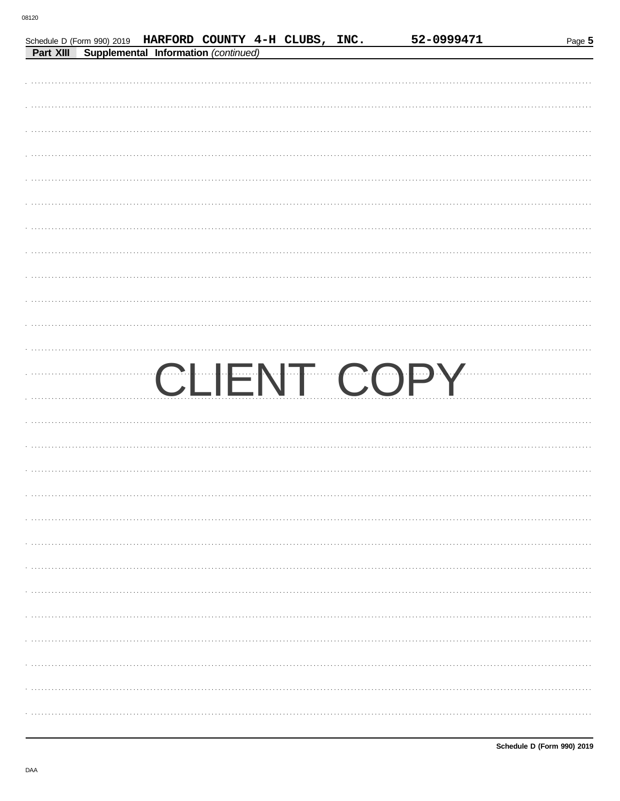|  | Schedule D (Form 990) 2019 HARFORD COUNTY 4-H CLUBS, INC. |  | 52-0999471  | Page 5 |
|--|-----------------------------------------------------------|--|-------------|--------|
|  | Part XIII Supplemental Information (continued)            |  |             |        |
|  |                                                           |  |             |        |
|  |                                                           |  |             |        |
|  |                                                           |  |             |        |
|  |                                                           |  |             |        |
|  |                                                           |  |             |        |
|  |                                                           |  |             |        |
|  |                                                           |  |             |        |
|  |                                                           |  |             |        |
|  |                                                           |  |             |        |
|  |                                                           |  |             |        |
|  |                                                           |  |             |        |
|  |                                                           |  |             |        |
|  |                                                           |  |             |        |
|  |                                                           |  |             |        |
|  |                                                           |  |             |        |
|  |                                                           |  |             |        |
|  |                                                           |  |             |        |
|  |                                                           |  |             |        |
|  |                                                           |  | CLIENT COPY |        |
|  |                                                           |  |             |        |
|  |                                                           |  |             |        |
|  |                                                           |  |             |        |
|  |                                                           |  |             |        |
|  |                                                           |  |             |        |
|  |                                                           |  |             |        |
|  |                                                           |  |             |        |
|  |                                                           |  |             |        |
|  |                                                           |  |             |        |
|  |                                                           |  |             |        |
|  |                                                           |  |             |        |
|  |                                                           |  |             |        |
|  |                                                           |  |             |        |
|  |                                                           |  |             |        |
|  |                                                           |  |             |        |
|  |                                                           |  |             |        |
|  |                                                           |  |             |        |
|  |                                                           |  |             |        |
|  |                                                           |  |             |        |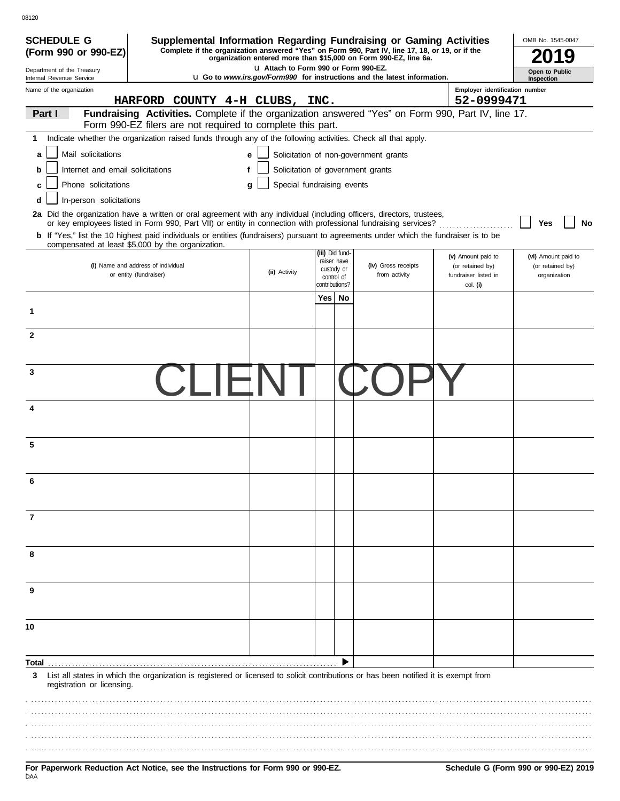| <b>SCHEDULE G</b>                                                                                                                                                                          | Supplemental Information Regarding Fundraising or Gaming Activities<br>Complete if the organization answered "Yes" on Form 990, Part IV, line 17, 18, or 19, or if the |                                       |                                   |                                                                                 |                                          | OMB No. 1545-0047                |
|--------------------------------------------------------------------------------------------------------------------------------------------------------------------------------------------|------------------------------------------------------------------------------------------------------------------------------------------------------------------------|---------------------------------------|-----------------------------------|---------------------------------------------------------------------------------|------------------------------------------|----------------------------------|
| (Form 990 or 990-EZ)                                                                                                                                                                       |                                                                                                                                                                        |                                       |                                   | organization entered more than \$15,000 on Form 990-EZ, line 6a.                |                                          |                                  |
| Department of the Treasury<br>Internal Revenue Service                                                                                                                                     |                                                                                                                                                                        | L1 Attach to Form 990 or Form 990-EZ. |                                   | <b>u</b> Go to www.irs.gov/Form990 for instructions and the latest information. |                                          | Open to Public<br>Inspection     |
| Name of the organization                                                                                                                                                                   |                                                                                                                                                                        |                                       |                                   |                                                                                 | Employer identification number           |                                  |
|                                                                                                                                                                                            | HARFORD COUNTY 4-H CLUBS, INC.                                                                                                                                         |                                       |                                   |                                                                                 | 52-0999471                               |                                  |
| Part I                                                                                                                                                                                     | Fundraising Activities. Complete if the organization answered "Yes" on Form 990, Part IV, line 17.<br>Form 990-EZ filers are not required to complete this part.       |                                       |                                   |                                                                                 |                                          |                                  |
| 1                                                                                                                                                                                          | Indicate whether the organization raised funds through any of the following activities. Check all that apply.                                                          |                                       |                                   |                                                                                 |                                          |                                  |
| Mail solicitations<br>a                                                                                                                                                                    |                                                                                                                                                                        | e                                     |                                   | Solicitation of non-government grants                                           |                                          |                                  |
| Internet and email solicitations<br>b                                                                                                                                                      |                                                                                                                                                                        | f                                     | Solicitation of government grants |                                                                                 |                                          |                                  |
| Phone solicitations<br>C                                                                                                                                                                   |                                                                                                                                                                        | q                                     | Special fundraising events        |                                                                                 |                                          |                                  |
| In-person solicitations<br>d                                                                                                                                                               |                                                                                                                                                                        |                                       |                                   |                                                                                 |                                          |                                  |
| 2a Did the organization have a written or oral agreement with any individual (including officers, directors, trustees,                                                                     |                                                                                                                                                                        |                                       |                                   |                                                                                 |                                          |                                  |
|                                                                                                                                                                                            | or key employees listed in Form 990, Part VII) or entity in connection with professional fundraising services?                                                         |                                       |                                   |                                                                                 |                                          | Yes<br>No                        |
| b If "Yes," list the 10 highest paid individuals or entities (fundraisers) pursuant to agreements under which the fundraiser is to be<br>compensated at least \$5,000 by the organization. |                                                                                                                                                                        |                                       |                                   |                                                                                 |                                          |                                  |
|                                                                                                                                                                                            |                                                                                                                                                                        |                                       | (iii) Did fund-<br>raiser have    |                                                                                 | (v) Amount paid to                       | (vi) Amount paid to              |
| (i) Name and address of individual<br>or entity (fundraiser)                                                                                                                               |                                                                                                                                                                        | (ii) Activity                         | custody or<br>control of          | (iv) Gross receipts<br>from activity                                            | (or retained by)<br>fundraiser listed in | (or retained by)<br>organization |
|                                                                                                                                                                                            |                                                                                                                                                                        |                                       | contributions?                    |                                                                                 | col. (i)                                 |                                  |
|                                                                                                                                                                                            |                                                                                                                                                                        |                                       | Yes l<br>No                       |                                                                                 |                                          |                                  |
| 1                                                                                                                                                                                          |                                                                                                                                                                        |                                       |                                   |                                                                                 |                                          |                                  |
| $\mathbf{2}$                                                                                                                                                                               |                                                                                                                                                                        |                                       |                                   |                                                                                 |                                          |                                  |
|                                                                                                                                                                                            |                                                                                                                                                                        |                                       |                                   |                                                                                 |                                          |                                  |
|                                                                                                                                                                                            |                                                                                                                                                                        |                                       |                                   |                                                                                 |                                          |                                  |
| 3                                                                                                                                                                                          |                                                                                                                                                                        |                                       |                                   |                                                                                 |                                          |                                  |
|                                                                                                                                                                                            |                                                                                                                                                                        |                                       |                                   |                                                                                 |                                          |                                  |
| 4                                                                                                                                                                                          |                                                                                                                                                                        |                                       |                                   |                                                                                 |                                          |                                  |
|                                                                                                                                                                                            |                                                                                                                                                                        |                                       |                                   |                                                                                 |                                          |                                  |
|                                                                                                                                                                                            |                                                                                                                                                                        |                                       |                                   |                                                                                 |                                          |                                  |
| 5                                                                                                                                                                                          |                                                                                                                                                                        |                                       |                                   |                                                                                 |                                          |                                  |
|                                                                                                                                                                                            |                                                                                                                                                                        |                                       |                                   |                                                                                 |                                          |                                  |
| ี                                                                                                                                                                                          |                                                                                                                                                                        |                                       |                                   |                                                                                 |                                          |                                  |
|                                                                                                                                                                                            |                                                                                                                                                                        |                                       |                                   |                                                                                 |                                          |                                  |
| 7                                                                                                                                                                                          |                                                                                                                                                                        |                                       |                                   |                                                                                 |                                          |                                  |
|                                                                                                                                                                                            |                                                                                                                                                                        |                                       |                                   |                                                                                 |                                          |                                  |
|                                                                                                                                                                                            |                                                                                                                                                                        |                                       |                                   |                                                                                 |                                          |                                  |
| 8                                                                                                                                                                                          |                                                                                                                                                                        |                                       |                                   |                                                                                 |                                          |                                  |
|                                                                                                                                                                                            |                                                                                                                                                                        |                                       |                                   |                                                                                 |                                          |                                  |
| 9                                                                                                                                                                                          |                                                                                                                                                                        |                                       |                                   |                                                                                 |                                          |                                  |
|                                                                                                                                                                                            |                                                                                                                                                                        |                                       |                                   |                                                                                 |                                          |                                  |
|                                                                                                                                                                                            |                                                                                                                                                                        |                                       |                                   |                                                                                 |                                          |                                  |
| 10                                                                                                                                                                                         |                                                                                                                                                                        |                                       |                                   |                                                                                 |                                          |                                  |
|                                                                                                                                                                                            |                                                                                                                                                                        |                                       |                                   |                                                                                 |                                          |                                  |
| Total                                                                                                                                                                                      |                                                                                                                                                                        |                                       |                                   |                                                                                 |                                          |                                  |
| 3                                                                                                                                                                                          | List all states in which the organization is registered or licensed to solicit contributions or has been notified it is exempt from                                    |                                       |                                   |                                                                                 |                                          |                                  |
| registration or licensing.                                                                                                                                                                 |                                                                                                                                                                        |                                       |                                   |                                                                                 |                                          |                                  |
|                                                                                                                                                                                            |                                                                                                                                                                        |                                       |                                   |                                                                                 |                                          |                                  |
|                                                                                                                                                                                            |                                                                                                                                                                        |                                       |                                   |                                                                                 |                                          |                                  |
|                                                                                                                                                                                            |                                                                                                                                                                        |                                       |                                   |                                                                                 |                                          |                                  |
|                                                                                                                                                                                            |                                                                                                                                                                        |                                       |                                   |                                                                                 |                                          |                                  |
|                                                                                                                                                                                            |                                                                                                                                                                        |                                       |                                   |                                                                                 |                                          |                                  |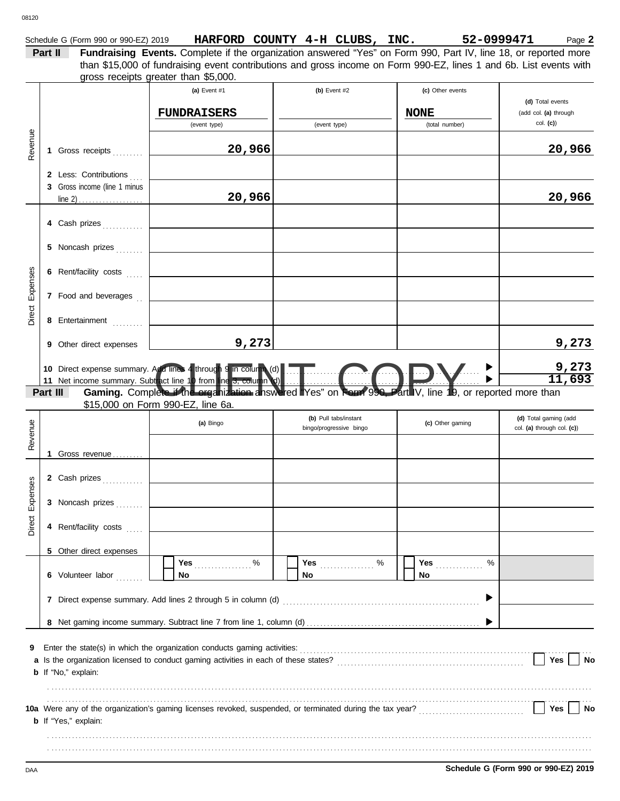|         | Schedule G (Form 990 or 990-EZ) 2019 | HARFORD COUNTY 4-H CLUBS,                                                                                          |  |                  | INC. | 52-0999471         | Page 2 |
|---------|--------------------------------------|--------------------------------------------------------------------------------------------------------------------|--|------------------|------|--------------------|--------|
| Part II |                                      | Fundraising Events. Complete if the organization answered "Yes" on Form 990, Part IV, line 18, or reported more    |  |                  |      |                    |        |
|         |                                      | than \$15,000 of fundraising event contributions and gross income on Form 990-EZ, lines 1 and 6b. List events with |  |                  |      |                    |        |
|         |                                      | gross receipts greater than \$5,000.                                                                               |  |                  |      |                    |        |
|         |                                      | $(a)$ Event #1                                                                                                     |  | $(h)$ Event $H2$ |      | $(n)$ Other events |        |

|          |          |                                                                                                      | (a) Event $#1$                                                                                                                                                                                                                          | (b) Event $#2$          | (c) Other events |                                           |
|----------|----------|------------------------------------------------------------------------------------------------------|-----------------------------------------------------------------------------------------------------------------------------------------------------------------------------------------------------------------------------------------|-------------------------|------------------|-------------------------------------------|
|          |          |                                                                                                      | <b>FUNDRAISERS</b>                                                                                                                                                                                                                      |                         | <b>NONE</b>      | (d) Total events<br>(add col. (a) through |
|          |          |                                                                                                      | (event type)                                                                                                                                                                                                                            | (event type)            | (total number)   | col. (c)                                  |
| Revenue  |          | 1 Gross receipts                                                                                     | 20,966                                                                                                                                                                                                                                  |                         |                  | 20,966                                    |
|          |          | 2 Less: Contributions<br>3 Gross income (line 1 minus<br>line 2) $\ldots$ $\ldots$ $\ldots$ $\ldots$ | 20,966                                                                                                                                                                                                                                  |                         |                  | 20,966                                    |
|          |          | 4 Cash prizes                                                                                        |                                                                                                                                                                                                                                         |                         |                  |                                           |
|          |          | 5 Noncash prizes                                                                                     |                                                                                                                                                                                                                                         |                         |                  |                                           |
|          |          | 6 Rent/facility costs                                                                                |                                                                                                                                                                                                                                         |                         |                  |                                           |
| Expenses |          | 7 Food and beverages                                                                                 |                                                                                                                                                                                                                                         |                         |                  |                                           |
| Direct   |          | 8 Entertainment                                                                                      |                                                                                                                                                                                                                                         |                         |                  |                                           |
|          | 9        | Other direct expenses                                                                                | 9,273                                                                                                                                                                                                                                   |                         |                  | 9,273                                     |
|          |          |                                                                                                      | 10 Direct expense summary. A d lines 4 through 9 in column (d)<br>11 Net income summary. Subtract line 10 from line 3, column (d)<br>11 Net income summary. Subtract line 10 from line 3, column (d)<br>11 Net income summary. Subtract |                         |                  | $\frac{9,273}{11,693}$                    |
|          | Part III |                                                                                                      |                                                                                                                                                                                                                                         |                         |                  |                                           |
|          |          |                                                                                                      | \$15,000 on Form 990-EZ, line 6a.                                                                                                                                                                                                       | (b) Pull tabs/instant   |                  | (d) Total gaming (add                     |
|          |          |                                                                                                      | (a) Bingo                                                                                                                                                                                                                               | bingo/progressive bingo | (c) Other gaming | col. (a) through col. (c))                |
| Revenue  |          | 1 Gross revenue                                                                                      |                                                                                                                                                                                                                                         |                         |                  |                                           |
|          |          | 2 Cash prizes                                                                                        |                                                                                                                                                                                                                                         |                         |                  |                                           |
| Expenses |          | 3 Noncash prizes                                                                                     |                                                                                                                                                                                                                                         |                         |                  |                                           |
| Direct   |          | 4 Rent/facility costs                                                                                |                                                                                                                                                                                                                                         |                         |                  |                                           |
|          | 5.       | Other direct expenses                                                                                |                                                                                                                                                                                                                                         |                         |                  |                                           |
|          |          | 6 Volunteer labor                                                                                    | Yes<br>%<br>No                                                                                                                                                                                                                          | Yes<br>%<br>No          | Yes<br>%<br>No   |                                           |
|          |          |                                                                                                      | 7 Direct expense summary. Add lines 2 through 5 in column (d)                                                                                                                                                                           |                         |                  |                                           |
|          |          |                                                                                                      |                                                                                                                                                                                                                                         |                         |                  |                                           |
| 9<br>a   |          | <b>b</b> If "No," explain:                                                                           | Enter the state(s) in which the organization conducts gaming activities:                                                                                                                                                                |                         |                  | Yes<br>No                                 |
|          |          | <b>b</b> If "Yes," explain:                                                                          |                                                                                                                                                                                                                                         |                         |                  | Yes<br>No                                 |
|          |          |                                                                                                      |                                                                                                                                                                                                                                         |                         |                  |                                           |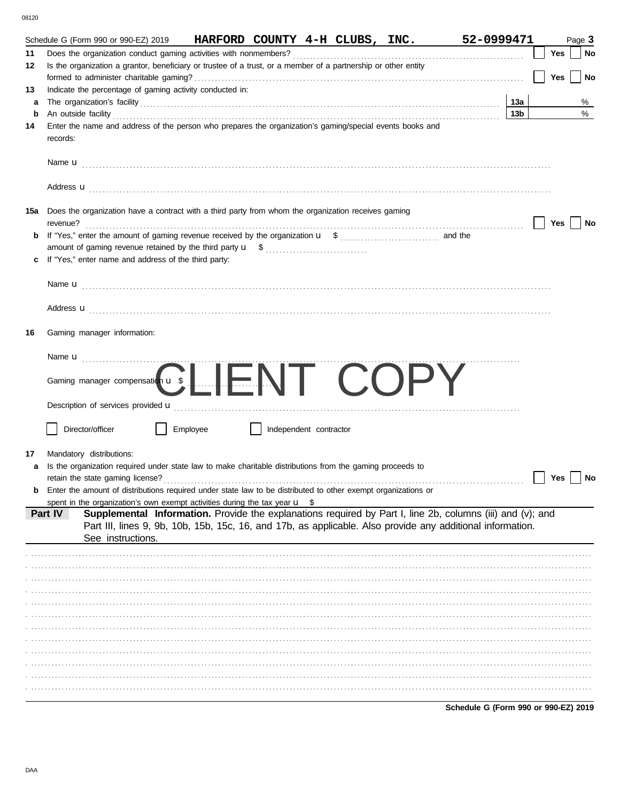|    | Schedule G (Form 990 or 990-EZ) 2019                 |                   | HARFORD COUNTY 4-H CLUBS, INC.                                                                                             |                        |  | 52-0999471                                                                                                                                                                                                               |                 |     |     | Page 3    |
|----|------------------------------------------------------|-------------------|----------------------------------------------------------------------------------------------------------------------------|------------------------|--|--------------------------------------------------------------------------------------------------------------------------------------------------------------------------------------------------------------------------|-----------------|-----|-----|-----------|
| 11 |                                                      |                   |                                                                                                                            |                        |  |                                                                                                                                                                                                                          |                 | Yes |     | No        |
| 12 |                                                      |                   | Is the organization a grantor, beneficiary or trustee of a trust, or a member of a partnership or other entity             |                        |  |                                                                                                                                                                                                                          |                 |     |     |           |
|    |                                                      |                   |                                                                                                                            |                        |  |                                                                                                                                                                                                                          |                 |     | Yes | No        |
| 13 |                                                      |                   | Indicate the percentage of gaming activity conducted in:                                                                   |                        |  |                                                                                                                                                                                                                          |                 |     |     |           |
| a  |                                                      |                   |                                                                                                                            |                        |  |                                                                                                                                                                                                                          | 13a             |     |     | %         |
| b  |                                                      |                   | An outside facility <i>contained a contained a contained a contained a contained a contained a contained a contained a</i> |                        |  |                                                                                                                                                                                                                          | 13 <sub>b</sub> |     |     | $\%$      |
| 14 | records:                                             |                   | Enter the name and address of the person who prepares the organization's gaming/special events books and                   |                        |  |                                                                                                                                                                                                                          |                 |     |     |           |
|    |                                                      |                   |                                                                                                                            |                        |  |                                                                                                                                                                                                                          |                 |     |     |           |
|    |                                                      |                   |                                                                                                                            |                        |  | Address <b>u</b>                                                                                                                                                                                                         |                 |     |     |           |
|    |                                                      |                   | 15a Does the organization have a contract with a third party from whom the organization receives gaming                    |                        |  |                                                                                                                                                                                                                          |                 |     | Yes | <b>No</b> |
| b  |                                                      |                   |                                                                                                                            |                        |  |                                                                                                                                                                                                                          |                 |     |     |           |
|    |                                                      |                   |                                                                                                                            |                        |  |                                                                                                                                                                                                                          |                 |     |     |           |
| c  | If "Yes," enter name and address of the third party: |                   |                                                                                                                            |                        |  |                                                                                                                                                                                                                          |                 |     |     |           |
|    |                                                      |                   |                                                                                                                            |                        |  |                                                                                                                                                                                                                          |                 |     |     |           |
|    |                                                      |                   |                                                                                                                            |                        |  |                                                                                                                                                                                                                          |                 |     |     |           |
|    |                                                      |                   |                                                                                                                            |                        |  | Address <b>u</b>                                                                                                                                                                                                         |                 |     |     |           |
| 16 | Gaming manager information:                          |                   |                                                                                                                            |                        |  |                                                                                                                                                                                                                          |                 |     |     |           |
|    |                                                      |                   |                                                                                                                            |                        |  |                                                                                                                                                                                                                          |                 |     |     |           |
|    |                                                      |                   | Gaming manager compensation u s LIENT COPY                                                                                 |                        |  |                                                                                                                                                                                                                          |                 |     |     |           |
|    |                                                      |                   |                                                                                                                            |                        |  |                                                                                                                                                                                                                          |                 |     |     |           |
|    | Director/officer                                     |                   | Employee                                                                                                                   | Independent contractor |  |                                                                                                                                                                                                                          |                 |     |     |           |
| 17 | Mandatory distributions:                             |                   |                                                                                                                            |                        |  |                                                                                                                                                                                                                          |                 |     |     |           |
| a  |                                                      |                   | Is the organization required under state law to make charitable distributions from the gaming proceeds to                  |                        |  |                                                                                                                                                                                                                          |                 |     |     |           |
|    |                                                      |                   |                                                                                                                            |                        |  |                                                                                                                                                                                                                          |                 |     | Yes | <b>No</b> |
| b  |                                                      |                   | Enter the amount of distributions required under state law to be distributed to other exempt organizations or              |                        |  |                                                                                                                                                                                                                          |                 |     |     |           |
|    |                                                      |                   | spent in the organization's own exempt activities during the tax year $\mathbf{u}$ \$                                      |                        |  |                                                                                                                                                                                                                          |                 |     |     |           |
|    | Part IV                                              | See instructions. |                                                                                                                            |                        |  | Supplemental Information. Provide the explanations required by Part I, line 2b, columns (iii) and (v); and<br>Part III, lines 9, 9b, 10b, 15b, 15c, 16, and 17b, as applicable. Also provide any additional information. |                 |     |     |           |
|    |                                                      |                   |                                                                                                                            |                        |  |                                                                                                                                                                                                                          |                 |     |     |           |
|    |                                                      |                   |                                                                                                                            |                        |  |                                                                                                                                                                                                                          |                 |     |     |           |
|    |                                                      |                   |                                                                                                                            |                        |  |                                                                                                                                                                                                                          |                 |     |     |           |
|    |                                                      |                   |                                                                                                                            |                        |  |                                                                                                                                                                                                                          |                 |     |     |           |
|    |                                                      |                   |                                                                                                                            |                        |  |                                                                                                                                                                                                                          |                 |     |     |           |
|    |                                                      |                   |                                                                                                                            |                        |  |                                                                                                                                                                                                                          |                 |     |     |           |
|    |                                                      |                   |                                                                                                                            |                        |  |                                                                                                                                                                                                                          |                 |     |     |           |
|    |                                                      |                   |                                                                                                                            |                        |  |                                                                                                                                                                                                                          |                 |     |     |           |
|    |                                                      |                   |                                                                                                                            |                        |  |                                                                                                                                                                                                                          |                 |     |     |           |
|    |                                                      |                   |                                                                                                                            |                        |  |                                                                                                                                                                                                                          |                 |     |     |           |
|    |                                                      |                   |                                                                                                                            |                        |  |                                                                                                                                                                                                                          |                 |     |     |           |
|    |                                                      |                   |                                                                                                                            |                        |  |                                                                                                                                                                                                                          |                 |     |     |           |

Schedule G (Form 990 or 990-EZ) 2019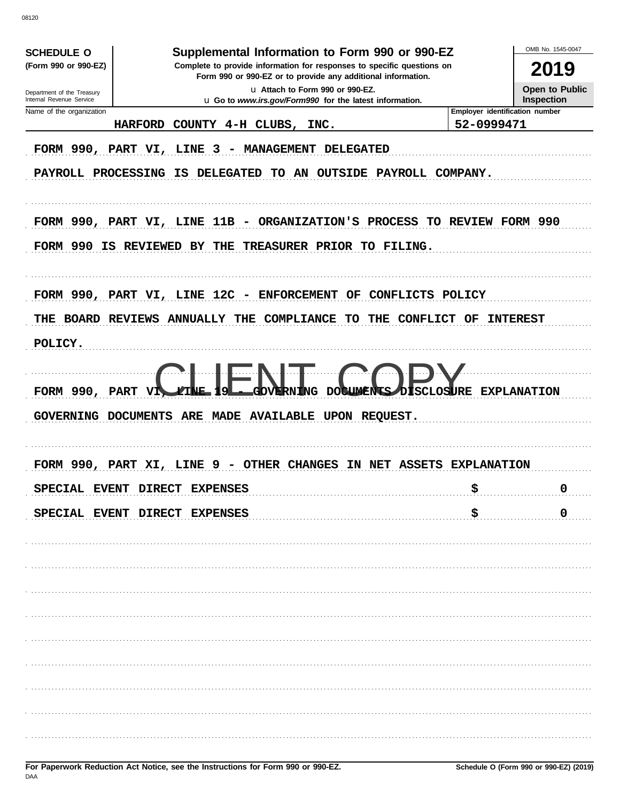OMB No 1545-0047 **SCHEDULE O** Supplemental Information to Form 990 or 990-EZ (Form 990 or 990-EZ) Complete to provide information for responses to specific questions on 2019 Form 990 or 990-EZ or to provide any additional information. Open to Public u Attach to Form 990 or 990-EZ. Department of the Treasury<br>Internal Revenue Service Inspection u Go to www.irs.gov/Form990 for the latest information. Name of the organization Employer identification number 52-0999471 HARFORD COUNTY 4-H CLUBS, INC. FORM 990, PART VI, LINE 3 - MANAGEMENT DELEGATED PAYROLL PROCESSING IS DELEGATED TO AN OUTSIDE PAYROLL COMPANY. FORM 990, PART VI, LINE 11B - ORGANIZATION'S PROCESS TO REVIEW FORM 990 FORM 990 IS REVIEWED BY THE TREASURER PRIOR TO FILING. FORM 990, PART VI, LINE 12C - ENFORCEMENT OF CONFLICTS POLICY THE BOARD REVIEWS ANNUALLY THE COMPLIANCE TO THE CONFLICT OF INTEREST POLICY. **OSURE EXPLANATION** FORM 990, PART GOVERNING DOCUMENTS ARE MADE AVAILABLE UPON REQUEST. FORM 990, PART XI, LINE 9 - OTHER CHANGES IN NET ASSETS EXPLANATION SPECIAL EVENT DIRECT EXPENSES \$  $\mathbf 0$ \$ SPECIAL EVENT DIRECT EXPENSES  $\mathbf 0$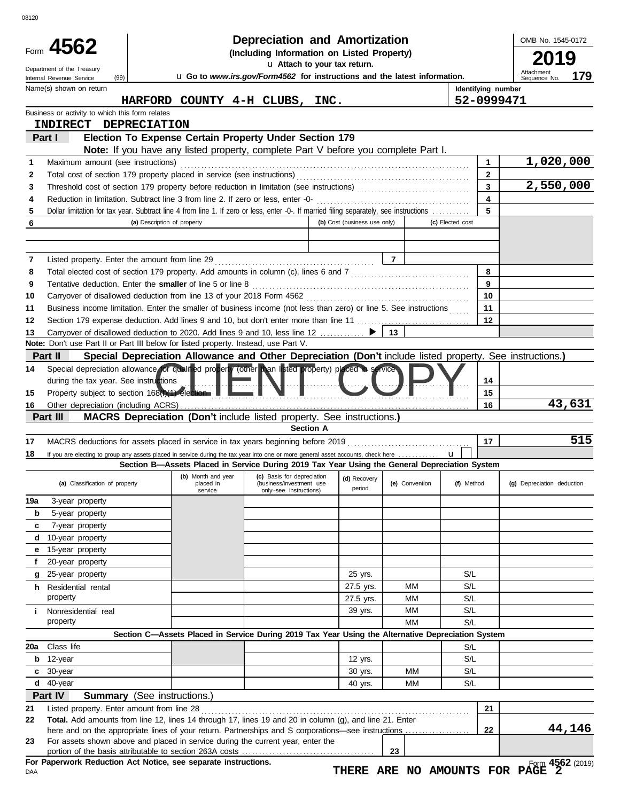|          | Form 4562<br>Department of the Treasury<br>(99)<br>Internal Revenue Service | <b>u</b> Go to www.irs.gov/Form4562 for instructions and the latest information. | OMB No. 1545-0172<br>2019<br>Attachment<br>179<br>Sequence No.                                                                          |                              |                |                    |                            |
|----------|-----------------------------------------------------------------------------|----------------------------------------------------------------------------------|-----------------------------------------------------------------------------------------------------------------------------------------|------------------------------|----------------|--------------------|----------------------------|
|          | Name(s) shown on return                                                     |                                                                                  |                                                                                                                                         |                              |                | Identifying number |                            |
|          |                                                                             |                                                                                  | HARFORD COUNTY 4-H CLUBS, INC.                                                                                                          |                              |                | 52-0999471         |                            |
|          | Business or activity to which this form relates                             |                                                                                  |                                                                                                                                         |                              |                |                    |                            |
|          | <b>INDIRECT</b>                                                             | <b>DEPRECIATION</b>                                                              |                                                                                                                                         |                              |                |                    |                            |
|          | Part I                                                                      |                                                                                  | Election To Expense Certain Property Under Section 179                                                                                  |                              |                |                    |                            |
| 1        | Maximum amount (see instructions)                                           |                                                                                  | Note: If you have any listed property, complete Part V before you complete Part I.                                                      |                              |                | 1                  | 1,020,000                  |
| 2        |                                                                             |                                                                                  |                                                                                                                                         |                              |                | 2                  |                            |
| 3        |                                                                             |                                                                                  |                                                                                                                                         |                              |                | 3                  | 2,550,000                  |
| 4        |                                                                             |                                                                                  | Reduction in limitation. Subtract line 3 from line 2. If zero or less, enter -0-                                                        |                              |                | 4                  |                            |
| 5        |                                                                             |                                                                                  | Dollar limitation for tax year. Subtract line 4 from line 1. If zero or less, enter -0-. If married filing separately, see instructions |                              |                | 5                  |                            |
| 6        |                                                                             | (a) Description of property                                                      |                                                                                                                                         | (b) Cost (business use only) |                | (c) Elected cost   |                            |
|          |                                                                             |                                                                                  |                                                                                                                                         |                              |                |                    |                            |
|          |                                                                             |                                                                                  |                                                                                                                                         |                              |                |                    |                            |
| 7        |                                                                             |                                                                                  |                                                                                                                                         |                              | $\overline{7}$ | 8                  |                            |
| 8<br>9   |                                                                             | Tentative deduction. Enter the smaller of line 5 or line 8                       |                                                                                                                                         |                              |                | 9                  |                            |
| 10       |                                                                             |                                                                                  |                                                                                                                                         |                              |                | 10                 |                            |
| 11       |                                                                             |                                                                                  | Business income limitation. Enter the smaller of business income (not less than zero) or line 5. See instructions                       |                              |                | 11                 |                            |
| 12       |                                                                             |                                                                                  |                                                                                                                                         |                              |                | 12                 |                            |
| 13       |                                                                             |                                                                                  | Carryover of disallowed deduction to 2020. Add lines 9 and 10, less line 12  ▶                                                          |                              | 13             |                    |                            |
|          |                                                                             |                                                                                  | Note: Don't use Part II or Part III below for listed property. Instead, use Part V.                                                     |                              |                |                    |                            |
|          | Part II                                                                     |                                                                                  | Special Depreciation Allowance and Other Depreciation (Don't include listed property. See instructions.)                                |                              |                |                    |                            |
| 14       |                                                                             |                                                                                  | Special depreciation allowance for qualified property (other than listed property) placed in service                                    |                              |                |                    |                            |
|          | during the tax year. See instructions                                       |                                                                                  |                                                                                                                                         |                              |                | 14                 |                            |
| 15<br>16 |                                                                             | Property subject to section 168(1)(1) election                                   |                                                                                                                                         |                              |                | 15<br>16           | 43,631                     |
|          | Part III                                                                    |                                                                                  |                                                                                                                                         |                              |                |                    |                            |
|          |                                                                             |                                                                                  |                                                                                                                                         |                              |                |                    |                            |
|          |                                                                             |                                                                                  | <b>MACRS Depreciation (Don't include listed property. See instructions.)</b><br><b>Section A</b>                                        |                              |                |                    |                            |
|          |                                                                             |                                                                                  |                                                                                                                                         |                              |                | 17                 |                            |
|          |                                                                             |                                                                                  | If you are electing to group any assets placed in service during the tax year into one or more general asset accounts, check here       |                              |                | u                  |                            |
|          |                                                                             |                                                                                  | Section B—Assets Placed in Service During 2019 Tax Year Using the General Depreciation System                                           |                              |                |                    |                            |
| 17<br>18 | (a) Classification of property                                              | placed in                                                                        | (b) Month and year (c) Basis for depreciation (d) Recovery<br>(business/investment use                                                  |                              | (e) Convention | (f) Method         | (g) Depreciation deduction |
|          |                                                                             | service                                                                          | only-see instructions)                                                                                                                  | period                       |                |                    |                            |
| 19a      | 3-year property                                                             |                                                                                  |                                                                                                                                         |                              |                |                    |                            |
| b<br>c   | 5-year property                                                             |                                                                                  |                                                                                                                                         |                              |                |                    |                            |
| d        | 7-year property<br>10-year property                                         |                                                                                  |                                                                                                                                         |                              |                |                    |                            |
| е        | 15-year property                                                            |                                                                                  |                                                                                                                                         |                              |                |                    |                            |
| f        | 20-year property                                                            |                                                                                  |                                                                                                                                         |                              |                |                    | 515                        |
| g        | 25-year property                                                            |                                                                                  |                                                                                                                                         | 25 yrs.                      |                | S/L                |                            |
|          | <b>h</b> Residential rental                                                 |                                                                                  |                                                                                                                                         | 27.5 yrs.                    | MМ             | S/L                |                            |
|          | property                                                                    |                                                                                  |                                                                                                                                         | 27.5 yrs.                    | MМ             | S/L                |                            |
| i.       | Nonresidential real                                                         |                                                                                  |                                                                                                                                         | 39 yrs.                      | MМ             | S/L                |                            |
|          | property                                                                    |                                                                                  |                                                                                                                                         |                              | MM             | S/L                |                            |
|          |                                                                             |                                                                                  | Section C-Assets Placed in Service During 2019 Tax Year Using the Alternative Depreciation System                                       |                              |                |                    |                            |
| 20a      | Class life                                                                  |                                                                                  |                                                                                                                                         |                              |                | S/L                |                            |
| b<br>c   | 12-year                                                                     |                                                                                  |                                                                                                                                         | 12 yrs.                      |                | S/L                |                            |
| d        | 30-year<br>40-year                                                          |                                                                                  |                                                                                                                                         | 30 yrs.                      | MМ<br>MM       | S/L<br>S/L         |                            |
|          | Part IV                                                                     |                                                                                  |                                                                                                                                         | 40 yrs.                      |                |                    |                            |
| 21       | Listed property. Enter amount from line 28                                  | <b>Summary</b> (See instructions.)                                               |                                                                                                                                         |                              |                | 21                 |                            |
| 22       |                                                                             |                                                                                  | Total. Add amounts from line 12, lines 14 through 17, lines 19 and 20 in column (g), and line 21. Enter                                 |                              |                |                    |                            |
|          |                                                                             |                                                                                  | here and on the appropriate lines of your return. Partnerships and S corporations—see instructions                                      |                              |                | 22                 | 44,146                     |
| 23       |                                                                             |                                                                                  | For assets shown above and placed in service during the current year, enter the                                                         |                              | 23             |                    |                            |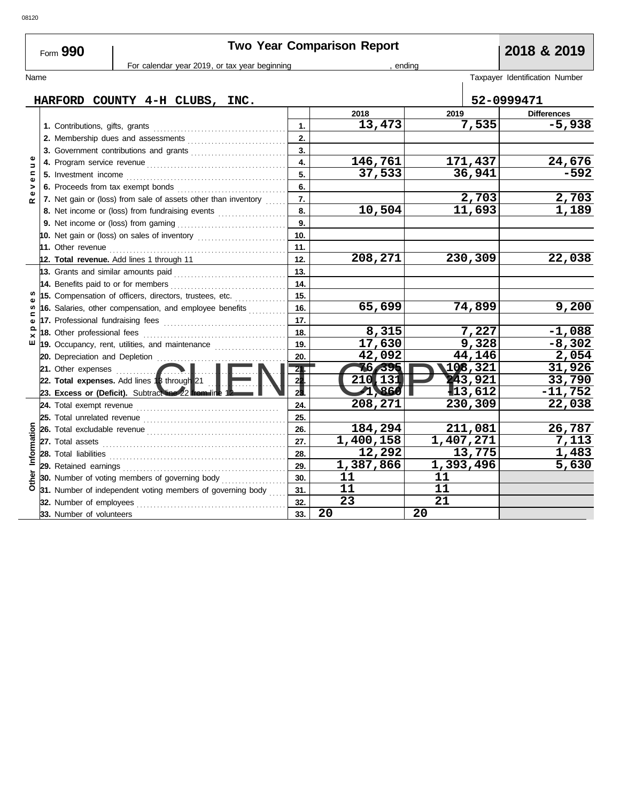| Form 990                        | 2018 & 2019                         |                                                                                                                    |                |                 |           |                    |                                |
|---------------------------------|-------------------------------------|--------------------------------------------------------------------------------------------------------------------|----------------|-----------------|-----------|--------------------|--------------------------------|
| Name                            |                                     | For calendar year 2019, or tax year beginning                                                                      |                |                 | , ending  |                    | Taxpayer Identification Number |
|                                 |                                     |                                                                                                                    |                |                 |           |                    |                                |
|                                 |                                     | HARFORD COUNTY 4-H CLUBS, INC.                                                                                     |                |                 |           | 52-0999471         |                                |
|                                 |                                     |                                                                                                                    | 2018           |                 | 2019      |                    | <b>Differences</b>             |
|                                 |                                     |                                                                                                                    | 1.             | 13,473          |           | 7,535              | $-5,938$                       |
|                                 |                                     |                                                                                                                    | 2.             |                 |           |                    |                                |
|                                 |                                     | 3. Government contributions and grants                                                                             | 3.             |                 |           |                    |                                |
| $\pmb{\omega}$<br>$\Rightarrow$ |                                     |                                                                                                                    | 4.             | 146,761         |           | 171,437            | 24,676                         |
| $\mathbf{C}$<br>$\pmb{\omega}$  |                                     |                                                                                                                    | 5.             | 37,533          |           | 36,941             | $-592$                         |
| ><br>Φ                          |                                     |                                                                                                                    | 6.             |                 |           |                    |                                |
| ≃                               |                                     | 7. Net gain or (loss) from sale of assets other than inventory                                                     | 7.             |                 |           | $\overline{2,703}$ | 2,703                          |
|                                 |                                     | 8. Net income or (loss) from fundraising events                                                                    | 8.             | 10,504          |           | 11,693             | 1,189                          |
|                                 |                                     |                                                                                                                    | 9.             |                 |           |                    |                                |
|                                 |                                     | 10. Net gain or (loss) on sales of inventory [11] [11] Net gain or (loss)                                          | 10.            |                 |           |                    |                                |
|                                 |                                     |                                                                                                                    | 11.            |                 |           |                    |                                |
|                                 |                                     | 12. Total revenue. Add lines 1 through 11                                                                          | 12.            | 208,271         |           | 230,309            | 22,038                         |
|                                 | 13. Grants and similar amounts paid |                                                                                                                    | 13.            |                 |           |                    |                                |
|                                 |                                     | 14. Benefits paid to or for members <b>constants B</b>                                                             | 14.<br>15.     |                 |           |                    |                                |
| w                               |                                     | 15. Compensation of officers, directors, trustees, etc.<br>16. Salaries, other compensation, and employee benefits | 16.            | 65,699          |           | 74,899             | 9,200                          |
| ⊆                               |                                     |                                                                                                                    | 17.            |                 |           |                    |                                |
| $\mathbf{\omega}$<br>$\Omega$   | 18. Other professional fees         |                                                                                                                    | 18.            | 8,315           |           | 7,227              | $-1,088$                       |
| ×<br>ш                          |                                     | 19. Occupancy, rent, utilities, and maintenance                                                                    | 19.            | 17,630          |           | 9,328              | $-8,302$                       |
|                                 | 20. Depreciation and Depletion      |                                                                                                                    | 20.            | 42,092          |           | 44,146             | 2,054                          |
|                                 | 21. Other expenses <b>contained</b> |                                                                                                                    | 21             | 76,395          |           | 108,321            | 31,926                         |
|                                 |                                     | 22. Total expenses. Add lines 13 through 21                                                                        | 22             | 210,131         |           | 243,921            | 33,790                         |
|                                 |                                     | 23. Excess or (Deficit). Subtract line 22 from line 1                                                              | 2 <sub>3</sub> | 1,860           |           | $\P$ 13,612        | $-11,752$                      |
|                                 | 24. Total exempt revenue            |                                                                                                                    | 24.            | 208,271         |           | 230,309            | 22,038                         |
|                                 | 25. Total unrelated revenue         |                                                                                                                    | 25.            |                 |           |                    |                                |
|                                 |                                     |                                                                                                                    | 26.            | 184,294         |           | 211,081            | 26,787                         |
|                                 |                                     |                                                                                                                    | 27.            | 1,400,158       | 1,407,271 |                    | 7,113                          |
| Information                     | 28. Total liabilities               |                                                                                                                    | 28.            | 12,292          |           | 13,775             | 1,483                          |
|                                 |                                     |                                                                                                                    | 29.            | 1,387,866       |           | 1,393,496          | 5,630                          |
| Other                           |                                     | <b>30.</b> Number of voting members of governing body <i>minimizing</i>                                            | 30.            | 11              | 11        |                    |                                |
|                                 |                                     | 31. Number of independent voting members of governing body                                                         | 31.            | 11              | 11        |                    |                                |
|                                 | 32. Number of employees             |                                                                                                                    | 32.            | $\overline{23}$ | 21        |                    |                                |
|                                 | 33. Number of volunteers            |                                                                                                                    | 33.            | 20              | 20        |                    |                                |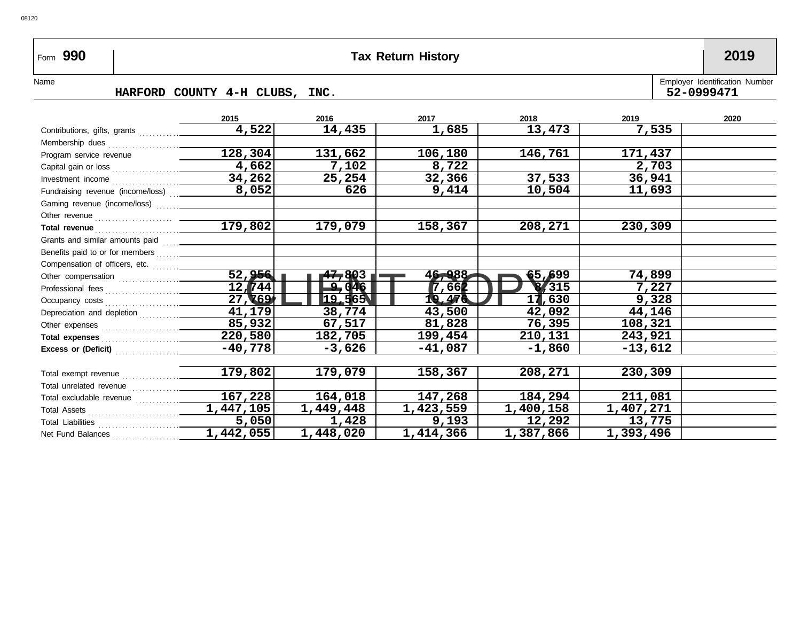## Form **990 Tax Return History 2019**

08120

## **HARFORD COUNTY 4-H CLUBS, INC. 52-0999471**

| Name |                                      | Employer Identification Number |
|------|--------------------------------------|--------------------------------|
|      | COUNTY 4-H CLUBS.<br>HARFORD<br>TNC. | 52-0999471                     |

|                                                                                                                                                                                                                                      | 2015                   | 2016      | 2017      | 2018         | 2019      | 2020 |
|--------------------------------------------------------------------------------------------------------------------------------------------------------------------------------------------------------------------------------------|------------------------|-----------|-----------|--------------|-----------|------|
|                                                                                                                                                                                                                                      | 4,522                  | 14,435    | 1,685     | 13,473       | 7,535     |      |
|                                                                                                                                                                                                                                      |                        |           |           |              |           |      |
| Program service revenue                                                                                                                                                                                                              | 128,304                | 131,662   | 106,180   | 146,761      | 171,437   |      |
|                                                                                                                                                                                                                                      | 4,662                  | 7,102     | 8,722     |              | 2,703     |      |
|                                                                                                                                                                                                                                      | 34,262                 | 25,254    | 32,366    | 37,533       | 36,941    |      |
| Fundraising revenue (income/loss)  ______                                                                                                                                                                                            | 8,052                  | 626       | 9,414     | 10,504       | 11,693    |      |
|                                                                                                                                                                                                                                      |                        |           |           |              |           |      |
|                                                                                                                                                                                                                                      |                        |           |           |              |           |      |
| Total revenue <b>contract and the contract of the contract of the contract of the contract of the contract of the contract of the contract of the contract of the contract of the contract of the contract of the contract of th</b> | $\overline{179,802}$   | 179,079   | 158,367   | 208,271      | 230,309   |      |
|                                                                                                                                                                                                                                      |                        |           |           |              |           |      |
|                                                                                                                                                                                                                                      |                        |           |           |              |           |      |
|                                                                                                                                                                                                                                      |                        |           |           |              |           |      |
|                                                                                                                                                                                                                                      | 52,956                 | 47,803    | 46,988    | 55,699       | 74,899    |      |
|                                                                                                                                                                                                                                      | $12 \sqrt{744}$        | $-9.046$  | 7,662     | $\sqrt{315}$ | 7,227     |      |
|                                                                                                                                                                                                                                      | 27, 169                | 19,565    | 19,476    | 17,630       | 9,328     |      |
|                                                                                                                                                                                                                                      | 41, 179                | 38,774    | 43,500    | 42,092       | 44,146    |      |
|                                                                                                                                                                                                                                      | 85,932                 | 67,517    | 81,828    | 76,395       | 108,321   |      |
|                                                                                                                                                                                                                                      | 220,580                | 182,705   | 199,454   | 210,131      | 243,921   |      |
|                                                                                                                                                                                                                                      | $-40,778$              | -3,626    | $-41,087$ | $-1,860$     | $-13,612$ |      |
|                                                                                                                                                                                                                                      |                        |           |           |              |           |      |
|                                                                                                                                                                                                                                      | 179,802                | 179,079   | 158,367   | 208,271      | 230,309   |      |
|                                                                                                                                                                                                                                      |                        |           |           |              |           |      |
|                                                                                                                                                                                                                                      | 167,228                | 164,018   | 147,268   | 184,294      | 211,081   |      |
|                                                                                                                                                                                                                                      | $\overline{1,447,105}$ | 1,449,448 | 1,423,559 | 1,400,158    | 1,407,271 |      |
|                                                                                                                                                                                                                                      | 5,050                  | 1,428     | 9,193     | 12,292       | 13,775    |      |
| Net Fund Balances                                                                                                                                                                                                                    | 1,442,055              | 1,448,020 | 1,414,366 | 1,387,866    | 1,393,496 |      |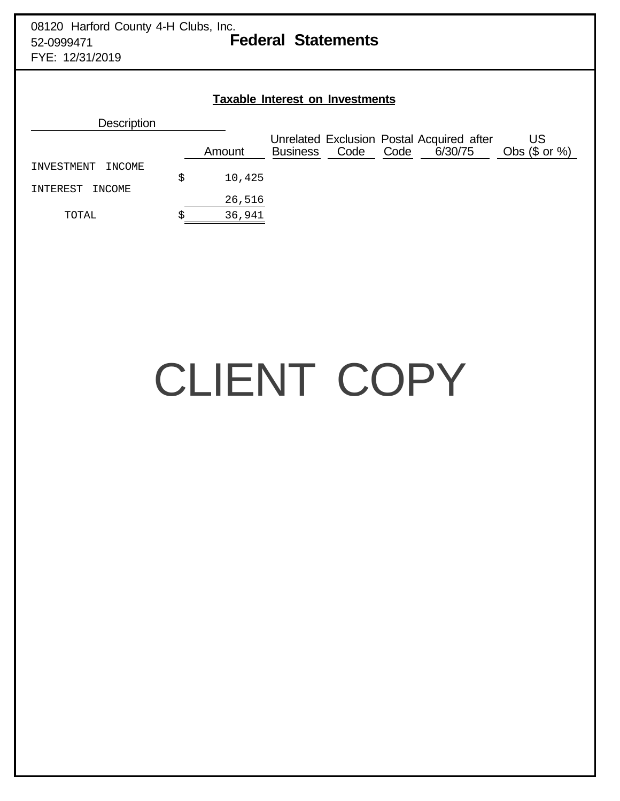| <b>Taxable Interest on Investments</b> |    |        |                 |      |                                                              |                        |  |  |  |  |  |
|----------------------------------------|----|--------|-----------------|------|--------------------------------------------------------------|------------------------|--|--|--|--|--|
| <b>Description</b>                     |    |        |                 |      |                                                              |                        |  |  |  |  |  |
|                                        |    | Amount | <b>Business</b> | Code | Unrelated Exclusion Postal Acquired after<br>Code<br>6/30/75 | US<br>Obs $(\$$ or $%$ |  |  |  |  |  |
| INVESTMENT<br>INCOME                   | \$ | 10,425 |                 |      |                                                              |                        |  |  |  |  |  |
| INTEREST<br>INCOME                     |    |        |                 |      |                                                              |                        |  |  |  |  |  |
|                                        |    | 26,516 |                 |      |                                                              |                        |  |  |  |  |  |
| TOTAL                                  |    | 36,941 |                 |      |                                                              |                        |  |  |  |  |  |

# CLIENT COPY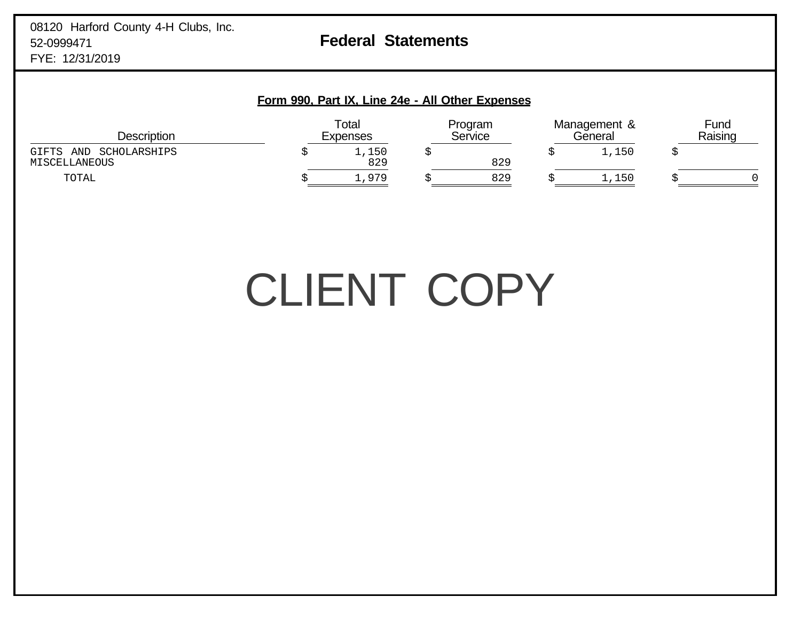#### **Form 990, Part IX, Line 24e - All Other Expenses**

| Description                                | Total<br><b>Expenses</b> |              | Program<br>Service |     | Management &<br>General |       | Fund<br>Raising |  |
|--------------------------------------------|--------------------------|--------------|--------------------|-----|-------------------------|-------|-----------------|--|
| GIFTS AND<br>SCHOLARSHIPS<br>MISCELLANEOUS |                          | 1,150<br>829 |                    | 829 |                         | ,150  |                 |  |
| TOTAL                                      |                          | ⊥,979        |                    | 829 |                         | 1,150 |                 |  |

## CLIENT COPY